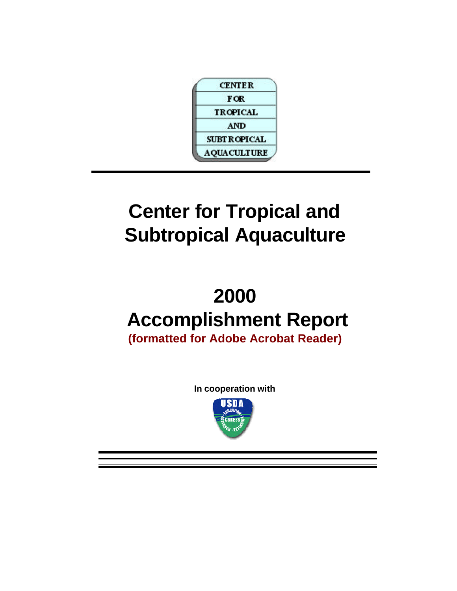

# **Center for Tropical and Subtropical Aquaculture**

# **2000 Accomplishment Report**

**(formatted for Adobe Acrobat Reader)**

**In cooperation with**

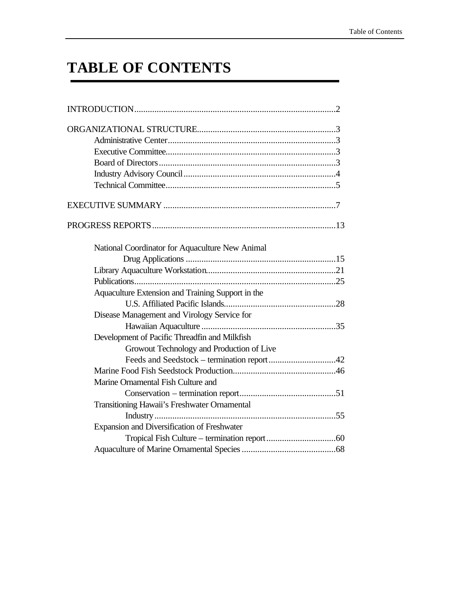# **TABLE OF CONTENTS**

| National Coordinator for Aquaculture New Animal   |  |
|---------------------------------------------------|--|
|                                                   |  |
|                                                   |  |
|                                                   |  |
| Aquaculture Extension and Training Support in the |  |
|                                                   |  |
| Disease Management and Virology Service for       |  |
|                                                   |  |
| Development of Pacific Threadfin and Milkfish     |  |
| Growout Technology and Production of Live         |  |
|                                                   |  |
|                                                   |  |
| Marine Ornamental Fish Culture and                |  |
|                                                   |  |
| Transitioning Hawaii's Freshwater Ornamental      |  |
|                                                   |  |
| Expansion and Diversification of Freshwater       |  |
|                                                   |  |
|                                                   |  |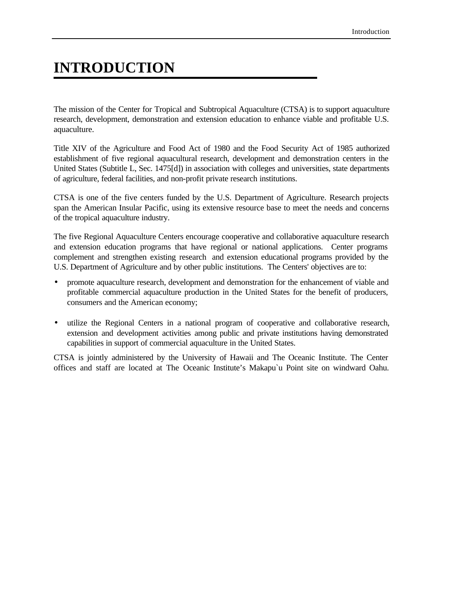# **INTRODUCTION**

The mission of the Center for Tropical and Subtropical Aquaculture (CTSA) is to support aquaculture research, development, demonstration and extension education to enhance viable and profitable U.S. aquaculture.

Title XIV of the Agriculture and Food Act of 1980 and the Food Security Act of 1985 authorized establishment of five regional aquacultural research, development and demonstration centers in the United States (Subtitle L, Sec. 1475[d]) in association with colleges and universities, state departments of agriculture, federal facilities, and non-profit private research institutions.

CTSA is one of the five centers funded by the U.S. Department of Agriculture. Research projects span the American Insular Pacific, using its extensive resource base to meet the needs and concerns of the tropical aquaculture industry.

The five Regional Aquaculture Centers encourage cooperative and collaborative aquaculture research and extension education programs that have regional or national applications. Center programs complement and strengthen existing research and extension educational programs provided by the U.S. Department of Agriculture and by other public institutions. The Centers' objectives are to:

- promote aquaculture research, development and demonstration for the enhancement of viable and profitable commercial aquaculture production in the United States for the benefit of producers, consumers and the American economy;
- utilize the Regional Centers in a national program of cooperative and collaborative research, extension and development activities among public and private institutions having demonstrated capabilities in support of commercial aquaculture in the United States.

CTSA is jointly administered by the University of Hawaii and The Oceanic Institute. The Center offices and staff are located at The Oceanic Institute's Makapu`u Point site on windward Oahu.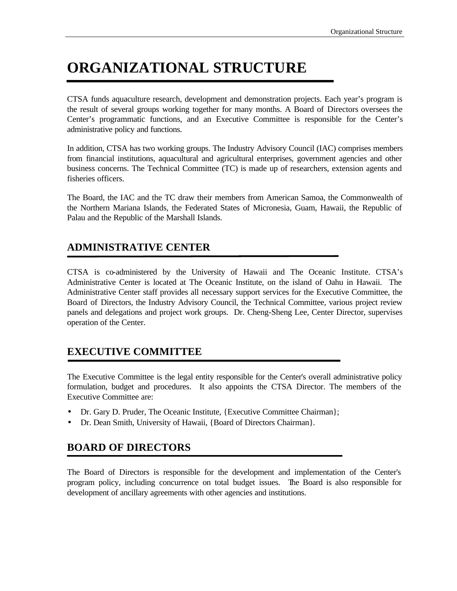# **ORGANIZATIONAL STRUCTURE**

CTSA funds aquaculture research, development and demonstration projects. Each year's program is the result of several groups working together for many months. A Board of Directors oversees the Center's programmatic functions, and an Executive Committee is responsible for the Center's administrative policy and functions.

In addition, CTSA has two working groups. The Industry Advisory Council (IAC) comprises members from financial institutions, aquacultural and agricultural enterprises, government agencies and other business concerns. The Technical Committee (TC) is made up of researchers, extension agents and fisheries officers.

The Board, the IAC and the TC draw their members from American Samoa, the Commonwealth of the Northern Mariana Islands, the Federated States of Micronesia, Guam, Hawaii, the Republic of Palau and the Republic of the Marshall Islands.

# **ADMINISTRATIVE CENTER**

CTSA is co-administered by the University of Hawaii and The Oceanic Institute. CTSA's Administrative Center is located at The Oceanic Institute, on the island of Oahu in Hawaii. The Administrative Center staff provides all necessary support services for the Executive Committee, the Board of Directors, the Industry Advisory Council, the Technical Committee, various project review panels and delegations and project work groups. Dr. Cheng-Sheng Lee, Center Director, supervises operation of the Center.

# **EXECUTIVE COMMITTEE**

The Executive Committee is the legal entity responsible for the Center's overall administrative policy formulation, budget and procedures. It also appoints the CTSA Director. The members of the Executive Committee are:

- Dr. Gary D. Pruder, The Oceanic Institute, {Executive Committee Chairman};
- Dr. Dean Smith, University of Hawaii, {Board of Directors Chairman}.

# **BOARD OF DIRECTORS**

The Board of Directors is responsible for the development and implementation of the Center's program policy, including concurrence on total budget issues. The Board is also responsible for development of ancillary agreements with other agencies and institutions.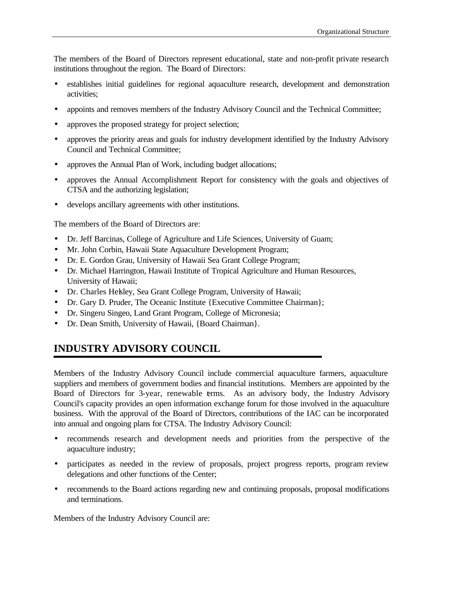The members of the Board of Directors represent educational, state and non-profit private research institutions throughout the region. The Board of Directors:

- establishes initial guidelines for regional aquaculture research, development and demonstration activities;
- appoints and removes members of the Industry Advisory Council and the Technical Committee;
- approves the proposed strategy for project selection;
- approves the priority areas and goals for industry development identified by the Industry Advisory Council and Technical Committee;
- approves the Annual Plan of Work, including budget allocations;
- approves the Annual Accomplishment Report for consistency with the goals and objectives of CTSA and the authorizing legislation;
- develops ancillary agreements with other institutions.

The members of the Board of Directors are:

- Dr. Jeff Barcinas, College of Agriculture and Life Sciences, University of Guam;
- Mr. John Corbin, Hawaii State Aquaculture Development Program;
- Dr. E. Gordon Grau, University of Hawaii Sea Grant College Program;
- Dr. Michael Harrington, Hawaii Institute of Tropical Agriculture and Human Resources, University of Hawaii;
- Dr. Charles Helsley, Sea Grant College Program, University of Hawaii;
- Dr. Gary D. Pruder, The Oceanic Institute {Executive Committee Chairman};
- Dr. Singeru Singeo, Land Grant Program, College of Micronesia;
- Dr. Dean Smith, University of Hawaii, {Board Chairman}.

# **INDUSTRY ADVISORY COUNCIL**

Members of the Industry Advisory Council include commercial aquaculture farmers, aquaculture suppliers and members of government bodies and financial institutions. Members are appointed by the Board of Directors for 3-year, renewable terms. As an advisory body, the Industry Advisory Council's capacity provides an open information exchange forum for those involved in the aquaculture business. With the approval of the Board of Directors, contributions of the IAC can be incorporated into annual and ongoing plans for CTSA. The Industry Advisory Council:

- recommends research and development needs and priorities from the perspective of the aquaculture industry;
- participates as needed in the review of proposals, project progress reports, program review delegations and other functions of the Center;
- recommends to the Board actions regarding new and continuing proposals, proposal modifications and terminations.

Members of the Industry Advisory Council are: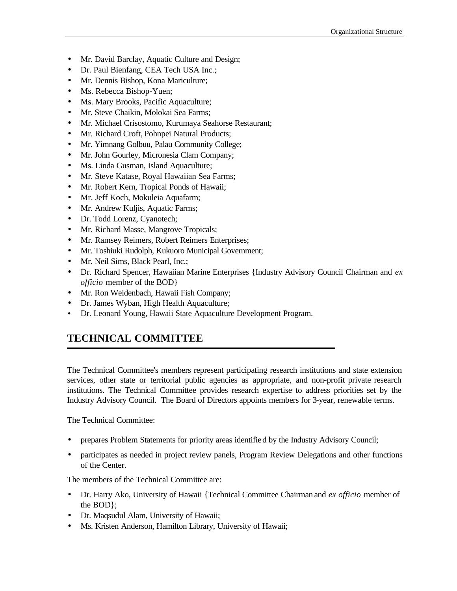- Mr. David Barclay, Aquatic Culture and Design;
- Dr. Paul Bienfang, CEA Tech USA Inc.;
- Mr. Dennis Bishop, Kona Mariculture;
- Ms. Rebecca Bishop-Yuen;
- Ms. Mary Brooks, Pacific Aquaculture;
- Mr. Steve Chaikin, Molokai Sea Farms;
- Mr. Michael Crisostomo, Kurumaya Seahorse Restaurant;
- Mr. Richard Croft, Pohnpei Natural Products;
- Mr. Yimnang Golbuu, Palau Community College;
- Mr. John Gourley, Micronesia Clam Company;
- Ms. Linda Gusman, Island Aquaculture;
- Mr. Steve Katase, Royal Hawaiian Sea Farms;
- Mr. Robert Kern, Tropical Ponds of Hawaii;
- Mr. Jeff Koch, Mokuleia Aquafarm;
- Mr. Andrew Kuljis, Aquatic Farms;
- Dr. Todd Lorenz, Cyanotech;
- Mr. Richard Masse, Mangrove Tropicals;
- Mr. Ramsey Reimers, Robert Reimers Enterprises;
- Mr. Toshiuki Rudolph, Kukuoro Municipal Government;
- Mr. Neil Sims, Black Pearl, Inc.;
- Dr. Richard Spencer, Hawaiian Marine Enterprises {Industry Advisory Council Chairman and *ex officio* member of the BOD}
- Mr. Ron Weidenbach, Hawaii Fish Company;
- Dr. James Wyban, High Health Aquaculture;
- Dr. Leonard Young, Hawaii State Aquaculture Development Program.

### **TECHNICAL COMMITTEE**

The Technical Committee's members represent participating research institutions and state extension services, other state or territorial public agencies as appropriate, and non-profit private research institutions. The Technical Committee provides research expertise to address priorities set by the Industry Advisory Council. The Board of Directors appoints members for 3-year, renewable terms.

The Technical Committee:

- prepares Problem Statements for priority areas identified by the Industry Advisory Council;
- participates as needed in project review panels, Program Review Delegations and other functions of the Center.

The members of the Technical Committee are:

- Dr. Harry Ako, University of Hawaii {Technical Committee Chairman and *ex officio* member of the BOD};
- Dr. Maqsudul Alam, University of Hawaii;
- Ms. Kristen Anderson, Hamilton Library, University of Hawaii;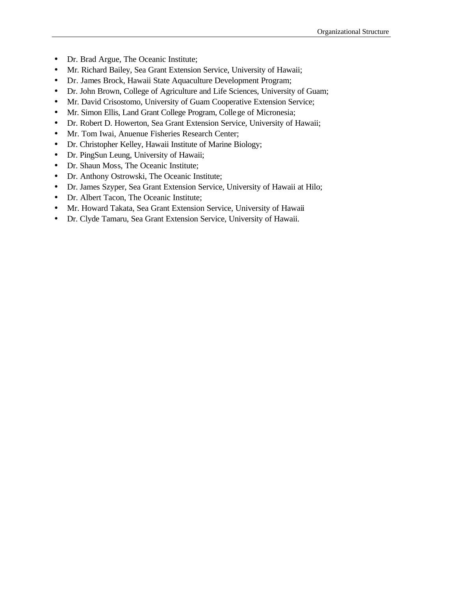- Dr. Brad Argue, The Oceanic Institute;
- Mr. Richard Bailey, Sea Grant Extension Service, University of Hawaii;
- Dr. James Brock, Hawaii State Aquaculture Development Program;
- Dr. John Brown, College of Agriculture and Life Sciences, University of Guam;
- Mr. David Crisostomo, University of Guam Cooperative Extension Service;
- Mr. Simon Ellis, Land Grant College Program, College of Micronesia;
- Dr. Robert D. Howerton, Sea Grant Extension Service, University of Hawaii;
- Mr. Tom Iwai, Anuenue Fisheries Research Center;
- Dr. Christopher Kelley, Hawaii Institute of Marine Biology;
- Dr. PingSun Leung, University of Hawaii;
- Dr. Shaun Moss, The Oceanic Institute;
- Dr. Anthony Ostrowski, The Oceanic Institute;
- Dr. James Szyper, Sea Grant Extension Service, University of Hawaii at Hilo;
- Dr. Albert Tacon, The Oceanic Institute;
- Mr. Howard Takata, Sea Grant Extension Service, University of Hawaii
- Dr. Clyde Tamaru, Sea Grant Extension Service, University of Hawaii.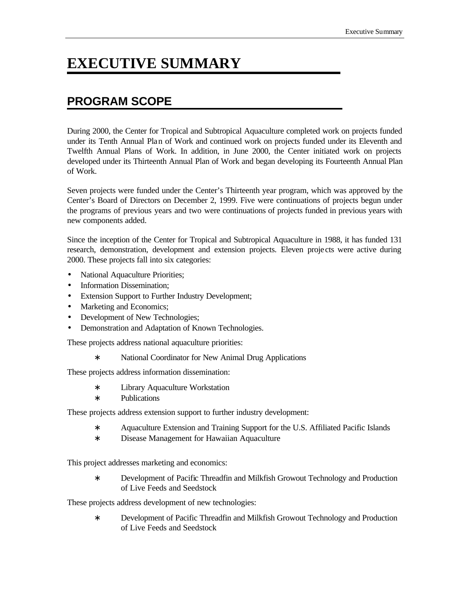# **EXECUTIVE SUMMARY**

# **PROGRAM SCOPE**

During 2000, the Center for Tropical and Subtropical Aquaculture completed work on projects funded under its Tenth Annual Plan of Work and continued work on projects funded under its Eleventh and Twelfth Annual Plans of Work. In addition, in June 2000, the Center initiated work on projects developed under its Thirteenth Annual Plan of Work and began developing its Fourteenth Annual Plan of Work.

Seven projects were funded under the Center's Thirteenth year program, which was approved by the Center's Board of Directors on December 2, 1999. Five were continuations of projects begun under the programs of previous years and two were continuations of projects funded in previous years with new components added.

Since the inception of the Center for Tropical and Subtropical Aquaculture in 1988, it has funded 131 research, demonstration, development and extension projects. Eleven proje cts were active during 2000. These projects fall into six categories:

- National Aquaculture Priorities;
- Information Dissemination:
- Extension Support to Further Industry Development;
- Marketing and Economics;
- Development of New Technologies;
- Demonstration and Adaptation of Known Technologies.

These projects address national aquaculture priorities:

∗ National Coordinator for New Animal Drug Applications

These projects address information dissemination:

- ∗ Library Aquaculture Workstation
- ∗ Publications

These projects address extension support to further industry development:

- ∗ Aquaculture Extension and Training Support for the U.S. Affiliated Pacific Islands
- ∗ Disease Management for Hawaiian Aquaculture

This project addresses marketing and economics:

∗ Development of Pacific Threadfin and Milkfish Growout Technology and Production of Live Feeds and Seedstock

These projects address development of new technologies:

∗ Development of Pacific Threadfin and Milkfish Growout Technology and Production of Live Feeds and Seedstock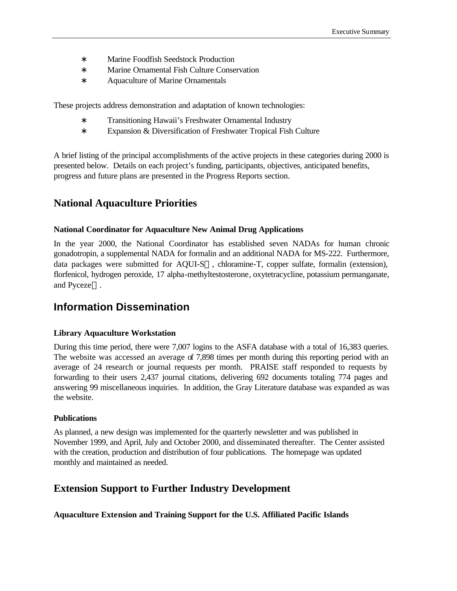- ∗ Marine Foodfish Seedstock Production
- ∗ Marine Ornamental Fish Culture Conservation
- ∗ Aquaculture of Marine Ornamentals

These projects address demonstration and adaptation of known technologies:

- ∗ Transitioning Hawaii's Freshwater Ornamental Industry
- ∗ Expansion & Diversification of Freshwater Tropical Fish Culture

A brief listing of the principal accomplishments of the active projects in these categories during 2000 is presented below. Details on each project's funding, participants, objectives, anticipated benefits, progress and future plans are presented in the Progress Reports section.

### **National Aquaculture Priorities**

#### **National Coordinator for Aquaculture New Animal Drug Applications**

In the year 2000, the National Coordinator has established seven NADAs for human chronic gonadotropin, a supplemental NADA for formalin and an additional NADA for MS-222. Furthermore, data packages were submitted for AQUI-S<sup>TM</sup>, chloramine-T, copper sulfate, formalin (extension), florfenicol, hydrogen peroxide, 17 alpha-methyltestosterone, oxytetracycline, potassium permanganate, and Pyceze<sup>™</sup>.

# **Information Dissemination**

#### **Library Aquaculture Workstation**

During this time period, there were 7,007 logins to the ASFA database with a total of 16,383 queries. The website was accessed an average of 7,898 times per month during this reporting period with an average of 24 research or journal requests per month. PRAISE staff responded to requests by forwarding to their users 2,437 journal citations, delivering 692 documents totaling 774 pages and answering 99 miscellaneous inquiries. In addition, the Gray Literature database was expanded as was the website.

#### **Publications**

As planned, a new design was implemented for the quarterly newsletter and was published in November 1999, and April, July and October 2000, and disseminated thereafter. The Center assisted with the creation, production and distribution of four publications. The homepage was updated monthly and maintained as needed.

#### **Extension Support to Further Industry Development**

**Aquaculture Extension and Training Support for the U.S. Affiliated Pacific Islands**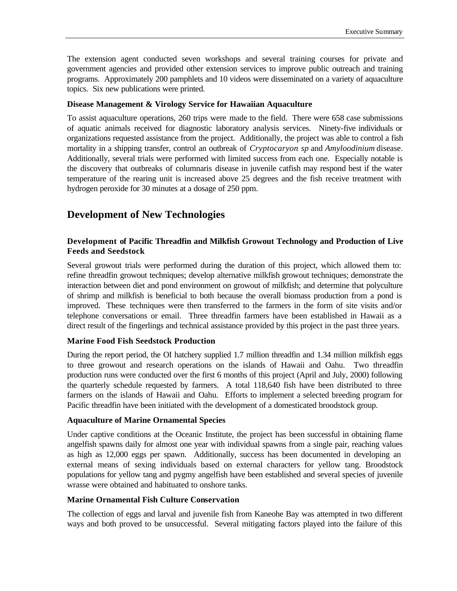The extension agent conducted seven workshops and several training courses for private and government agencies and provided other extension services to improve public outreach and training programs. Approximately 200 pamphlets and 10 videos were disseminated on a variety of aquaculture topics. Six new publications were printed.

#### **Disease Management & Virology Service for Hawaiian Aquaculture**

To assist aquaculture operations, 260 trips were made to the field. There were 658 case submissions of aquatic animals received for diagnostic laboratory analysis services. Ninety-five individuals or organizations requested assistance from the project. Additionally, the project was able to control a fish mortality in a shipping transfer, control an outbreak of *Cryptocaryon sp* and *Amyloodinium* disease. Additionally, several trials were performed with limited success from each one. Especially notable is the discovery that outbreaks of columnaris disease in juvenile catfish may respond best if the water temperature of the rearing unit is increased above 25 degrees and the fish receive treatment with hydrogen peroxide for 30 minutes at a dosage of 250 ppm.

# **Development of New Technologies**

#### **Development of Pacific Threadfin and Milkfish Growout Technology and Production of Live Feeds and Seedstock**

Several growout trials were performed during the duration of this project, which allowed them to: refine threadfin growout techniques; develop alternative milkfish growout techniques; demonstrate the interaction between diet and pond environment on growout of milkfish; and determine that polyculture of shrimp and milkfish is beneficial to both because the overall biomass production from a pond is improved. These techniques were then transferred to the farmers in the form of site visits and/or telephone conversations or email. Three threadfin farmers have been established in Hawaii as a direct result of the fingerlings and technical assistance provided by this project in the past three years.

#### **Marine Food Fish Seedstock Production**

During the report period, the OI hatchery supplied 1.7 million threadfin and 1.34 million milkfish eggs to three growout and research operations on the islands of Hawaii and Oahu. Two threadfin production runs were conducted over the first 6 months of this project (April and July, 2000) following the quarterly schedule requested by farmers. A total 118,640 fish have been distributed to three farmers on the islands of Hawaii and Oahu. Efforts to implement a selected breeding program for Pacific threadfin have been initiated with the development of a domesticated broodstock group.

#### **Aquaculture of Marine Ornamental Species**

Under captive conditions at the Oceanic Institute, the project has been successful in obtaining flame angelfish spawns daily for almost one year with individual spawns from a single pair, reaching values as high as 12,000 eggs per spawn. Additionally, success has been documented in developing an external means of sexing individuals based on external characters for yellow tang. Broodstock populations for yellow tang and pygmy angelfish have been established and several species of juvenile wrasse were obtained and habituated to onshore tanks.

#### **Marine Ornamental Fish Culture Conservation**

The collection of eggs and larval and juvenile fish from Kaneohe Bay was attempted in two different ways and both proved to be unsuccessful. Several mitigating factors played into the failure of this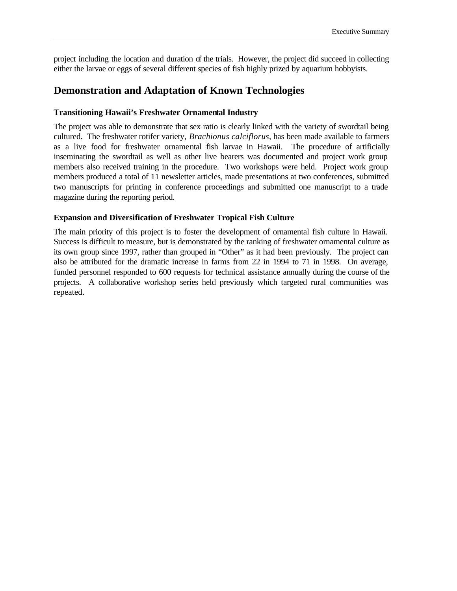project including the location and duration of the trials. However, the project did succeed in collecting either the larvae or eggs of several different species of fish highly prized by aquarium hobbyists.

### **Demonstration and Adaptation of Known Technologies**

#### **Transitioning Hawaii's Freshwater Ornamental Industry**

The project was able to demonstrate that sex ratio is clearly linked with the variety of swordtail being cultured. The freshwater rotifer variety, *Brachionus calciflorus*, has been made available to farmers as a live food for freshwater ornamental fish larvae in Hawaii. The procedure of artificially inseminating the swordtail as well as other live bearers was documented and project work group members also received training in the procedure. Two workshops were held. Project work group members produced a total of 11 newsletter articles, made presentations at two conferences, submitted two manuscripts for printing in conference proceedings and submitted one manuscript to a trade magazine during the reporting period.

#### **Expansion and Diversification of Freshwater Tropical Fish Culture**

The main priority of this project is to foster the development of ornamental fish culture in Hawaii. Success is difficult to measure, but is demonstrated by the ranking of freshwater ornamental culture as its own group since 1997, rather than grouped in "Other" as it had been previously. The project can also be attributed for the dramatic increase in farms from 22 in 1994 to 71 in 1998. On average, funded personnel responded to 600 requests for technical assistance annually during the course of the projects. A collaborative workshop series held previously which targeted rural communities was repeated.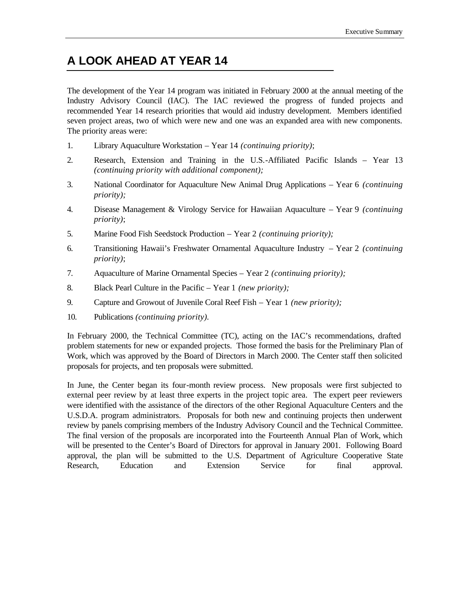# **A LOOK AHEAD AT YEAR 14**

The development of the Year 14 program was initiated in February 2000 at the annual meeting of the Industry Advisory Council (IAC). The IAC reviewed the progress of funded projects and recommended Year 14 research priorities that would aid industry development. Members identified seven project areas, two of which were new and one was an expanded area with new components. The priority areas were:

- 1. Library Aquaculture Workstation Year 14 *(continuing priority)*;
- 2. Research, Extension and Training in the U.S.-Affiliated Pacific Islands Year 13 *(continuing priority with additional component);*
- 3. National Coordinator for Aquaculture New Animal Drug Applications Year 6 *(continuing priority);*
- 4. Disease Management & Virology Service for Hawaiian Aquaculture Year 9 *(continuing priority)*;
- 5. Marine Food Fish Seedstock Production Year 2 *(continuing priority);*
- 6. Transitioning Hawaii's Freshwater Ornamental Aquaculture Industry Year 2 *(continuing priority)*;
- 7. Aquaculture of Marine Ornamental Species Year 2 *(continuing priority);*
- 8. Black Pearl Culture in the Pacific Year 1 *(new priority);*
- 9. Capture and Growout of Juvenile Coral Reef Fish Year 1 *(new priority);*
- 10. Publications *(continuing priority).*

In February 2000, the Technical Committee (TC), acting on the IAC's recommendations, drafted problem statements for new or expanded projects. Those formed the basis for the Preliminary Plan of Work, which was approved by the Board of Directors in March 2000. The Center staff then solicited proposals for projects, and ten proposals were submitted.

In June, the Center began its four-month review process. New proposals were first subjected to external peer review by at least three experts in the project topic area. The expert peer reviewers were identified with the assistance of the directors of the other Regional Aquaculture Centers and the U.S.D.A. program administrators. Proposals for both new and continuing projects then underwent review by panels comprising members of the Industry Advisory Council and the Technical Committee. The final version of the proposals are incorporated into the Fourteenth Annual Plan of Work, which will be presented to the Center's Board of Directors for approval in January 2001. Following Board approval, the plan will be submitted to the U.S. Department of Agriculture Cooperative State Research, Education and Extension Service for final approval.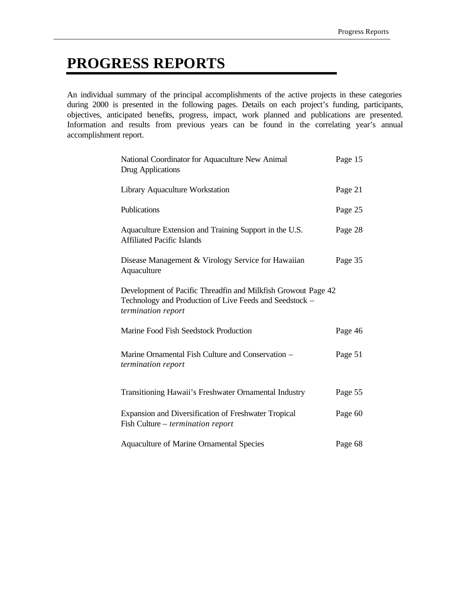# **PROGRESS REPORTS**

An individual summary of the principal accomplishments of the active projects in these categories during 2000 is presented in the following pages. Details on each project's funding, participants, objectives, anticipated benefits, progress, impact, work planned and publications are presented. Information and results from previous years can be found in the correlating year's annual accomplishment report.

| National Coordinator for Aquaculture New Animal<br>Drug Applications                                                                           | Page 15 |
|------------------------------------------------------------------------------------------------------------------------------------------------|---------|
| Library Aquaculture Workstation                                                                                                                | Page 21 |
| Publications                                                                                                                                   | Page 25 |
| Aquaculture Extension and Training Support in the U.S.<br><b>Affiliated Pacific Islands</b>                                                    | Page 28 |
| Disease Management & Virology Service for Hawaiian<br>Aquaculture                                                                              | Page 35 |
| Development of Pacific Threadfin and Milkfish Growout Page 42<br>Technology and Production of Live Feeds and Seedstock -<br>termination report |         |
| Marine Food Fish Seedstock Production                                                                                                          | Page 46 |
| Marine Ornamental Fish Culture and Conservation -<br>termination report                                                                        | Page 51 |
| Transitioning Hawaii's Freshwater Ornamental Industry                                                                                          | Page 55 |
| Expansion and Diversification of Freshwater Tropical<br>Fish Culture – <i>termination report</i>                                               | Page 60 |
| Aquaculture of Marine Ornamental Species                                                                                                       | Page 68 |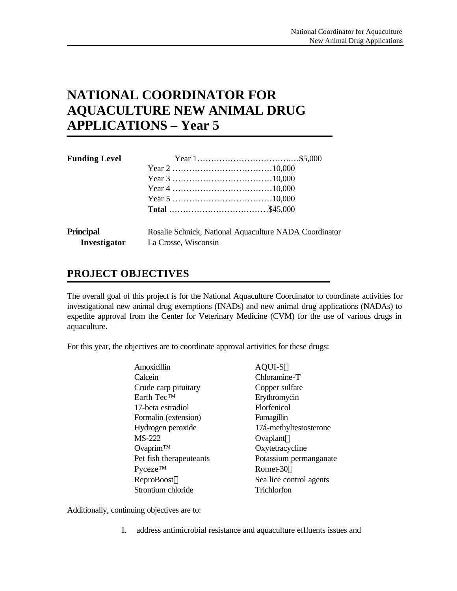# **NATIONAL COORDINATOR FOR AQUACULTURE NEW ANIMAL DRUG APPLICATIONS – Year 5**

| <b>Funding Level</b> |                      |                                                        |
|----------------------|----------------------|--------------------------------------------------------|
|                      |                      |                                                        |
|                      |                      |                                                        |
|                      |                      |                                                        |
|                      |                      |                                                        |
|                      |                      |                                                        |
| <b>Principal</b>     |                      | Rosalie Schnick, National Aquaculture NADA Coordinator |
| Investigator         | La Crosse, Wisconsin |                                                        |

# **PROJECT OBJECTIVES**

The overall goal of this project is for the National Aquaculture Coordinator to coordinate activities for investigational new animal drug exemptions (INADs) and new animal drug applications (NADAs) to expedite approval from the Center for Veterinary Medicine (CVM) for the use of various drugs in aquaculture.

For this year, the objectives are to coordinate approval activities for these drugs:

| Amoxicillin                | AQUI-S™                 |
|----------------------------|-------------------------|
| Calcein                    | Chloramine-T            |
| Crude carp pituitary       | Copper sulfate          |
| Earth Tec <sup>™</sup>     | Erythromycin            |
| 17-beta estradiol          | Florfenicol             |
| Formalin (extension)       | Fumagillin              |
| Hydrogen peroxide          | 17á-methyltestosterone  |
| <b>MS-222</b>              | Ovaplant <sup>TM</sup>  |
| Ovaprim™                   | Oxytetracycline         |
| Pet fish therapeuteants    | Potassium permanganate  |
| <b>Pyceze<sup>TM</sup></b> | Romet-30™               |
| ReproBoost™                | Sea lice control agents |
| Strontium chloride         | Trichlorfon             |

Additionally, continuing objectives are to:

1. address antimicrobial resistance and aquaculture effluents issues and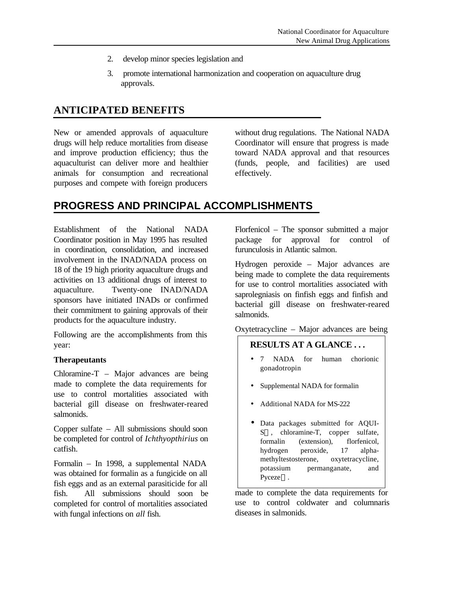- 2. develop minor species legislation and
- 3. promote international harmonization and cooperation on aquaculture drug approvals.

# **ANTICIPATED BENEFITS**

New or amended approvals of aquaculture drugs will help reduce mortalities from disease and improve production efficiency; thus the aquaculturist can deliver more and healthier animals for consumption and recreational purposes and compete with foreign producers

without drug regulations. The National NADA Coordinator will ensure that progress is made toward NADA approval and that resources (funds, people, and facilities) are used effectively.

# **PROGRESS AND PRINCIPAL ACCOMPLISHMENTS**

Establishment of the National NADA Coordinator position in May 1995 has resulted in coordination, consolidation, and increased involvement in the INAD/NADA process on 18 of the 19 high priority aquaculture drugs and activities on 13 additional drugs of interest to aquaculture. Twenty-one INAD/NADA sponsors have initiated INADs or confirmed their commitment to gaining approvals of their products for the aquaculture industry.

Following are the accomplishments from this year:

#### **Therapeutants**

Chloramine-T – Major advances are being made to complete the data requirements for use to control mortalities associated with bacterial gill disease on freshwater-reared salmonids.

Copper sulfate – All submissions should soon be completed for control of *Ichthyopthirius* on catfish.

Formalin – In 1998, a supplemental NADA was obtained for formalin as a fungicide on all fish eggs and as an external parasiticide for all fish. All submissions should soon be completed for control of mortalities associated with fungal infections on *all* fish.

Florfenicol – The sponsor submitted a major package for approval for control of furunculosis in Atlantic salmon.

Hydrogen peroxide – Major advances are being made to complete the data requirements for use to control mortalities associated with saprolegniasis on finfish eggs and finfish and bacterial gill disease on freshwater-reared salmonids.

Oxytetracycline – Major advances are being

#### **RESULTS AT A GLANCE . . .**

- 7 NADA for human chorionic gonadotropin
- Supplemental NADA for formalin
- Additional NADA for MS-222
- Data packages submitted for AQUI- $S<sup>TM</sup>$ , chloramine-T, copper sulfate, formalin (extension), florfenicol, hydrogen peroxide, 17 alphamethyltestosterone, oxytetracycline, potassium permanganate, and Pyceze<sup>TM</sup>.

made to complete the data requirements for use to control coldwater and columnaris diseases in salmonids.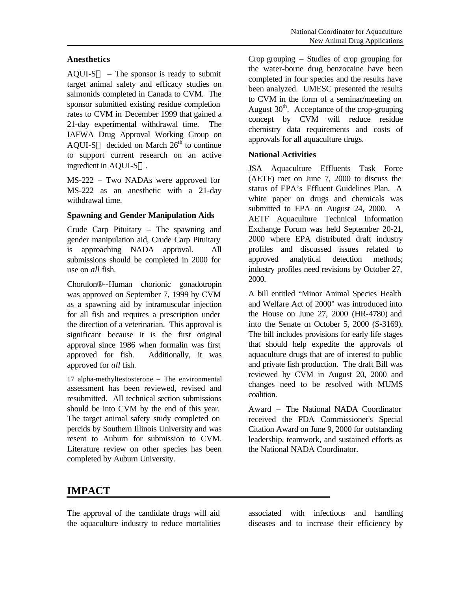#### **Anesthetics**

 $AQUI-S<sup>TM</sup>$  – The sponsor is ready to submit target animal safety and efficacy studies on salmonids completed in Canada to CVM. The sponsor submitted existing residue completion rates to CVM in December 1999 that gained a 21-day experimental withdrawal time. The IAFWA Drug Approval Working Group on AOUI-S<sup>TM</sup> decided on March  $26<sup>th</sup>$  to continue to support current research on an active ingredient in AQUI- $S^{TM}$ .

MS-222 – Two NADAs were approved for MS-222 as an anesthetic with a 21-day withdrawal time.

#### **Spawning and Gender Manipulation Aids**

Crude Carp Pituitary – The spawning and gender manipulation aid, Crude Carp Pituitary is approaching NADA approval. All submissions should be completed in 2000 for use on *all* fish.

Chorulon®--Human chorionic gonadotropin was approved on September 7, 1999 by CVM as a spawning aid by intramuscular injection for all fish and requires a prescription under the direction of a veterinarian. This approval is significant because it is the first original approval since 1986 when formalin was first approved for fish. Additionally, it was approved for *all* fish.

17 alpha-methyltestosterone – The environmental assessment has been reviewed, revised and resubmitted. All technical section submissions should be into CVM by the end of this year. The target animal safety study completed on percids by Southern Illinois University and was resent to Auburn for submission to CVM. Literature review on other species has been completed by Auburn University.

Crop grouping – Studies of crop grouping for the water-borne drug benzocaine have been completed in four species and the results have been analyzed. UMESC presented the results to CVM in the form of a seminar/meeting on August  $30<sup>th</sup>$ . Acceptance of the crop-grouping concept by CVM will reduce residue chemistry data requirements and costs of approvals for all aquaculture drugs.

#### **National Activities**

JSA Aquaculture Effluents Task Force (AETF) met on June 7, 2000 to discuss the status of EPA's Effluent Guidelines Plan. A white paper on drugs and chemicals was submitted to EPA on August 24, 2000. A AETF Aquaculture Technical Information Exchange Forum was held September 20-21, 2000 where EPA distributed draft industry profiles and discussed issues related to approved analytical detection methods; industry profiles need revisions by October 27, 2000.

A bill entitled "Minor Animal Species Health and Welfare Act of 2000" was introduced into the House on June 27, 2000 (HR-4780) and into the Senate on October 5, 2000 (S-3169). The bill includes provisions for early life stages that should help expedite the approvals of aquaculture drugs that are of interest to public and private fish production. The draft Bill was reviewed by CVM in August 20, 2000 and changes need to be resolved with MUMS coalition.

Award – The National NADA Coordinator received the FDA Commissioner's Special Citation Award on June 9, 2000 for outstanding leadership, teamwork, and sustained efforts as the National NADA Coordinator.

# **IMPACT**

The approval of the candidate drugs will aid the aquaculture industry to reduce mortalities associated with infectious and handling diseases and to increase their efficiency by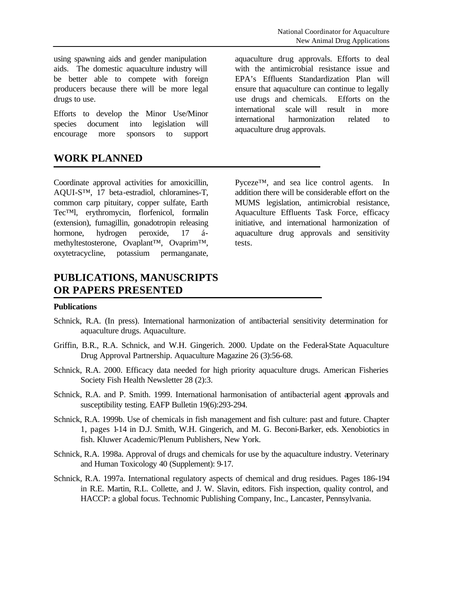Efforts to develop the Minor Use/Minor species document into legislation will encourage more sponsors to support

# **WORK PLANNED**

drugs to use.

Coordinate approval activities for amoxicillin, AQUI-S™, 17 beta-estradiol, chloramines-T, common carp pituitary, copper sulfate, Earth Tec™l, erythromycin, florfenicol, formalin (extension), fumagillin, gonadotropin releasing hormone, hydrogen peroxide, 17 ámethyltestosterone, Ovaplant™, Ovaprim™, oxytetracycline, potassium permanganate,

# **PUBLICATIONS, MANUSCRIPTS OR PAPERS PRESENTED**

aquaculture drug approvals. Efforts to deal with the antimicrobial resistance issue and EPA's Effluents Standardization Plan will ensure that aquaculture can continue to legally use drugs and chemicals. Efforts on the international scale will result in more international harmonization related to aquaculture drug approvals.

Pyceze™, and sea lice control agents. In addition there will be considerable effort on the MUMS legislation, antimicrobial resistance, Aquaculture Effluents Task Force, efficacy initiative, and international harmonization of aquaculture drug approvals and sensitivity tests.

#### **Publications**

- Schnick, R.A. (In press). International harmonization of antibacterial sensitivity determination for aquaculture drugs. Aquaculture.
- Griffin, B.R., R.A. Schnick, and W.H. Gingerich. 2000. Update on the Federal-State Aquaculture Drug Approval Partnership. Aquaculture Magazine 26 (3):56-68.
- Schnick, R.A. 2000. Efficacy data needed for high priority aquaculture drugs. American Fisheries Society Fish Health Newsletter 28 (2):3.
- Schnick, R.A. and P. Smith. 1999. International harmonisation of antibacterial agent approvals and susceptibility testing. EAFP Bulletin 19(6):293-294.
- Schnick, R.A. 1999b. Use of chemicals in fish management and fish culture: past and future. Chapter 1, pages 1-14 in D.J. Smith, W.H. Gingerich, and M. G. Beconi-Barker, eds. Xenobiotics in fish. Kluwer Academic/Plenum Publishers, New York.
- Schnick, R.A. 1998a. Approval of drugs and chemicals for use by the aquaculture industry. Veterinary and Human Toxicology 40 (Supplement): 9-17.
- Schnick, R.A. 1997a. International regulatory aspects of chemical and drug residues. Pages 186-194 in R.E. Martin, R.L. Collette, and J. W. Slavin, editors. Fish inspection, quality control, and HACCP: a global focus. Technomic Publishing Company, Inc., Lancaster, Pennsylvania.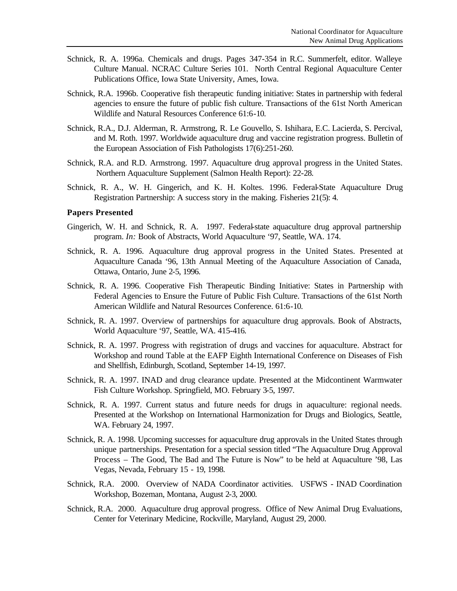- Schnick, R. A. 1996a. Chemicals and drugs. Pages 347-354 in R.C. Summerfelt, editor. Walleye Culture Manual. NCRAC Culture Series 101. North Central Regional Aquaculture Center Publications Office, Iowa State University, Ames, Iowa.
- Schnick, R.A. 1996b. Cooperative fish therapeutic funding initiative: States in partnership with federal agencies to ensure the future of public fish culture. Transactions of the 61st North American Wildlife and Natural Resources Conference 61:6-10.
- Schnick, R.A., D.J. Alderman, R. Armstrong, R. Le Gouvello, S. Ishihara, E.C. Lacierda, S. Percival, and M. Roth. 1997. Worldwide aquaculture drug and vaccine registration progress. Bulletin of the European Association of Fish Pathologists 17(6):251-260.
- Schnick, R.A. and R.D. Armstrong. 1997. Aquaculture drug approval progress in the United States. Northern Aquaculture Supplement (Salmon Health Report): 22-28.
- Schnick, R. A., W. H. Gingerich, and K. H. Koltes. 1996. Federal-State Aquaculture Drug Registration Partnership: A success story in the making. Fisheries 21(5): 4.

#### **Papers Presented**

- Gingerich, W. H. and Schnick, R. A. 1997. Federal-state aquaculture drug approval partnership program. *In:* Book of Abstracts, World Aquaculture '97, Seattle, WA. 174.
- Schnick, R. A. 1996. Aquaculture drug approval progress in the United States. Presented at Aquaculture Canada '96, 13th Annual Meeting of the Aquaculture Association of Canada, Ottawa, Ontario, June 2-5, 1996.
- Schnick, R. A. 1996. Cooperative Fish Therapeutic Binding Initiative: States in Partnership with Federal Agencies to Ensure the Future of Public Fish Culture. Transactions of the 61st North American Wildlife and Natural Resources Conference. 61:6-10.
- Schnick, R. A. 1997. Overview of partnerships for aquaculture drug approvals. Book of Abstracts, World Aquaculture '97, Seattle, WA. 415-416.
- Schnick, R. A. 1997. Progress with registration of drugs and vaccines for aquaculture. Abstract for Workshop and round Table at the EAFP Eighth International Conference on Diseases of Fish and Shellfish, Edinburgh, Scotland, September 14-19, 1997.
- Schnick, R. A. 1997. INAD and drug clearance update. Presented at the Midcontinent Warmwater Fish Culture Workshop. Springfield, MO. February 3-5, 1997.
- Schnick, R. A. 1997. Current status and future needs for drugs in aquaculture: regional needs. Presented at the Workshop on International Harmonization for Drugs and Biologics, Seattle, WA. February 24, 1997.
- Schnick, R. A. 1998. Upcoming successes for aquaculture drug approvals in the United States through unique partnerships. Presentation for a special session titled "The Aquaculture Drug Approval Process – The Good, The Bad and The Future is Now" to be held at Aquaculture '98, Las Vegas, Nevada, February 15 - 19, 1998.
- Schnick, R.A. 2000. Overview of NADA Coordinator activities. USFWS INAD Coordination Workshop, Bozeman, Montana, August 2-3, 2000.
- Schnick, R.A. 2000. Aquaculture drug approval progress. Office of New Animal Drug Evaluations, Center for Veterinary Medicine, Rockville, Maryland, August 29, 2000.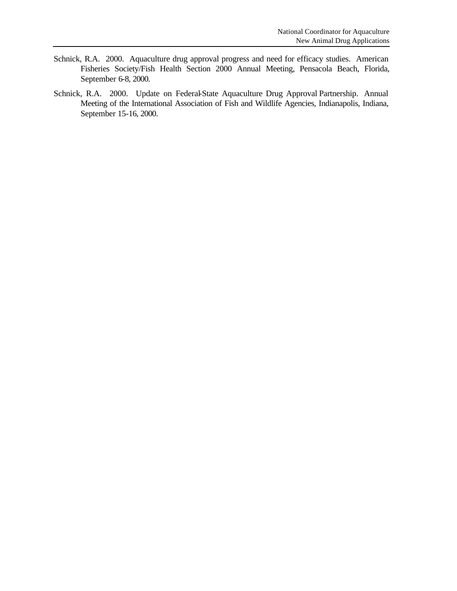- Schnick, R.A. 2000. Aquaculture drug approval progress and need for efficacy studies. American Fisheries Society/Fish Health Section 2000 Annual Meeting, Pensacola Beach, Florida, September 6-8, 2000.
- Schnick, R.A. 2000. Update on Federal-State Aquaculture Drug Approval Partnership. Annual Meeting of the International Association of Fish and Wildlife Agencies, Indianapolis, Indiana, September 15-16, 2000.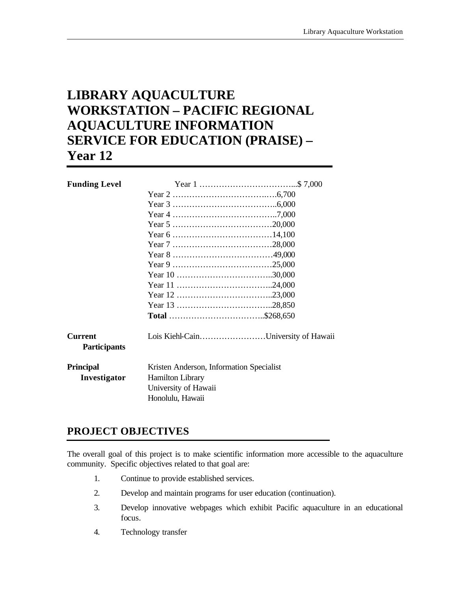# **LIBRARY AQUACULTURE WORKSTATION – PACIFIC REGIONAL AQUACULTURE INFORMATION SERVICE FOR EDUCATION (PRAISE) – Year 12**

| <b>Funding Level</b>                  |                                          |                                     |
|---------------------------------------|------------------------------------------|-------------------------------------|
|                                       |                                          |                                     |
|                                       |                                          |                                     |
|                                       |                                          |                                     |
|                                       |                                          |                                     |
|                                       |                                          |                                     |
|                                       |                                          |                                     |
|                                       |                                          |                                     |
|                                       |                                          |                                     |
|                                       |                                          |                                     |
|                                       |                                          |                                     |
|                                       |                                          |                                     |
|                                       |                                          |                                     |
|                                       |                                          |                                     |
| <b>Current</b><br><b>Participants</b> |                                          | Lois Kiehl-CainUniversity of Hawaii |
| <b>Principal</b>                      | Kristen Anderson, Information Specialist |                                     |
| Investigator                          | <b>Hamilton Library</b>                  |                                     |
|                                       | University of Hawaii                     |                                     |
|                                       | Honolulu, Hawaii                         |                                     |

# **PROJECT OBJECTIVES**

The overall goal of this project is to make scientific information more accessible to the aquaculture community. Specific objectives related to that goal are:

- 1. Continue to provide established services.
- 2. Develop and maintain programs for user education (continuation).
- 3. Develop innovative webpages which exhibit Pacific aquaculture in an educational focus.
- 4. Technology transfer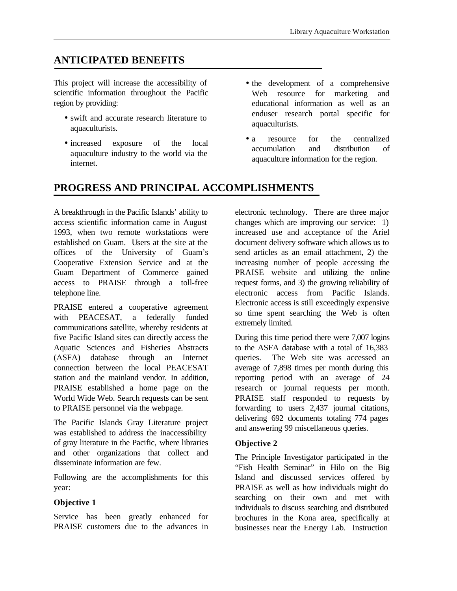# **ANTICIPATED BENEFITS**

This project will increase the accessibility of scientific information throughout the Pacific region by providing:

- swift and accurate research literature to aquaculturists.
- increased exposure of the local aquaculture industry to the world via the internet.
- the development of a comprehensive Web resource for marketing and educational information as well as an enduser research portal specific for aquaculturists.
- a resource for the centralized accumulation and distribution of aquaculture information for the region.

# **PROGRESS AND PRINCIPAL ACCOMPLISHMENTS**

A breakthrough in the Pacific Islands' ability to access scientific information came in August 1993, when two remote workstations were established on Guam. Users at the site at the offices of the University of Guam's Cooperative Extension Service and at the Guam Department of Commerce gained access to PRAISE through a toll-free telephone line.

PRAISE entered a cooperative agreement with PEACESAT, a federally funded communications satellite, whereby residents at five Pacific Island sites can directly access the Aquatic Sciences and Fisheries Abstracts (ASFA) database through an Internet connection between the local PEACESAT station and the mainland vendor. In addition, PRAISE established a home page on the World Wide Web. Search requests can be sent to PRAISE personnel via the webpage.

The Pacific Islands Gray Literature project was established to address the inaccessibility of gray literature in the Pacific, where libraries and other organizations that collect and disseminate information are few.

Following are the accomplishments for this year:

#### **Objective 1**

Service has been greatly enhanced for PRAISE customers due to the advances in

electronic technology. There are three major changes which are improving our service: 1) increased use and acceptance of the Ariel document delivery software which allows us to send articles as an email attachment, 2) the increasing number of people accessing the PRAISE website and utilizing the online request forms, and 3) the growing reliability of electronic access from Pacific Islands. Electronic access is still exceedingly expensive so time spent searching the Web is often extremely limited.

During this time period there were 7,007 logins to the ASFA database with a total of 16,383 queries. The Web site was accessed an average of 7,898 times per month during this reporting period with an average of 24 research or journal requests per month. PRAISE staff responded to requests by forwarding to users 2,437 journal citations, delivering 692 documents totaling 774 pages and answering 99 miscellaneous queries.

#### **Objective 2**

The Principle Investigator participated in the "Fish Health Seminar" in Hilo on the Big Island and discussed services offered by PRAISE as well as how individuals might do searching on their own and met with individuals to discuss searching and distributed brochures in the Kona area, specifically at businesses near the Energy Lab. Instruction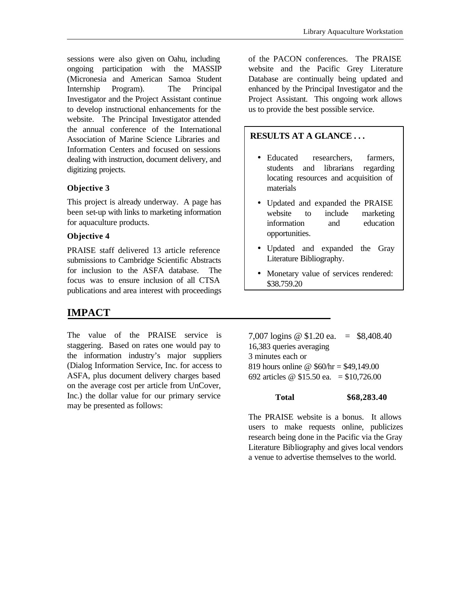sessions were also given on Oahu, including ongoing participation with the MASSIP (Micronesia and American Samoa Student Internship Program). The Principal Investigator and the Project Assistant continue to develop instructional enhancements for the website. The Principal Investigator attended the annual conference of the International Association of Marine Science Libraries and Information Centers and focused on sessions dealing with instruction, document delivery, and digitizing projects.

#### **Objective 3**

This project is already underway. A page has been set-up with links to marketing information for aquaculture products.

#### **Objective 4**

PRAISE staff delivered 13 article reference submissions to Cambridge Scientific Abstracts for inclusion to the ASFA database. The focus was to ensure inclusion of all CTSA publications and area interest with proceedings

## **IMPACT**

The value of the PRAISE service is staggering. Based on rates one would pay to the information industry's major suppliers (Dialog Information Service, Inc. for access to ASFA, plus document delivery charges based on the average cost per article from UnCover, Inc.) the dollar value for our primary service may be presented as follows:

of the PACON conferences. The PRAISE website and the Pacific Grey Literature Database are continually being updated and enhanced by the Principal Investigator and the Project Assistant. This ongoing work allows us to provide the best possible service.

### **RESULTS AT A GLANCE . . .**

- Educated researchers, farmers, students and librarians regarding locating resources and acquisition of materials
- Updated and expanded the PRAISE website to include marketing information and education opportunities.
- Updated and expanded the Gray Literature Bibliography.
- Monetary value of services rendered: \$38,759.20

7,007 logins @ \$1.20 ea. = \$8,408.40 16,383 queries averaging 3 minutes each or 819 hours online @ \$60/hr = \$49,149.00 692 articles @ \$15.50 ea. = \$10,726.00

#### **Total \$68,283.40**

The PRAISE website is a bonus. It allows users to make requests online, publicizes research being done in the Pacific via the Gray Literature Bibliography and gives local vendors a venue to advertise themselves to the world.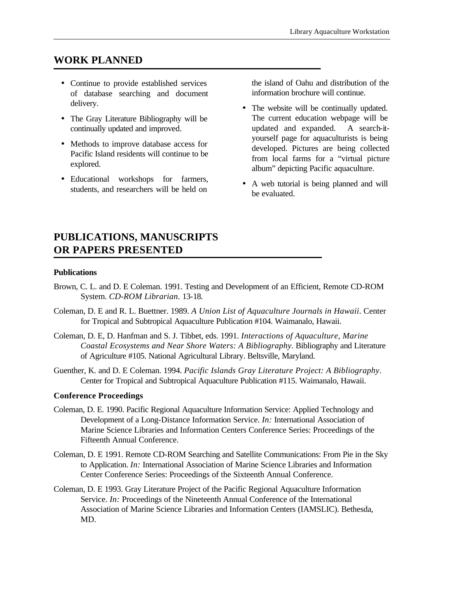# **WORK PLANNED**

- Continue to provide established services of database searching and document delivery.
- The Gray Literature Bibliography will be continually updated and improved.
- Methods to improve database access for Pacific Island residents will continue to be explored.
- Educational workshops for farmers, students, and researchers will be held on

the island of Oahu and distribution of the information brochure will continue.

- The website will be continually updated. The current education webpage will be updated and expanded. A search-ityourself page for aquaculturists is being developed. Pictures are being collected from local farms for a "virtual picture album" depicting Pacific aquaculture.
- A web tutorial is being planned and will be evaluated.

# **PUBLICATIONS, MANUSCRIPTS OR PAPERS PRESENTED**

#### **Publications**

- Brown, C. L. and D. E Coleman. 1991. Testing and Development of an Efficient, Remote CD-ROM System. *CD-ROM Librarian*. 13-18.
- Coleman, D. E and R. L. Buettner. 1989. *A Union List of Aquaculture Journals in Hawaii*. Center for Tropical and Subtropical Aquaculture Publication #104. Waimanalo, Hawaii.
- Coleman, D. E, D. Hanfman and S. J. Tibbet, eds. 1991. *Interactions of Aquaculture, Marine Coastal Ecosystems and Near Shore Waters: A Bibliography*. Bibliography and Literature of Agriculture #105. National Agricultural Library. Beltsville, Maryland.
- Guenther, K. and D. E Coleman. 1994. *Pacific Islands Gray Literature Project: A Bibliography*. Center for Tropical and Subtropical Aquaculture Publication #115. Waimanalo, Hawaii.

#### **Conference Proceedings**

- Coleman, D. E. 1990. Pacific Regional Aquaculture Information Service: Applied Technology and Development of a Long-Distance Information Service. *In:* International Association of Marine Science Libraries and Information Centers Conference Series: Proceedings of the Fifteenth Annual Conference.
- Coleman, D. E 1991. Remote CD-ROM Searching and Satellite Communications: From Pie in the Sky to Application. *In:* International Association of Marine Science Libraries and Information Center Conference Series: Proceedings of the Sixteenth Annual Conference.
- Coleman, D. E 1993. Gray Literature Project of the Pacific Regional Aquaculture Information Service. *In:* Proceedings of the Nineteenth Annual Conference of the International Association of Marine Science Libraries and Information Centers (IAMSLIC). Bethesda, MD.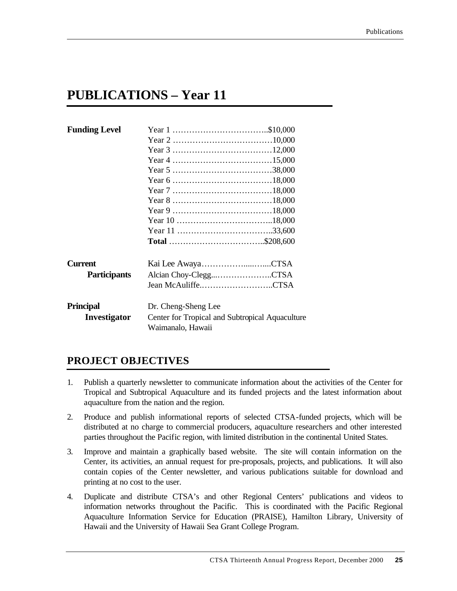# **PUBLICATIONS – Year 11**

| <b>Funding Level</b> |                                                                      |
|----------------------|----------------------------------------------------------------------|
|                      |                                                                      |
|                      |                                                                      |
|                      |                                                                      |
|                      |                                                                      |
|                      |                                                                      |
|                      |                                                                      |
|                      |                                                                      |
|                      |                                                                      |
|                      |                                                                      |
|                      |                                                                      |
|                      | Total \$208,600                                                      |
| <b>Current</b>       | Kai Lee AwayaCTSA                                                    |
| <b>Participants</b>  | Alcian Choy-CleggCTSA                                                |
|                      | Jean McAuliffeCTSA                                                   |
| <b>Principal</b>     | Dr. Cheng-Sheng Lee                                                  |
| Investigator         | Center for Tropical and Subtropical Aquaculture<br>Waimanalo, Hawaii |

# **PROJECT OBJECTIVES**

- 1. Publish a quarterly newsletter to communicate information about the activities of the Center for Tropical and Subtropical Aquaculture and its funded projects and the latest information about aquaculture from the nation and the region.
- 2. Produce and publish informational reports of selected CTSA-funded projects, which will be distributed at no charge to commercial producers, aquaculture researchers and other interested parties throughout the Pacific region, with limited distribution in the continental United States.
- 3. Improve and maintain a graphically based website. The site will contain information on the Center, its activities, an annual request for pre-proposals, projects, and publications. It will also contain copies of the Center newsletter, and various publications suitable for download and printing at no cost to the user.
- 4. Duplicate and distribute CTSA's and other Regional Centers' publications and videos to information networks throughout the Pacific. This is coordinated with the Pacific Regional Aquaculture Information Service for Education (PRAISE), Hamilton Library, University of Hawaii and the University of Hawaii Sea Grant College Program.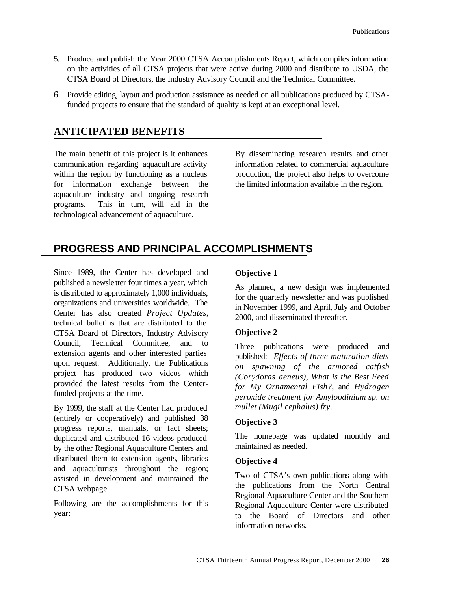- 5. Produce and publish the Year 2000 CTSA Accomplishments Report, which compiles information on the activities of all CTSA projects that were active during 2000 and distribute to USDA, the CTSA Board of Directors, the Industry Advisory Council and the Technical Committee.
- 6. Provide editing, layout and production assistance as needed on all publications produced by CTSAfunded projects to ensure that the standard of quality is kept at an exceptional level.

# **ANTICIPATED BENEFITS**

The main benefit of this project is it enhances communication regarding aquaculture activity within the region by functioning as a nucleus for information exchange between the aquaculture industry and ongoing research programs. This in turn, will aid in the technological advancement of aquaculture.

By disseminating research results and other information related to commercial aquaculture production, the project also helps to overcome the limited information available in the region.

# **PROGRESS AND PRINCIPAL ACCOMPLISHMENTS**

Since 1989, the Center has developed and published a newsletter four times a year, which is distributed to approximately 1,000 individuals, organizations and universities worldwide. The Center has also created *Project Updates*, technical bulletins that are distributed to the CTSA Board of Directors, Industry Advisory Council, Technical Committee, and to extension agents and other interested parties upon request. Additionally, the Publications project has produced two videos which provided the latest results from the Centerfunded projects at the time.

By 1999, the staff at the Center had produced (entirely or cooperatively) and published 38 progress reports, manuals, or fact sheets; duplicated and distributed 16 videos produced by the other Regional Aquaculture Centers and distributed them to extension agents, libraries and aquaculturists throughout the region; assisted in development and maintained the CTSA webpage.

Following are the accomplishments for this year:

### **Objective 1**

As planned, a new design was implemented for the quarterly newsletter and was published in November 1999, and April, July and October 2000, and disseminated thereafter.

#### **Objective 2**

Three publications were produced and published: *Effects of three maturation diets on spawning of the armored catfish (Corydoras aeneus)*, *What is the Best Feed for My Ornamental Fish?*, and *Hydrogen peroxide treatment for Amyloodinium sp. on mullet (Mugil cephalus) fry*.

#### **Objective 3**

The homepage was updated monthly and maintained as needed.

#### **Objective 4**

Two of CTSA's own publications along with the publications from the North Central Regional Aquaculture Center and the Southern Regional Aquaculture Center were distributed to the Board of Directors and other information networks.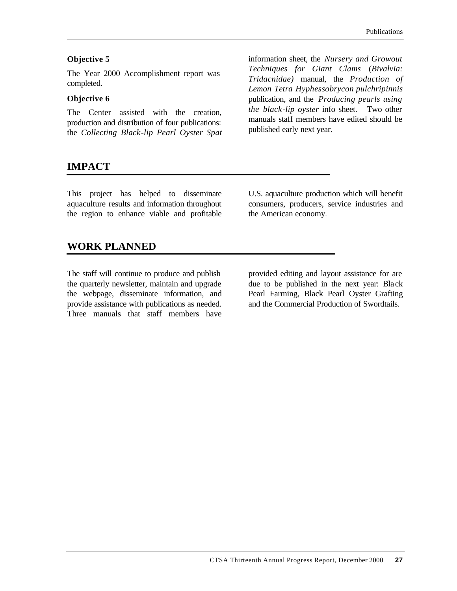#### **Objective 5**

The Year 2000 Accomplishment report was completed.

#### **Objective 6**

The Center assisted with the creation, production and distribution of four publications: the *Collecting Black-lip Pearl Oyster Spat* information sheet, the *Nursery and Growout Techniques for Giant Clams* (*Bivalvia: Tridacnidae)* manual, the *Production of Lemon Tetra Hyphessobrycon pulchripinnis* publication, and the *Producing pearls using the black-lip oyster* info sheet. Two other manuals staff members have edited should be published early next year.

## **IMPACT**

This project has helped to disseminate aquaculture results and information throughout the region to enhance viable and profitable U.S. aquaculture production which will benefit consumers, producers, service industries and the American economy.

### **WORK PLANNED**

The staff will continue to produce and publish the quarterly newsletter, maintain and upgrade the webpage, disseminate information, and provide assistance with publications as needed. Three manuals that staff members have provided editing and layout assistance for are due to be published in the next year: Black Pearl Farming, Black Pearl Oyster Grafting and the Commercial Production of Swordtails.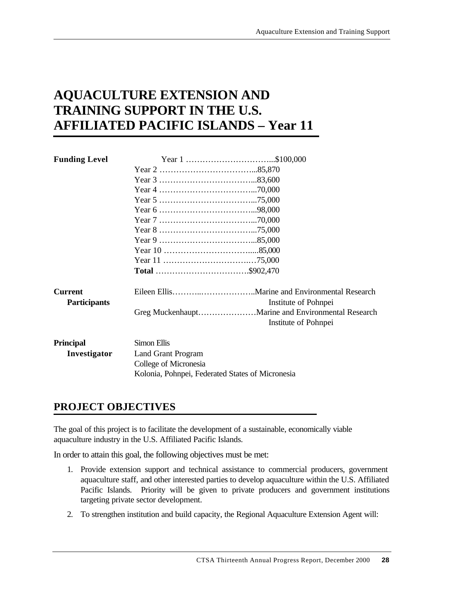# **AQUACULTURE EXTENSION AND TRAINING SUPPORT IN THE U.S. AFFILIATED PACIFIC ISLANDS – Year 11**

| <b>Funding Level</b> |                                                  |                      |
|----------------------|--------------------------------------------------|----------------------|
|                      |                                                  |                      |
|                      |                                                  |                      |
|                      |                                                  |                      |
|                      |                                                  |                      |
|                      |                                                  |                      |
|                      |                                                  |                      |
|                      |                                                  |                      |
|                      |                                                  |                      |
|                      |                                                  |                      |
|                      |                                                  |                      |
|                      |                                                  |                      |
| <b>Current</b>       |                                                  |                      |
| <b>Participants</b>  |                                                  | Institute of Pohnpei |
|                      |                                                  | Institute of Pohnpei |
| <b>Principal</b>     | Simon Ellis                                      |                      |
| Investigator         | <b>Land Grant Program</b>                        |                      |
|                      | College of Micronesia                            |                      |
|                      | Kolonia, Pohnpei, Federated States of Micronesia |                      |

# **PROJECT OBJECTIVES**

The goal of this project is to facilitate the development of a sustainable, economically viable aquaculture industry in the U.S. Affiliated Pacific Islands.

In order to attain this goal, the following objectives must be met:

- 1. Provide extension support and technical assistance to commercial producers, government aquaculture staff, and other interested parties to develop aquaculture within the U.S. Affiliated Pacific Islands. Priority will be given to private producers and government institutions targeting private sector development.
- 2. To strengthen institution and build capacity, the Regional Aquaculture Extension Agent will: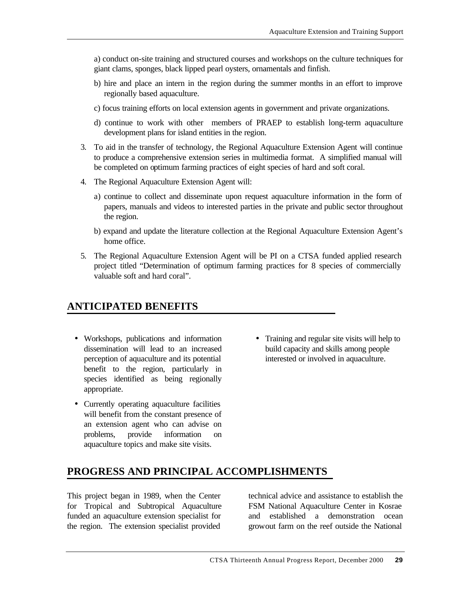a) conduct on-site training and structured courses and workshops on the culture techniques for giant clams, sponges, black lipped pearl oysters, ornamentals and finfish.

- b) hire and place an intern in the region during the summer months in an effort to improve regionally based aquaculture.
- c) focus training efforts on local extension agents in government and private organizations.
- d) continue to work with other members of PRAEP to establish long-term aquaculture development plans for island entities in the region.
- 3. To aid in the transfer of technology, the Regional Aquaculture Extension Agent will continue to produce a comprehensive extension series in multimedia format. A simplified manual will be completed on optimum farming practices of eight species of hard and soft coral.
- 4. The Regional Aquaculture Extension Agent will:
	- a) continue to collect and disseminate upon request aquaculture information in the form of papers, manuals and videos to interested parties in the private and public sector throughout the region.
	- b) expand and update the literature collection at the Regional Aquaculture Extension Agent's home office.
- 5. The Regional Aquaculture Extension Agent will be PI on a CTSA funded applied research project titled "Determination of optimum farming practices for 8 species of commercially valuable soft and hard coral".

# **ANTICIPATED BENEFITS**

- Workshops, publications and information dissemination will lead to an increased perception of aquaculture and its potential benefit to the region, particularly in species identified as being regionally appropriate.
- Currently operating aquaculture facilities will benefit from the constant presence of an extension agent who can advise on problems, provide information on aquaculture topics and make site visits.
- Training and regular site visits will help to build capacity and skills among people interested or involved in aquaculture.

# **PROGRESS AND PRINCIPAL ACCOMPLISHMENTS**

This project began in 1989, when the Center for Tropical and Subtropical Aquaculture funded an aquaculture extension specialist for the region. The extension specialist provided

technical advice and assistance to establish the FSM National Aquaculture Center in Kosrae and established a demonstration ocean growout farm on the reef outside the National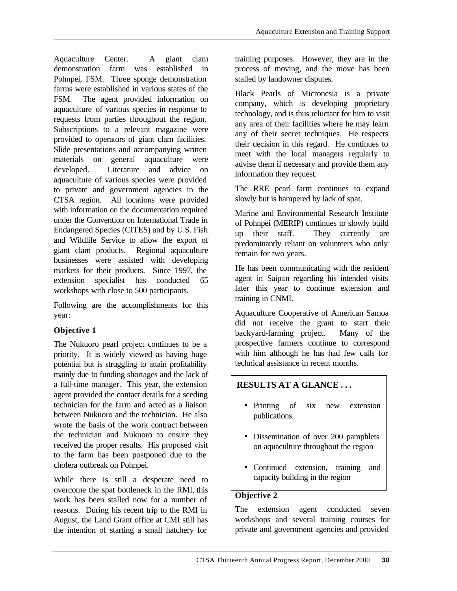Aquaculture Center. A giant clam demonstration farm was established in Pohnpei, FSM. Three sponge demonstration farms were established in various states of the FSM. The agent provided information on aquaculture of various species in response to requests from parties throughout the region. Subscriptions to a relevant magazine were provided to operators of giant clam facilities. Slide presentations and accompanying written materials on general aquaculture were developed. Literature and advice on aquaculture of various species were provided to private and government agencies in the CTSA region. All locations were provided with information on the documentation required under the Convention on International Trade in Endangered Species (CITES) and by U.S. Fish and Wildlife Service to allow the export of giant clam products. Regional aquaculture businesses were assisted with developing markets for their products. Since 1997, the extension specialist has conducted 65 workshops with close to 500 participants.

Following are the accomplishments for this year:

## **Objective 1**

The Nukuoro pearl project continues to be a priority. It is widely viewed as having huge potential but is struggling to attain profitability mainly due to funding shortages and the lack of a full-time manager. This year, the extension agent provided the contact details for a seeding technician for the farm and acted as a liaison between Nukuoro and the technician. He also wrote the basis of the work contract between the technician and Nukuoro to ensure they received the proper results. His proposed visit to the farm has been postponed due to the cholera outbreak on Pohnpei.

While there is still a desperate need to overcome the spat bottleneck in the RMI, this work has been stalled now for a number of reasons. During his recent trip to the RMI in August, the Land Grant office at CMI still has the intention of starting a small hatchery for

training purposes. However, they are in the process of moving, and the move has been stalled by landowner disputes.

Black Pearls of Micronesia is a private company, which is developing proprietary technology, and is thus reluctant for him to visit any area of their facilities where he may learn any of their secret techniques. He respects their decision in this regard. He continues to meet with the local managers regularly to advise them if necessary and provide them any information they request.

The RRE pearl farm continues to expand slowly but is hampered by lack of spat.

Marine and Environmental Research Institute of Pohnpei (MERIP) continues to slowly build up their staff. They currently are predominantly reliant on volunteers who only remain for two years.

He has been communicating with the resident agent in Saipan regarding his intended visits later this year to continue extension and training in CNMI.

Aquaculture Cooperative of American Samoa did not receive the grant to start their backyard-farming project. Many of the prospective farmers continue to correspond with him although he has had few calls for technical assistance in recent months.

## **RESULTS AT A GLANCE . . .**

- Printing of six new extension publications.
- Dissemination of over 200 pamphlets on aquaculture throughout the region
- Continued extension, training and capacity building in the region

## **Objective 2**

The extension agent conducted seven workshops and several training courses for private and government agencies and provided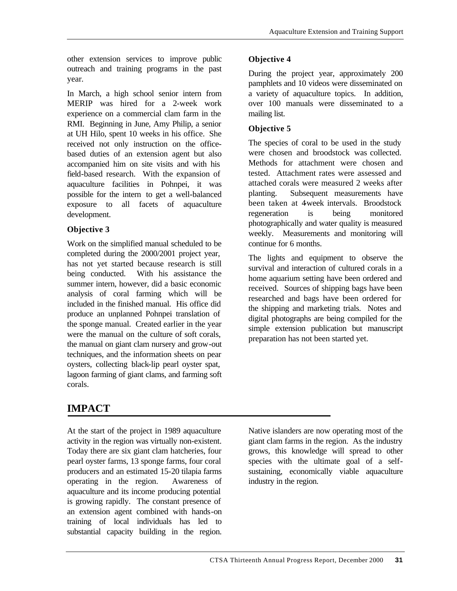other extension services to improve public outreach and training programs in the past year*.*

In March, a high school senior intern from MERIP was hired for a 2-week work experience on a commercial clam farm in the RMI. Beginning in June, Amy Philip, a senior at UH Hilo, spent 10 weeks in his office. She received not only instruction on the officebased duties of an extension agent but also accompanied him on site visits and with his field-based research. With the expansion of aquaculture facilities in Pohnpei, it was possible for the intern to get a well-balanced exposure to all facets of aquaculture development.

### **Objective 3**

Work on the simplified manual scheduled to be completed during the 2000/2001 project year, has not yet started because research is still being conducted. With his assistance the summer intern, however, did a basic economic analysis of coral farming which will be included in the finished manual. His office did produce an unplanned Pohnpei translation of the sponge manual. Created earlier in the year were the manual on the culture of soft corals, the manual on giant clam nursery and grow-out techniques, and the information sheets on pear oysters, collecting black-lip pearl oyster spat, lagoon farming of giant clams, and farming soft corals.

# **Objective 4**

During the project year, approximately 200 pamphlets and 10 videos were disseminated on a variety of aquaculture topics. In addition, over 100 manuals were disseminated to a mailing list.

### **Objective 5**

The species of coral to be used in the study were chosen and broodstock was collected. Methods for attachment were chosen and tested. Attachment rates were assessed and attached corals were measured 2 weeks after planting. Subsequent measurements have been taken at 4-week intervals. Broodstock regeneration is being monitored photographically and water quality is measured weekly. Measurements and monitoring will continue for 6 months.

The lights and equipment to observe the survival and interaction of cultured corals in a home aquarium setting have been ordered and received. Sources of shipping bags have been researched and bags have been ordered for the shipping and marketing trials. Notes and digital photographs are being compiled for the simple extension publication but manuscript preparation has not been started yet.

# **IMPACT**

At the start of the project in 1989 aquaculture activity in the region was virtually non-existent. Today there are six giant clam hatcheries, four pearl oyster farms, 13 sponge farms, four coral producers and an estimated 15-20 tilapia farms operating in the region. Awareness of aquaculture and its income producing potential is growing rapidly. The constant presence of an extension agent combined with hands-on training of local individuals has led to substantial capacity building in the region.

Native islanders are now operating most of the giant clam farms in the region. As the industry grows, this knowledge will spread to other species with the ultimate goal of a selfsustaining, economically viable aquaculture industry in the region.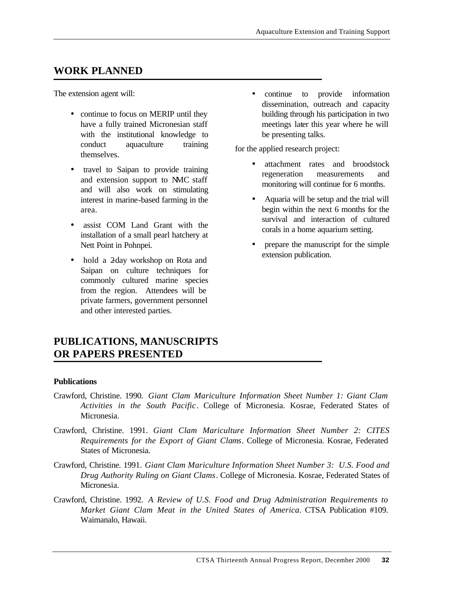# **WORK PLANNED**

The extension agent will:

- continue to focus on MERIP until they have a fully trained Micronesian staff with the institutional knowledge to conduct aquaculture training themselves.
- travel to Saipan to provide training and extension support to NMC staff and will also work on stimulating interest in marine-based farming in the area.
- assist COM Land Grant with the installation of a small pearl hatchery at Nett Point in Pohnpei.
- hold a 2-day workshop on Rota and Saipan on culture techniques for commonly cultured marine species from the region. Attendees will be private farmers, government personnel and other interested parties.

• continue to provide information dissemination, outreach and capacity building through his participation in two meetings later this year where he will be presenting talks.

for the applied research project:

- attachment rates and broodstock regeneration measurements and monitoring will continue for 6 months.
- Aquaria will be setup and the trial will begin within the next 6 months for the survival and interaction of cultured corals in a home aquarium setting.
- prepare the manuscript for the simple extension publication.

# **PUBLICATIONS, MANUSCRIPTS OR PAPERS PRESENTED**

#### **Publications**

- Crawford, Christine. 1990. *Giant Clam Mariculture Information Sheet Number 1: Giant Clam Activities in the South Pacific*. College of Micronesia. Kosrae, Federated States of Micronesia.
- Crawford, Christine. 1991. *Giant Clam Mariculture Information Sheet Number 2: CITES Requirements for the Export of Giant Clams*. College of Micronesia. Kosrae, Federated States of Micronesia.
- Crawford, Christine. 1991. *Giant Clam Mariculture Information Sheet Number 3: U.S. Food and Drug Authority Ruling on Giant Clams*. College of Micronesia. Kosrae, Federated States of Micronesia.
- Crawford, Christine. 1992. *A Review of U.S. Food and Drug Administration Requirements to Market Giant Clam Meat in the United States of America*. CTSA Publication #109. Waimanalo, Hawaii.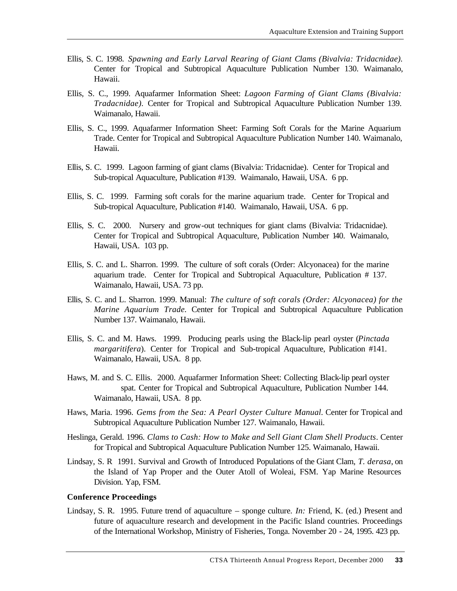- Ellis, S. C. 1998. *Spawning and Early Larval Rearing of Giant Clams (Bivalvia: Tridacnidae).* Center for Tropical and Subtropical Aquaculture Publication Number 130. Waimanalo, Hawaii.
- Ellis, S. C., 1999. Aquafarmer Information Sheet: *Lagoon Farming of Giant Clams (Bivalvia: Tradacnidae).* Center for Tropical and Subtropical Aquaculture Publication Number 139. Waimanalo, Hawaii.
- Ellis, S. C., 1999. Aquafarmer Information Sheet: Farming Soft Corals for the Marine Aquarium Trade. Center for Tropical and Subtropical Aquaculture Publication Number 140. Waimanalo, Hawaii.
- Ellis, S. C. 1999. Lagoon farming of giant clams (Bivalvia: Tridacnidae). Center for Tropical and Sub-tropical Aquaculture, Publication #139. Waimanalo, Hawaii, USA. 6 pp.
- Ellis, S. C. 1999. Farming soft corals for the marine aquarium trade. Center for Tropical and Sub-tropical Aquaculture, Publication #140. Waimanalo, Hawaii, USA. 6 pp.
- Ellis, S. C. 2000. Nursery and grow-out techniques for giant clams (Bivalvia: Tridacnidae). Center for Tropical and Subtropical Aquaculture, Publication Number 140. Waimanalo, Hawaii, USA. 103 pp.
- Ellis, S. C. and L. Sharron. 1999. The culture of soft corals (Order: Alcyonacea) for the marine aquarium trade. Center for Tropical and Subtropical Aquaculture, Publication # 137. Waimanalo, Hawaii, USA. 73 pp.
- Ellis, S. C. and L. Sharron. 1999. Manual: *The culture of soft corals (Order: Alcyonacea) for the Marine Aquarium Trade.* Center for Tropical and Subtropical Aquaculture Publication Number 137. Waimanalo, Hawaii.
- Ellis, S. C. and M. Haws. 1999. Producing pearls using the Black-lip pearl oyster (*Pinctada margaritifera*). Center for Tropical and Sub-tropical Aquaculture, Publication #141. Waimanalo, Hawaii, USA. 8 pp.
- Haws, M. and S. C. Ellis. 2000. Aquafarmer Information Sheet: Collecting Black-lip pearl oyster spat. Center for Tropical and Subtropical Aquaculture, Publication Number 144. Waimanalo, Hawaii, USA. 8 pp.
- Haws, Maria. 1996. *Gems from the Sea: A Pearl Oyster Culture Manual.* Center for Tropical and Subtropical Aquaculture Publication Number 127. Waimanalo, Hawaii.
- Heslinga, Gerald. 1996. *Clams to Cash: How to Make and Sell Giant Clam Shell Products*. Center for Tropical and Subtropical Aquaculture Publication Number 125. Waimanalo, Hawaii.
- Lindsay, S. R 1991. Survival and Growth of Introduced Populations of the Giant Clam, *T. derasa*, on the Island of Yap Proper and the Outer Atoll of Woleai, FSM. Yap Marine Resources Division. Yap, FSM.

#### **Conference Proceedings**

Lindsay, S. R. 1995. Future trend of aquaculture – sponge culture. *In:* Friend, K. (ed.) Present and future of aquaculture research and development in the Pacific Island countries. Proceedings of the International Workshop, Ministry of Fisheries, Tonga. November 20 - 24, 1995. 423 pp.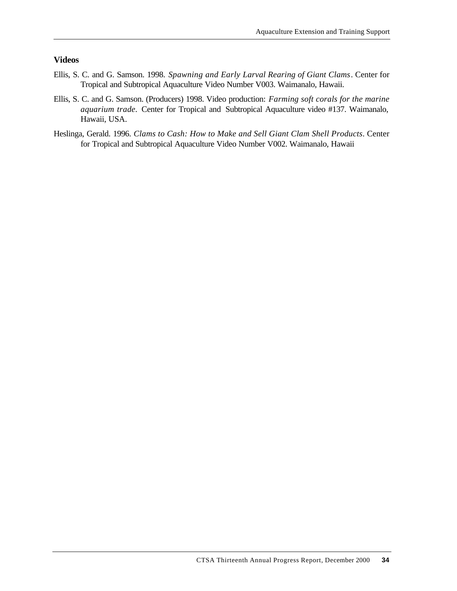#### **Videos**

- Ellis, S. C. and G. Samson. 1998. *Spawning and Early Larval Rearing of Giant Clams*. Center for Tropical and Subtropical Aquaculture Video Number V003. Waimanalo, Hawaii.
- Ellis, S. C. and G. Samson. (Producers) 1998. Video production: *Farming soft corals for the marine aquarium trade.* Center for Tropical and Subtropical Aquaculture video #137. Waimanalo, Hawaii, USA.
- Heslinga, Gerald. 1996. *Clams to Cash: How to Make and Sell Giant Clam Shell Products*. Center for Tropical and Subtropical Aquaculture Video Number V002. Waimanalo, Hawaii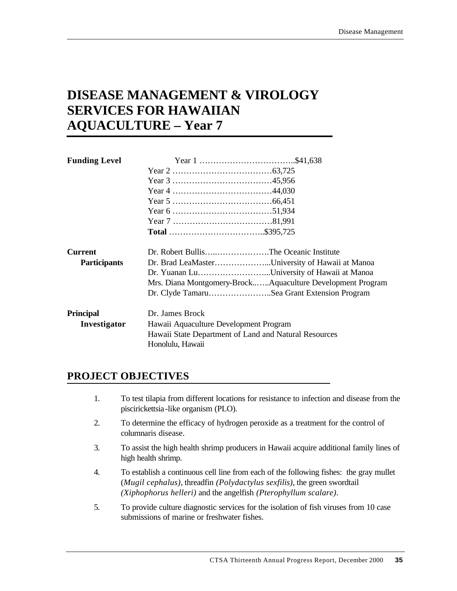# **DISEASE MANAGEMENT & VIROLOGY SERVICES FOR HAWAIIAN AQUACULTURE – Year 7**

| <b>Funding Level</b> |                                                       |                                                            |  |
|----------------------|-------------------------------------------------------|------------------------------------------------------------|--|
|                      |                                                       |                                                            |  |
|                      |                                                       |                                                            |  |
|                      |                                                       |                                                            |  |
|                      |                                                       |                                                            |  |
|                      |                                                       |                                                            |  |
|                      |                                                       |                                                            |  |
|                      |                                                       |                                                            |  |
| <b>Current</b>       |                                                       | Dr. Robert BullisThe Oceanic Institute                     |  |
| <b>Participants</b>  |                                                       | Dr. Brad LeaMasterUniversity of Hawaii at Manoa            |  |
|                      |                                                       | Dr. Yuanan LuUniversity of Hawaii at Manoa                 |  |
|                      |                                                       | Mrs. Diana Montgomery-BrockAquaculture Development Program |  |
|                      |                                                       | Dr. Clyde TamaruSea Grant Extension Program                |  |
| Principal            | Dr. James Brock                                       |                                                            |  |
| Investigator         | Hawaii Aquaculture Development Program                |                                                            |  |
|                      | Hawaii State Department of Land and Natural Resources |                                                            |  |
|                      | Honolulu, Hawaii                                      |                                                            |  |

# **PROJECT OBJECTIVES**

- 1. To test tilapia from different locations for resistance to infection and disease from the piscirickettsia-like organism (PLO).
- 2. To determine the efficacy of hydrogen peroxide as a treatment for the control of columnaris disease.
- 3. To assist the high health shrimp producers in Hawaii acquire additional family lines of high health shrimp.
- 4. To establish a continuous cell line from each of the following fishes: the gray mullet (*Mugil cephalus)*, threadfin *(Polydactylus sexfilis)*, the green swordtail *(Xiphophorus helleri)* and the angelfish *(Pterophyllum scalare)*.
- 5. To provide culture diagnostic services for the isolation of fish viruses from 10 case submissions of marine or freshwater fishes.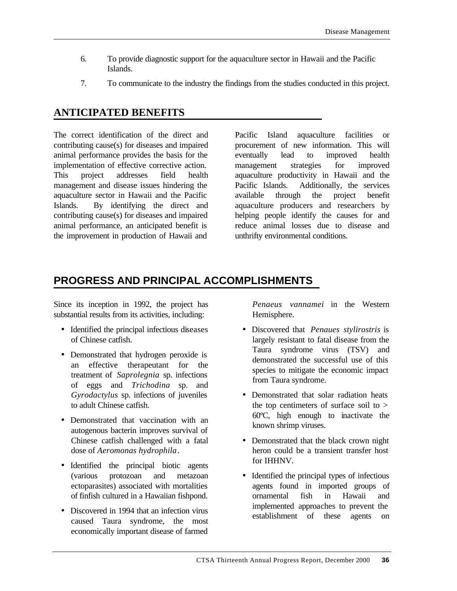- 6. To provide diagnostic support for the aquaculture sector in Hawaii and the Pacific Islands.
- 7. To communicate to the industry the findings from the studies conducted in this project.

# **ANTICIPATED BENEFITS**

The correct identification of the direct and contributing cause(s) for diseases and impaired animal performance provides the basis for the implementation of effective corrective action. This project addresses field health management and disease issues hindering the aquaculture sector in Hawaii and the Pacific Islands. By identifying the direct and contributing cause(s) for diseases and impaired animal performance, an anticipated benefit is the improvement in production of Hawaii and

Pacific Island aquaculture facilities or procurement of new information. This will eventually lead to improved health management strategies for improved aquaculture productivity in Hawaii and the Pacific Islands. Additionally, the services available through the project benefit aquaculture producers and researchers by helping people identify the causes for and reduce animal losses due to disease and unthrifty environmental conditions.

# **PROGRESS AND PRINCIPAL ACCOMPLISHMENTS**

Since its inception in 1992, the project has substantial results from its activities, including:

- Identified the principal infectious diseases of Chinese catfish.
- Demonstrated that hydrogen peroxide is an effective therapeutant for the treatment of *Saprolegnia* sp. infections of eggs and *Trichodina* sp. and *Gyrodactylus* sp. infections of juveniles to adult Chinese catfish.
- Demonstrated that vaccination with an autogenous bacterin improves survival of Chinese catfish challenged with a fatal dose of *Aeromonas hydrophila*.
- Identified the principal biotic agents (various protozoan and metazoan ectoparasites) associated with mortalities of finfish cultured in a Hawaiian fishpond.
- Discovered in 1994 that an infection virus caused Taura syndrome, the most economically important disease of farmed

*Penaeus vannamei* in the Western Hemisphere.

- Discovered that *Penaues stylirostris* is largely resistant to fatal disease from the Taura syndrome virus (TSV) and demonstrated the successful use of this species to mitigate the economic impact from Taura syndrome.
- Demonstrated that solar radiation heats the top centimeters of surface soil to  $>$ 60ºC, high enough to inactivate the known shrimp viruses.
- Demonstrated that the black crown night heron could be a transient transfer host for IHHNV.
- Identified the principal types of infectious agents found in imported groups of ornamental fish in Hawaii and implemented approaches to prevent the establishment of these agents on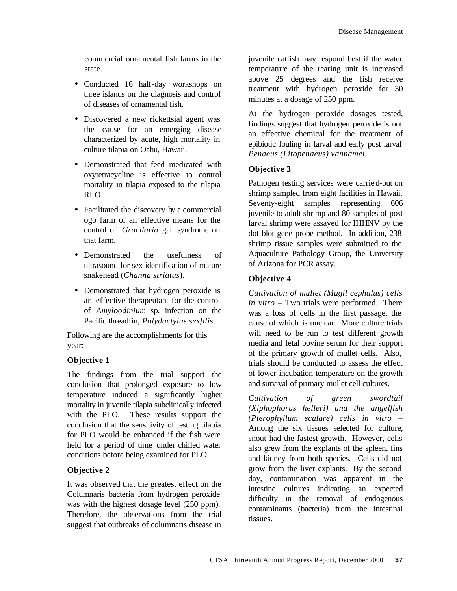commercial ornamental fish farms in the state.

- Conducted 16 half-day workshops on three islands on the diagnosis and control of diseases of ornamental fish.
- Discovered a new rickettsial agent was the cause for an emerging disease characterized by acute, high mortality in culture tilapia on Oahu, Hawaii.
- Demonstrated that feed medicated with oxytetracycline is effective to control mortality in tilapia exposed to the tilapia RLO.
- Facilitated the discovery by a commercial ogo farm of an effective means for the control of *Gracilaria* gall syndrome on that farm.
- Demonstrated the usefulness of ultrasound for sex identification of mature snakehead (*Channa striatus*).
- Demonstrated that hydrogen peroxide is an effective therapeutant for the control of *Amyloodinium* sp. infection on the Pacific threadfin, *Polydactylus sexfilis*.

Following are the accomplishments for this year:

### **Objective 1**

The findings from the trial support the conclusion that prolonged exposure to low temperature induced a significantly higher mortality in juvenile tilapia subclinically infected with the PLO. These results support the conclusion that the sensitivity of testing tilapia for PLO would be enhanced if the fish were held for a period of time under chilled water conditions before being examined for PLO.

## **Objective 2**

It was observed that the greatest effect on the Columnaris bacteria from hydrogen peroxide was with the highest dosage level (250 ppm). Therefore, the observations from the trial suggest that outbreaks of columnaris disease in

juvenile catfish may respond best if the water temperature of the rearing unit is increased above 25 degrees and the fish receive treatment with hydrogen peroxide for 30 minutes at a dosage of 250 ppm.

At the hydrogen peroxide dosages tested, findings suggest that hydrogen peroxide is not an effective chemical for the treatment of epibiotic fouling in larval and early post larval *Penaeus (Litopenaeus) vannamei*.

## **Objective 3**

Pathogen testing services were carried-out on shrimp sampled from eight facilities in Hawaii. Seventy-eight samples representing 606 juvenile to adult shrimp and 80 samples of post larval shrimp were assayed for IHHNV by the dot blot gene probe method. In addition, 238 shrimp tissue samples were submitted to the Aquaculture Pathology Group, the University of Arizona for PCR assay.

## **Objective 4**

*Cultivation of mullet (Mugil cephalus) cells in vitro* – Two trials were performed. There was a loss of cells in the first passage, the cause of which is unclear. More culture trials will need to be run to test different growth media and fetal bovine serum for their support of the primary growth of mullet cells. Also, trials should be conducted to assess the effect of lower incubation temperature on the growth and survival of primary mullet cell cultures.

*Cultivation of green swordtail (Xiphophorus helleri) and the angelfish (Pterophyllum scalare) cells in vitro* – Among the six tissues selected for culture, snout had the fastest growth. However, cells also grew from the explants of the spleen, fins and kidney from both species. Cells did not grow from the liver explants. By the second day, contamination was apparent in the intestine cultures indicating an expected difficulty in the removal of endogenous contaminants (bacteria) from the intestinal tissues.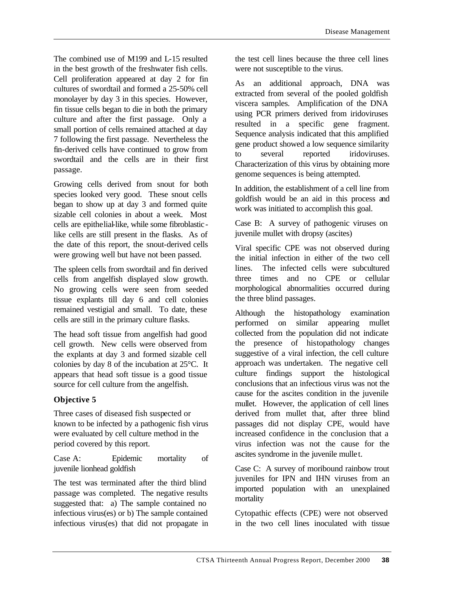The combined use of M199 and L-15 resulted in the best growth of the freshwater fish cells. Cell proliferation appeared at day 2 for fin cultures of swordtail and formed a 25-50% cell monolayer by day 3 in this species. However, fin tissue cells began to die in both the primary culture and after the first passage. Only a small portion of cells remained attached at day 7 following the first passage. Nevertheless the fin-derived cells have continued to grow from swordtail and the cells are in their first passage.

Growing cells derived from snout for both species looked very good. These snout cells began to show up at day 3 and formed quite sizable cell colonies in about a week. Most cells are epithelial-like, while some fibroblasticlike cells are still present in the flasks. As of the date of this report, the snout-derived cells were growing well but have not been passed.

The spleen cells from swordtail and fin derived cells from angelfish displayed slow growth. No growing cells were seen from seeded tissue explants till day 6 and cell colonies remained vestigial and small. To date, these cells are still in the primary culture flasks.

The head soft tissue from angelfish had good cell growth. New cells were observed from the explants at day 3 and formed sizable cell colonies by day 8 of the incubation at 25°C. It appears that head soft tissue is a good tissue source for cell culture from the angelfish.

### **Objective 5**

Three cases of diseased fish suspected or known to be infected by a pathogenic fish virus were evaluated by cell culture method in the period covered by this report.

Case A: Epidemic mortality of juvenile lionhead goldfish

The test was terminated after the third blind passage was completed. The negative results suggested that: a) The sample contained no infectious virus(es) or b) The sample contained infectious virus(es) that did not propagate in the test cell lines because the three cell lines were not susceptible to the virus.

As an additional approach, DNA was extracted from several of the pooled goldfish viscera samples. Amplification of the DNA using PCR primers derived from iridoviruses resulted in a specific gene fragment. Sequence analysis indicated that this amplified gene product showed a low sequence similarity to several reported iridoviruses. Characterization of this virus by obtaining more genome sequences is being attempted.

In addition, the establishment of a cell line from goldfish would be an aid in this process and work was initiated to accomplish this goal.

Case B: A survey of pathogenic viruses on juvenile mullet with dropsy (ascites)

Viral specific CPE was not observed during the initial infection in either of the two cell lines. The infected cells were subcultured three times and no CPE or cellular morphological abnormalities occurred during the three blind passages.

Although the histopathology examination performed on similar appearing mullet collected from the population did not indicate the presence of histopathology changes suggestive of a viral infection, the cell culture approach was undertaken. The negative cell culture findings support the histological conclusions that an infectious virus was not the cause for the ascites condition in the juvenile mullet. However, the application of cell lines derived from mullet that, after three blind passages did not display CPE, would have increased confidence in the conclusion that a virus infection was not the cause for the ascites syndrome in the juvenile mullet.

Case C: A survey of moribound rainbow trout juveniles for IPN and IHN viruses from an imported population with an unexplained mortality

Cytopathic effects (CPE) were not observed in the two cell lines inoculated with tissue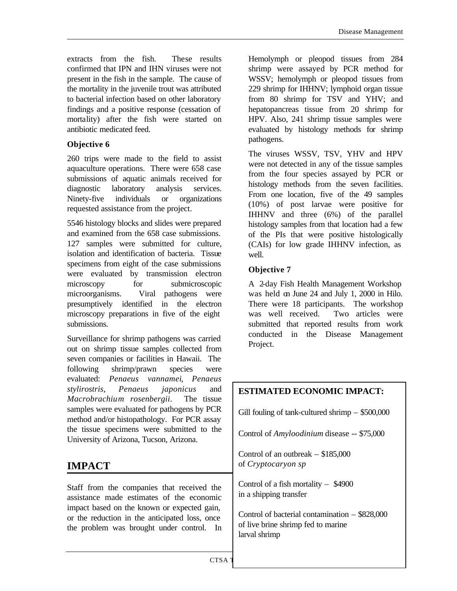extracts from the fish. These results confirmed that IPN and IHN viruses were not present in the fish in the sample. The cause of the mortality in the juvenile trout was attributed to bacterial infection based on other laboratory findings and a positive response (cessation of mortality) after the fish were started on antibiotic medicated feed.

### **Objective 6**

260 trips were made to the field to assist aquaculture operations. There were 658 case submissions of aquatic animals received for diagnostic laboratory analysis services. Ninety-five individuals or organizations requested assistance from the project.

5546 histology blocks and slides were prepared and examined from the 658 case submissions. 127 samples were submitted for culture, isolation and identification of bacteria. Tissue specimens from eight of the case submissions were evaluated by transmission electron microscopy for submicroscopic microorganisms. Viral pathogens were presumptively identified in the electron microscopy preparations in five of the eight submissions.

Surveillance for shrimp pathogens was carried out on shrimp tissue samples collected from seven companies or facilities in Hawaii. The following shrimp/prawn species were evaluated: *Penaeus vannamei*, *Penaeus stylirostris*, *Penaeus japonicus* and *Macrobrachium rosenbergii*. The tissue samples were evaluated for pathogens by PCR method and/or histopathology. For PCR assay the tissue specimens were submitted to the University of Arizona, Tucson, Arizona.

## **IMPACT**

Staff from the companies that received the assistance made estimates of the economic impact based on the known or expected gain, or the reduction in the anticipated loss, once the problem was brought under control. In Hemolymph or pleopod tissues from 284 shrimp were assayed by PCR method for WSSV; hemolymph or pleopod tissues from 229 shrimp for IHHNV; lymphoid organ tissue from 80 shrimp for TSV and YHV; and hepatopancreas tissue from 20 shrimp for HPV. Also, 241 shrimp tissue samples were evaluated by histology methods for shrimp pathogens.

The viruses WSSV, TSV, YHV and HPV were not detected in any of the tissue samples from the four species assayed by PCR or histology methods from the seven facilities. From one location, five of the 49 samples (10%) of post larvae were positive for IHHNV and three (6%) of the parallel histology samples from that location had a few of the PIs that were positive histologically (CAIs) for low grade IHHNV infection, as well.

## **Objective 7**

A 2-day Fish Health Management Workshop was held on June 24 and July 1, 2000 in Hilo. There were 18 participants. The workshop was well received. Two articles were submitted that reported results from work conducted in the Disease Management Project.

## **ESTIMATED ECONOMIC IMPACT:**

Gill fouling of tank-cultured shrimp – \$500,000

Control of *Amyloodinium* disease -- \$75,000

Control of an outbreak – \$185,000 of *Cryptocaryon sp*

Control of a fish mortality – \$4900 in a shipping transfer

Control of bacterial contamination – \$828,000 of live brine shrimp fed to marine larval shrimp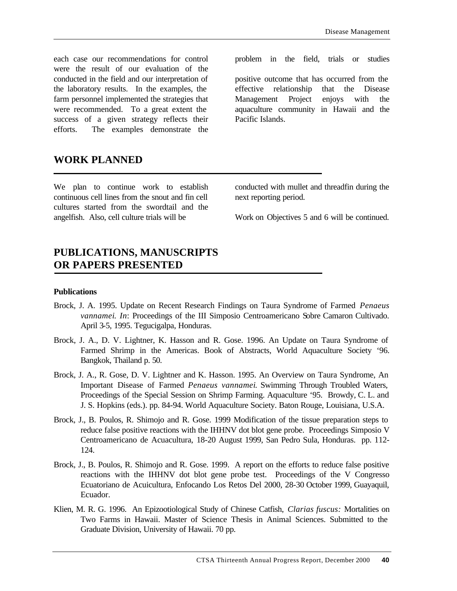each case our recommendations for control were the result of our evaluation of the conducted in the field and our interpretation of the laboratory results. In the examples, the farm personnel implemented the strategies that were recommended. To a great extent the success of a given strategy reflects their efforts. The examples demonstrate the problem in the field, trials or studies

positive outcome that has occurred from the effective relationship that the Disease Management Project enjoys with the aquaculture community in Hawaii and the Pacific Islands.

## **WORK PLANNED**

We plan to continue work to establish continuous cell lines from the snout and fin cell cultures started from the swordtail and the angelfish. Also, cell culture trials will be

conducted with mullet and threadfin during the next reporting period.

Work on Objectives 5 and 6 will be continued.

## **PUBLICATIONS, MANUSCRIPTS OR PAPERS PRESENTED**

#### **Publications**

- Brock, J. A. 1995. Update on Recent Research Findings on Taura Syndrome of Farmed *Penaeus vannamei*. *In*: Proceedings of the III Simposio Centroamericano Sobre Camaron Cultivado. April 3-5, 1995. Tegucigalpa, Honduras.
- Brock, J. A., D. V. Lightner, K. Hasson and R. Gose. 1996. An Update on Taura Syndrome of Farmed Shrimp in the Americas. Book of Abstracts, World Aquaculture Society '96. Bangkok, Thailand p. 50.
- Brock, J. A., R. Gose, D. V. Lightner and K. Hasson. 1995. An Overview on Taura Syndrome, An Important Disease of Farmed *Penaeus vannamei*. Swimming Through Troubled Waters, Proceedings of the Special Session on Shrimp Farming. Aquaculture '95. Browdy, C. L. and J. S. Hopkins (eds.). pp. 84-94. World Aquaculture Society. Baton Rouge, Louisiana, U.S.A.
- Brock, J., B. Poulos, R. Shimojo and R. Gose. 1999 Modification of the tissue preparation steps to reduce false positive reactions with the IHHNV dot blot gene probe. Proceedings Simposio V Centroamericano de Acuacultura, 18-20 August 1999, San Pedro Sula, Honduras. pp. 112- 124.
- Brock, J., B. Poulos, R. Shimojo and R. Gose. 1999. A report on the efforts to reduce false positive reactions with the IHHNV dot blot gene probe test. Proceedings of the V Congresso Ecuatoriano de Acuicultura, Enfocando Los Retos Del 2000, 28-30 October 1999, Guayaquil, Ecuador.
- Klien, M. R. G. 1996. An Epizootiological Study of Chinese Catfish, *Clarias fuscus:* Mortalities on Two Farms in Hawaii. Master of Science Thesis in Animal Sciences. Submitted to the Graduate Division, University of Hawaii. 70 pp.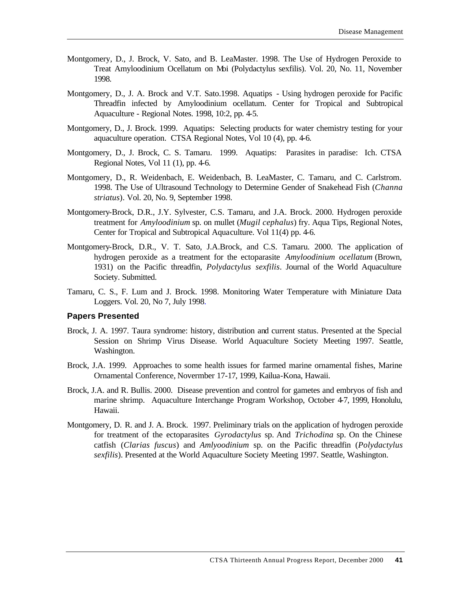- Montgomery, D., J. Brock, V. Sato, and B. LeaMaster. 1998. The Use of Hydrogen Peroxide to Treat Amyloodinium Ocellatum on Moi (Polydactylus sexfilis). Vol. 20, No. 11, November 1998.
- Montgomery, D., J. A. Brock and V.T. Sato.1998. Aquatips Using hydrogen peroxide for Pacific Threadfin infected by Amyloodinium ocellatum. Center for Tropical and Subtropical Aquaculture - Regional Notes. 1998, 10:2, pp. 4-5.
- Montgomery, D., J. Brock. 1999. Aquatips: Selecting products for water chemistry testing for your aquaculture operation. CTSA Regional Notes, Vol 10 (4), pp. 4-6.
- Montgomery, D., J. Brock, C. S. Tamaru. 1999. Aquatips: Parasites in paradise: Ich. CTSA Regional Notes, Vol 11 (1), pp. 4-6.
- Montgomery, D., R. Weidenbach, E. Weidenbach, B. LeaMaster, C. Tamaru, and C. Carlstrom. 1998. The Use of Ultrasound Technology to Determine Gender of Snakehead Fish (*Channa striatus*). Vol. 20, No. 9, September 1998.
- Montgomery-Brock, D.R., J.Y. Sylvester, C.S. Tamaru, and J.A. Brock. 2000. Hydrogen peroxide treatment for *Amyloodinium* sp. on mullet (*Mugil cephalus*) fry. Aqua Tips, Regional Notes, Center for Tropical and Subtropical Aquaculture. Vol 11(4) pp. 4-6.
- Montgomery-Brock, D.R., V. T. Sato, J.A.Brock, and C.S. Tamaru. 2000. The application of hydrogen peroxide as a treatment for the ectoparasite *Amyloodinium ocellatum* (Brown, 1931) on the Pacific threadfin, *Polydactylus sexfilis*. Journal of the World Aquaculture Society. Submitted.
- Tamaru, C. S., F. Lum and J. Brock. 1998. Monitoring Water Temperature with Miniature Data Loggers. Vol. 20, No 7, July 1998.

#### **Papers Presented**

- Brock, J. A. 1997. Taura syndrome: history, distribution and current status. Presented at the Special Session on Shrimp Virus Disease. World Aquaculture Society Meeting 1997. Seattle, Washington.
- Brock, J.A. 1999. Approaches to some health issues for farmed marine ornamental fishes, Marine Ornamental Conference, Novermber 17-17, 1999, Kailua-Kona, Hawaii.
- Brock, J.A. and R. Bullis. 2000. Disease prevention and control for gametes and embryos of fish and marine shrimp. Aquaculture Interchange Program Workshop, October 4-7, 1999, Honolulu, Hawaii.
- Montgomery, D. R. and J. A. Brock. 1997. Preliminary trials on the application of hydrogen peroxide for treatment of the ectoparasites *Gyrodactylus* sp. And *Trichodina* sp. On the Chinese catfish (*Clarias fuscus*) and *Amlyoodinium* sp. on the Pacific threadfin (*Polydactylus sexfilis*). Presented at the World Aquaculture Society Meeting 1997. Seattle, Washington.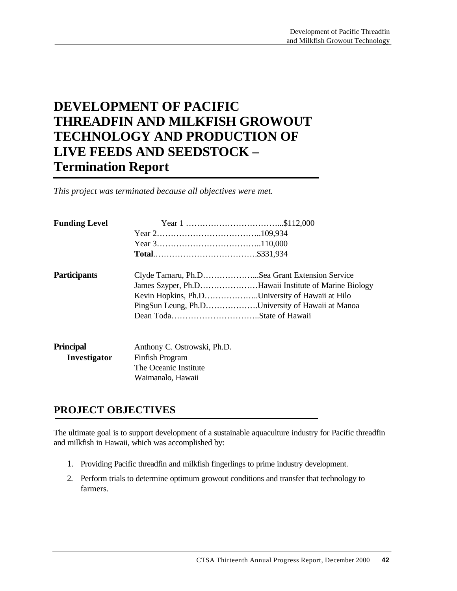# **DEVELOPMENT OF PACIFIC THREADFIN AND MILKFISH GROWOUT TECHNOLOGY AND PRODUCTION OF LIVE FEEDS AND SEEDSTOCK – Termination Report**

*This project was terminated because all objectives were met.*

| <b>Funding Level</b> |                             |                                                      |
|----------------------|-----------------------------|------------------------------------------------------|
|                      |                             |                                                      |
|                      |                             |                                                      |
|                      |                             |                                                      |
| <b>Participants</b>  |                             | Clyde Tamaru, Ph.DSea Grant Extension Service        |
|                      |                             | James Szyper, Ph.DHawaii Institute of Marine Biology |
|                      |                             | Kevin Hopkins, Ph.DUniversity of Hawaii at Hilo      |
|                      |                             | PingSun Leung, Ph.DUniversity of Hawaii at Manoa     |
|                      |                             |                                                      |
| <b>Principal</b>     | Anthony C. Ostrowski, Ph.D. |                                                      |
| Investigator         | Finfish Program             |                                                      |
|                      | The Oceanic Institute       |                                                      |
|                      | Waimanalo, Hawaii           |                                                      |

## **PROJECT OBJECTIVES**

The ultimate goal is to support development of a sustainable aquaculture industry for Pacific threadfin and milkfish in Hawaii, which was accomplished by:

- 1. Providing Pacific threadfin and milkfish fingerlings to prime industry development.
- 2. Perform trials to determine optimum growout conditions and transfer that technology to farmers.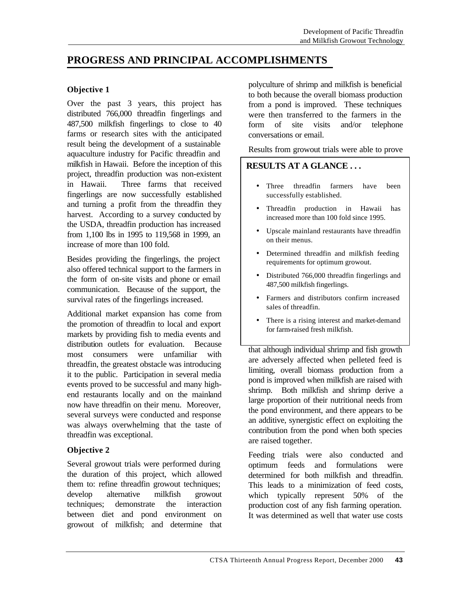## **PROGRESS AND PRINCIPAL ACCOMPLISHMENTS**

#### **Objective 1**

Over the past 3 years, this project has distributed 766,000 threadfin fingerlings and 487,500 milkfish fingerlings to close to 40 farms or research sites with the anticipated result being the development of a sustainable aquaculture industry for Pacific threadfin and milkfish in Hawaii. Before the inception of this project, threadfin production was non-existent in Hawaii. Three farms that received fingerlings are now successfully established and turning a profit from the threadfin they harvest. According to a survey conducted by the USDA, threadfin production has increased from 1,100 lbs in 1995 to 119,568 in 1999, an increase of more than 100 fold.

Besides providing the fingerlings, the project also offered technical support to the farmers in the form of on-site visits and phone or email communication. Because of the support, the survival rates of the fingerlings increased.

Additional market expansion has come from the promotion of threadfin to local and export markets by providing fish to media events and distribution outlets for evaluation. Because most consumers were unfamiliar with threadfin, the greatest obstacle was introducing it to the public. Participation in several media events proved to be successful and many highend restaurants locally and on the mainland now have threadfin on their menu. Moreover, several surveys were conducted and response was always overwhelming that the taste of threadfin was exceptional.

#### **Objective 2**

Several growout trials were performed during the duration of this project, which allowed them to: refine threadfin growout techniques; develop alternative milkfish growout techniques; demonstrate the interaction between diet and pond environment on growout of milkfish; and determine that

polyculture of shrimp and milkfish is beneficial to both because the overall biomass production from a pond is improved. These techniques were then transferred to the farmers in the form of site visits and/or telephone conversations or email.

Results from growout trials were able to prove

### **RESULTS AT A GLANCE . . .**

- Three threadfin farmers have been successfully established.
- Threadfin production in Hawaii has increased more than 100 fold since 1995.
- Upscale mainland restaurants have threadfin on their menus.
- Determined threadfin and milkfish feeding requirements for optimum growout.
- Distributed 766,000 threadfin fingerlings and 487,500 milkfish fingerlings.
- Farmers and distributors confirm increased sales of threadfin.
- There is a rising interest and market-demand for farm-raised fresh milkfish.

that although individual shrimp and fish growth are adversely affected when pelleted feed is limiting, overall biomass production from a pond is improved when milkfish are raised with shrimp. Both milkfish and shrimp derive a large proportion of their nutritional needs from the pond environment, and there appears to be an additive, synergistic effect on exploiting the contribution from the pond when both species are raised together.

Feeding trials were also conducted and optimum feeds and formulations were determined for both milkfish and threadfin. This leads to a minimization of feed costs, which typically represent 50% of the production cost of any fish farming operation. It was determined as well that water use costs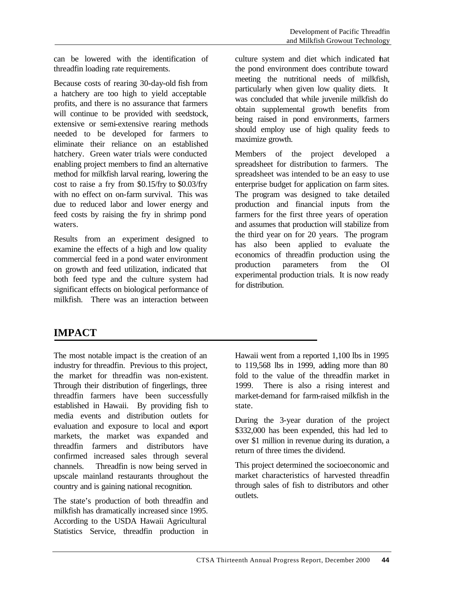can be lowered with the identification of threadfin loading rate requirements.

Because costs of rearing 30-day-old fish from a hatchery are too high to yield acceptable profits, and there is no assurance that farmers will continue to be provided with seedstock, extensive or semi-extensive rearing methods needed to be developed for farmers to eliminate their reliance on an established hatchery. Green water trials were conducted enabling project members to find an alternative method for milkfish larval rearing, lowering the cost to raise a fry from \$0.15/fry to \$0.03/fry with no effect on on-farm survival. This was due to reduced labor and lower energy and feed costs by raising the fry in shrimp pond waters.

Results from an experiment designed to examine the effects of a high and low quality commercial feed in a pond water environment on growth and feed utilization, indicated that both feed type and the culture system had significant effects on biological performance of milkfish. There was an interaction between culture system and diet which indicated hat the pond environment does contribute toward meeting the nutritional needs of milkfish, particularly when given low quality diets. It was concluded that while juvenile milkfish do obtain supplemental growth benefits from being raised in pond environments, farmers should employ use of high quality feeds to maximize growth.

Members of the project developed a spreadsheet for distribution to farmers. The spreadsheet was intended to be an easy to use enterprise budget for application on farm sites. The program was designed to take detailed production and financial inputs from the farmers for the first three years of operation and assumes that production will stabilize from the third year on for 20 years. The program has also been applied to evaluate the economics of threadfin production using the production parameters from the OI experimental production trials. It is now ready for distribution.

## **IMPACT**

The most notable impact is the creation of an industry for threadfin. Previous to this project, the market for threadfin was non-existent. Through their distribution of fingerlings, three threadfin farmers have been successfully established in Hawaii. By providing fish to media events and distribution outlets for evaluation and exposure to local and export markets, the market was expanded and threadfin farmers and distributors have confirmed increased sales through several channels. Threadfin is now being served in upscale mainland restaurants throughout the country and is gaining national recognition.

The state's production of both threadfin and milkfish has dramatically increased since 1995. According to the USDA Hawaii Agricultural Statistics Service, threadfin production in Hawaii went from a reported 1,100 lbs in 1995 to 119,568 lbs in 1999, adding more than 80 fold to the value of the threadfin market in 1999. There is also a rising interest and market-demand for farm-raised milkfish in the state.

This project determined the socioeconomic and market characteristics of harvested threadfin through sales of fish to distributors and other outlets.

During the 3-year duration of the project \$332,000 has been expended, this had led to over \$1 million in revenue during its duration, a return of three times the dividend.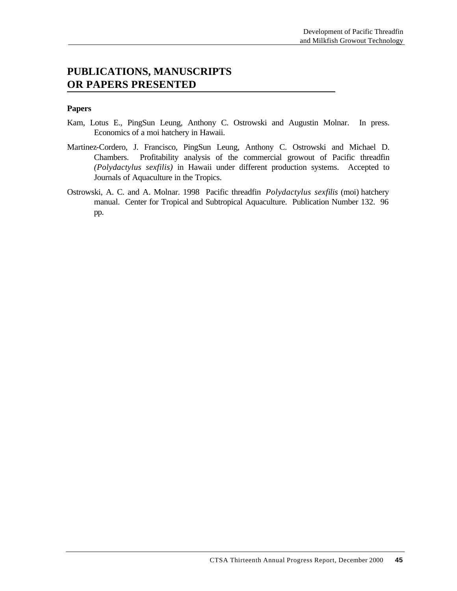## **PUBLICATIONS, MANUSCRIPTS OR PAPERS PRESENTED**

#### **Papers**

- Kam, Lotus E., PingSun Leung, Anthony C. Ostrowski and Augustin Molnar. In press. Economics of a moi hatchery in Hawaii.
- Martinez-Cordero, J. Francisco, PingSun Leung, Anthony C. Ostrowski and Michael D. Chambers. Profitability analysis of the commercial growout of Pacific threadfin *(Polydactylus sexfilis)* in Hawaii under different production systems. Accepted to Journals of Aquaculture in the Tropics.
- Ostrowski, A. C. and A. Molnar. 1998 Pacific threadfin *Polydactylus sexfilis* (moi) hatchery manual. Center for Tropical and Subtropical Aquaculture. Publication Number 132. 96 pp.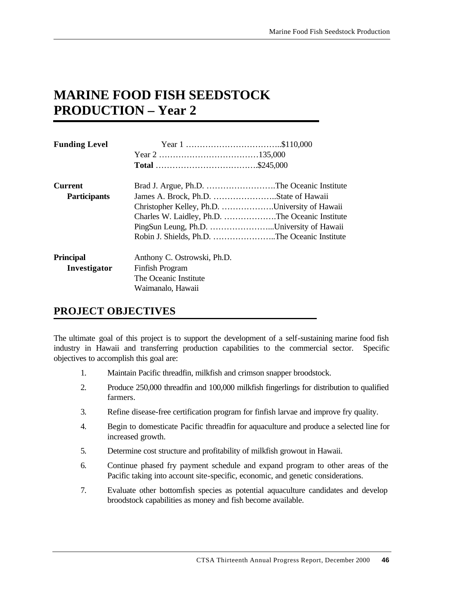# **MARINE FOOD FISH SEEDSTOCK PRODUCTION – Year 2**

| <b>Funding Level</b> |                                                 |  |  |
|----------------------|-------------------------------------------------|--|--|
|                      |                                                 |  |  |
|                      |                                                 |  |  |
| <b>Current</b>       | Brad J. Argue, Ph.D. The Oceanic Institute      |  |  |
| <b>Participants</b>  |                                                 |  |  |
|                      | Christopher Kelley, Ph.D. University of Hawaii  |  |  |
|                      | Charles W. Laidley, Ph.D. The Oceanic Institute |  |  |
|                      | PingSun Leung, Ph.D. University of Hawaii       |  |  |
|                      | Robin J. Shields, Ph.D. The Oceanic Institute   |  |  |
| <b>Principal</b>     | Anthony C. Ostrowski, Ph.D.                     |  |  |
| Investigator         | Finfish Program                                 |  |  |
|                      | The Oceanic Institute                           |  |  |
|                      | Waimanalo, Hawaii                               |  |  |

## **PROJECT OBJECTIVES**

The ultimate goal of this project is to support the development of a self-sustaining marine food fish industry in Hawaii and transferring production capabilities to the commercial sector. Specific objectives to accomplish this goal are:

- 1. Maintain Pacific threadfin, milkfish and crimson snapper broodstock.
- 2. Produce 250,000 threadfin and 100,000 milkfish fingerlings for distribution to qualified farmers.
- 3. Refine disease-free certification program for finfish larvae and improve fry quality.
- 4. Begin to domesticate Pacific threadfin for aquaculture and produce a selected line for increased growth.
- 5. Determine cost structure and profitability of milkfish growout in Hawaii.
- 6. Continue phased fry payment schedule and expand program to other areas of the Pacific taking into account site-specific, economic, and genetic considerations.
- 7. Evaluate other bottomfish species as potential aquaculture candidates and develop broodstock capabilities as money and fish become available.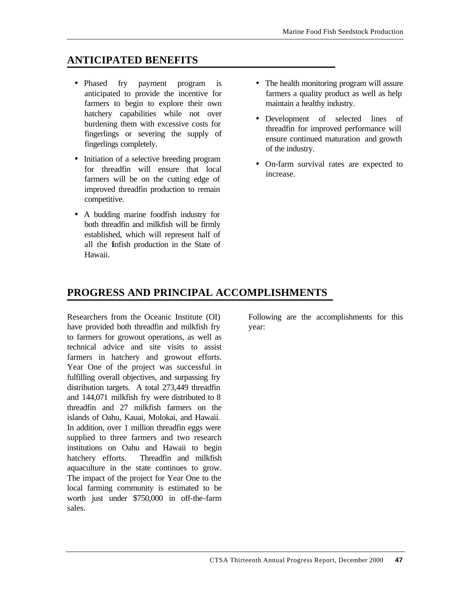## **ANTICIPATED BENEFITS**

- Phased fry payment program is anticipated to provide the incentive for farmers to begin to explore their own hatchery capabilities while not over burdening them with excessive costs for fingerlings or severing the supply of fingerlings completely.
- Initiation of a selective breeding program for threadfin will ensure that local farmers will be on the cutting edge of improved threadfin production to remain competitive.
- A budding marine foodfish industry for both threadfin and milkfish will be firmly established, which will represent half of all the finfish production in the State of Hawaii.
- The health monitoring program will assure farmers a quality product as well as help maintain a healthy industry.
- Development of selected lines of threadfin for improved performance will ensure continued maturation and growth of the industry.
- On-farm survival rates are expected to increase.

## **PROGRESS AND PRINCIPAL ACCOMPLISHMENTS**

Researchers from the Oceanic Institute (OI) have provided both threadfin and milkfish fry to farmers for growout operations, as well as technical advice and site visits to assist farmers in hatchery and growout efforts. Year One of the project was successful in fulfilling overall objectives, and surpassing fry distribution targets. A total 273,449 threadfin and 144,071 milkfish fry were distributed to 8 threadfin and 27 milkfish farmers on the islands of Oahu, Kauai, Molokai, and Hawaii. In addition, over 1 million threadfin eggs were supplied to three farmers and two research institutions on Oahu and Hawaii to begin hatchery efforts. Threadfin and milkfish aquaculture in the state continues to grow. The impact of the project for Year One to the local farming community is estimated to be worth just under \$750,000 in off-the-farm sales.

Following are the accomplishments for this year: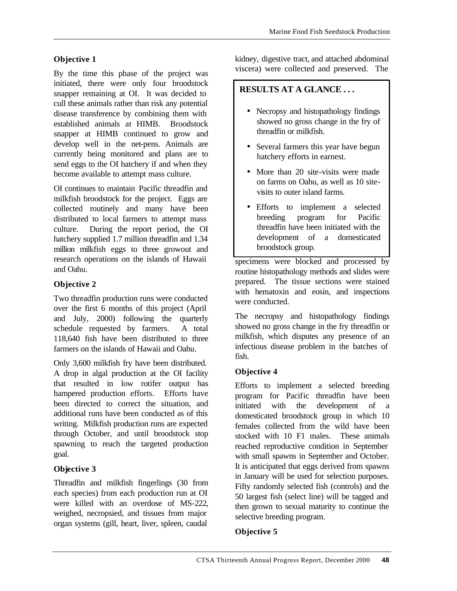## **Objective 1**

By the time this phase of the project was initiated, there were only four broodstock snapper remaining at OI. It was decided to cull these animals rather than risk any potential disease transference by combining them with established animals at HIMB. Broodstock snapper at HIMB continued to grow and develop well in the net-pens. Animals are currently being monitored and plans are to send eggs to the OI hatchery if and when they become available to attempt mass culture.

OI continues to maintain Pacific threadfin and milkfish broodstock for the project. Eggs are collected routinely and many have been distributed to local farmers to attempt mass culture. During the report period, the OI hatchery supplied 1.7 million threadfin and 1.34 million milkfish eggs to three growout and research operations on the islands of Hawaii and Oahu.

### **Objective 2**

Two threadfin production runs were conducted over the first 6 months of this project (April and July, 2000) following the quarterly schedule requested by farmers. A total 118,640 fish have been distributed to three farmers on the islands of Hawaii and Oahu.

Only 3,600 milkfish fry have been distributed. A drop in algal production at the OI facility that resulted in low rotifer output has hampered production efforts. Efforts have been directed to correct the situation, and additional runs have been conducted as of this writing. Milkfish production runs are expected through October, and until broodstock stop spawning to reach the targeted production goal.

### **Objective 3**

Threadfin and milkfish fingerlings (30 from each species) from each production run at OI were killed with an overdose of MS-222, weighed, necropsied, and tissues from major organ systems (gill, heart, liver, spleen, caudal

kidney, digestive tract, and attached abdominal viscera) were collected and preserved. The

### **RESULTS AT A GLANCE . . .**

- Necropsy and histopathology findings showed no gross change in the fry of threadfin or milkfish.
- Several farmers this year have begun hatchery efforts in earnest.
- More than 20 site-visits were made on farms on Oahu, as well as 10 sitevisits to outer island farms.
- Efforts to implement a selected breeding program for Pacific threadfin have been initiated with the development of a domesticated broodstock group.

specimens were blocked and processed by routine histopathology methods and slides were prepared. The tissue sections were stained with hematoxin and eosin, and inspections were conducted.

The necropsy and histopathology findings showed no gross change in the fry threadfin or milkfish, which disputes any presence of an infectious disease problem in the batches of fish.

### **Objective 4**

Efforts to implement a selected breeding program for Pacific threadfin have been initiated with the development of a domesticated broodstock group in which 10 females collected from the wild have been stocked with 10 F1 males. These animals reached reproductive condition in September with small spawns in September and October. It is anticipated that eggs derived from spawns in January will be used for selection purposes. Fifty randomly selected fish (controls) and the 50 largest fish (select line) will be tagged and then grown to sexual maturity to continue the selective breeding program.

### **Objective 5**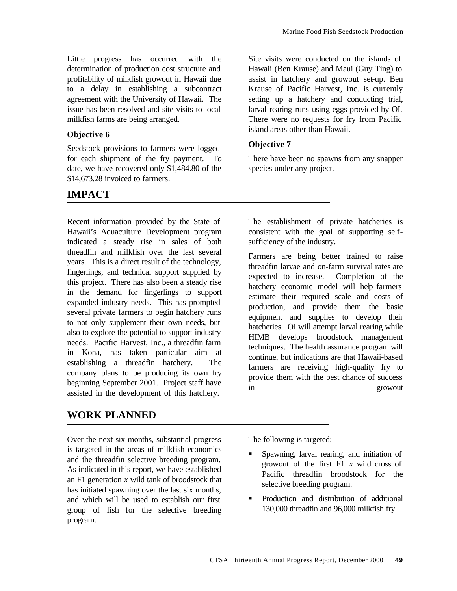Little progress has occurred with the determination of production cost structure and profitability of milkfish growout in Hawaii due to a delay in establishing a subcontract agreement with the University of Hawaii. The issue has been resolved and site visits to local milkfish farms are being arranged.

### **Objective 6**

Seedstock provisions to farmers were logged for each shipment of the fry payment. To date, we have recovered only \$1,484.80 of the \$14,673.28 invoiced to farmers.

## **IMPACT**

Recent information provided by the State of Hawaii's Aquaculture Development program indicated a steady rise in sales of both threadfin and milkfish over the last several years. This is a direct result of the technology, fingerlings, and technical support supplied by this project. There has also been a steady rise in the demand for fingerlings to support expanded industry needs. This has prompted several private farmers to begin hatchery runs to not only supplement their own needs, but also to explore the potential to support industry needs. Pacific Harvest, Inc., a threadfin farm in Kona, has taken particular aim at establishing a threadfin hatchery. The company plans to be producing its own fry beginning September 2001. Project staff have assisted in the development of this hatchery.

## **WORK PLANNED**

Over the next six months, substantial progress is targeted in the areas of milkfish economics and the threadfin selective breeding program. As indicated in this report, we have established an F1 generation *x* wild tank of broodstock that has initiated spawning over the last six months, and which will be used to establish our first group of fish for the selective breeding program.

Site visits were conducted on the islands of Hawaii (Ben Krause) and Maui (Guy Ting) to assist in hatchery and growout set-up. Ben Krause of Pacific Harvest, Inc. is currently setting up a hatchery and conducting trial, larval rearing runs using eggs provided by OI. There were no requests for fry from Pacific island areas other than Hawaii.

### **Objective 7**

There have been no spawns from any snapper species under any project.

The establishment of private hatcheries is consistent with the goal of supporting selfsufficiency of the industry.

Farmers are being better trained to raise threadfin larvae and on-farm survival rates are expected to increase. Completion of the hatchery economic model will help farmers estimate their required scale and costs of production, and provide them the basic equipment and supplies to develop their hatcheries. OI will attempt larval rearing while HIMB develops broodstock management techniques. The health assurance program will continue, but indications are that Hawaii-based farmers are receiving high-quality fry to provide them with the best chance of success in growout

The following is targeted:

- ß Spawning, larval rearing, and initiation of growout of the first F1 *x* wild cross of Pacific threadfin broodstock for the selective breeding program.
- ß Production and distribution of additional 130,000 threadfin and 96,000 milkfish fry.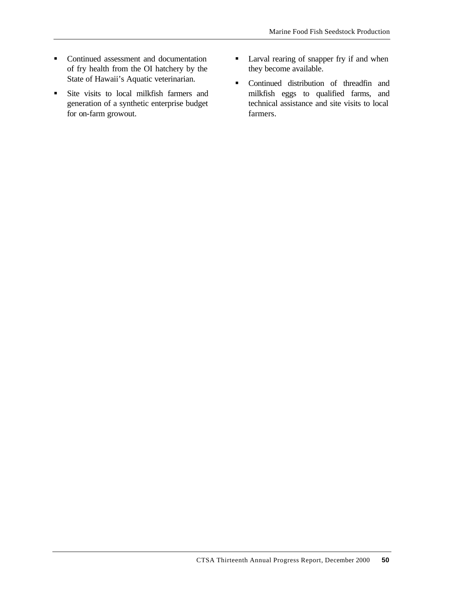- Continued assessment and documentation of fry health from the OI hatchery by the State of Hawaii's Aquatic veterinarian.
- **Site visits to local milkfish farmers and** generation of a synthetic enterprise budget for on-farm growout.
- **Larval rearing of snapper fry if and when** they become available.
- ß Continued distribution of threadfin and milkfish eggs to qualified farms, and technical assistance and site visits to local farmers.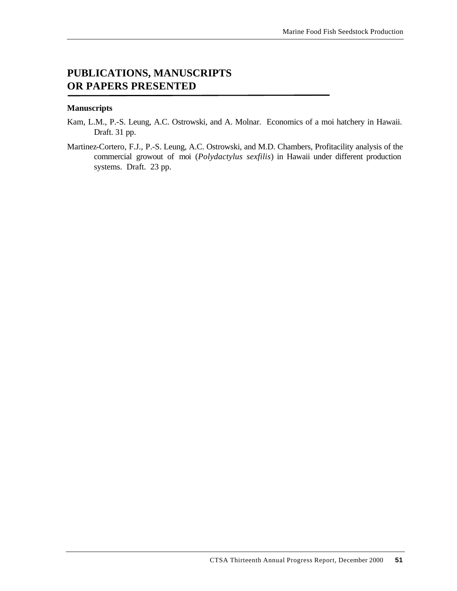## **PUBLICATIONS, MANUSCRIPTS OR PAPERS PRESENTED**

#### **Manuscripts**

- Kam, L.M., P.-S. Leung, A.C. Ostrowski, and A. Molnar. Economics of a moi hatchery in Hawaii. Draft. 31 pp.
- Martinez-Cortero, F.J., P.-S. Leung, A.C. Ostrowski, and M.D. Chambers, Profitacility analysis of the commercial growout of moi (*Polydactylus sexfilis*) in Hawaii under different production systems. Draft. 23 pp.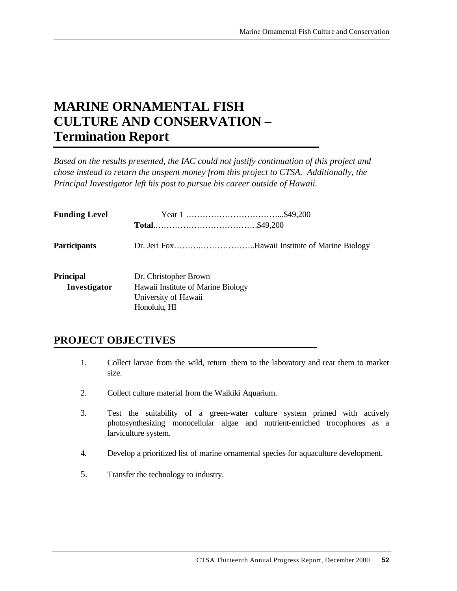# **MARINE ORNAMENTAL FISH CULTURE AND CONSERVATION – Termination Report**

*Based on the results presented, the IAC could not justify continuation of this project and chose instead to return the unspent money from this project to CTSA. Additionally, the Principal Investigator left his post to pursue his career outside of Hawaii.*

| <b>Funding Level</b>             |                                                                                                     |  |
|----------------------------------|-----------------------------------------------------------------------------------------------------|--|
| <b>Participants</b>              |                                                                                                     |  |
| <b>Principal</b><br>Investigator | Dr. Christopher Brown<br>Hawaii Institute of Marine Biology<br>University of Hawaii<br>Honolulu, HI |  |

## **PROJECT OBJECTIVES**

- 1. Collect larvae from the wild, return them to the laboratory and rear them to market size.
- 2. Collect culture material from the Waikiki Aquarium.
- 3. Test the suitability of a green-water culture system primed with actively photosynthesizing monocellular algae and nutrient-enriched trocophores as a larviculture system.
- 4. Develop a prioritized list of marine ornamental species for aquaculture development.
- 5. Transfer the technology to industry.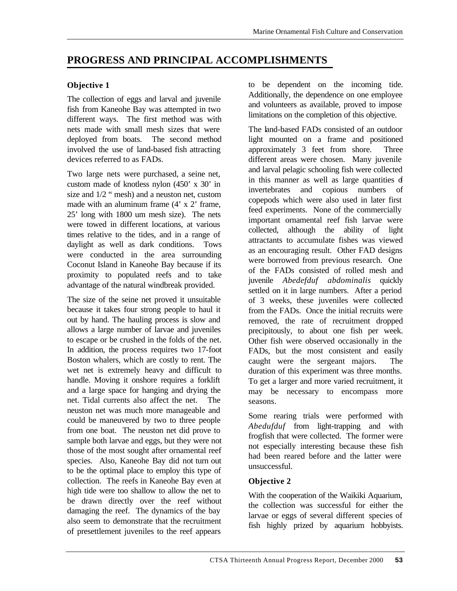## **PROGRESS AND PRINCIPAL ACCOMPLISHMENTS**

### **Objective 1**

The collection of eggs and larval and juvenile fish from Kaneohe Bay was attempted in two different ways. The first method was with nets made with small mesh sizes that were deployed from boats. The second method involved the use of land-based fish attracting devices referred to as FADs.

Two large nets were purchased, a seine net, custom made of knotless nylon (450' x 30' in size and 1/2 " mesh) and a neuston net, custom made with an aluminum frame  $(4' \times 2'$  frame. 25' long with 1800 um mesh size). The nets were towed in different locations, at various times relative to the tides, and in a range of daylight as well as dark conditions. Tows were conducted in the area surrounding Coconut Island in Kaneohe Bay because if its proximity to populated reefs and to take advantage of the natural windbreak provided.

The size of the seine net proved it unsuitable because it takes four strong people to haul it out by hand. The hauling process is slow and allows a large number of larvae and juveniles to escape or be crushed in the folds of the net. In addition, the process requires two 17-foot Boston whalers, which are costly to rent. The wet net is extremely heavy and difficult to handle. Moving it onshore requires a forklift and a large space for hanging and drying the net. Tidal currents also affect the net. The neuston net was much more manageable and could be maneuvered by two to three people from one boat. The neuston net did prove to sample both larvae and eggs, but they were not those of the most sought after ornamental reef species. Also, Kaneohe Bay did not turn out to be the optimal place to employ this type of collection. The reefs in Kaneohe Bay even at high tide were too shallow to allow the net to be drawn directly over the reef without damaging the reef. The dynamics of the bay also seem to demonstrate that the recruitment of presettlement juveniles to the reef appears

to be dependent on the incoming tide. Additionally, the dependence on one employee and volunteers as available, proved to impose limitations on the completion of this objective.

The land-based FADs consisted of an outdoor light mounted on a frame and positioned approximately 3 feet from shore. Three different areas were chosen. Many juvenile and larval pelagic schooling fish were collected in this manner as well as large quantities of invertebrates and copious numbers of copepods which were also used in later first feed experiments. None of the commercially important ornamental reef fish larvae were collected, although the ability of light attractants to accumulate fishes was viewed as an encouraging result. Other FAD designs were borrowed from previous research. One of the FADs consisted of rolled mesh and juvenile *Abedefduf abdominalis* quickly settled on it in large numbers. After a period of 3 weeks, these juveniles were collected from the FADs. Once the initial recruits were removed, the rate of recruitment dropped precipitously, to about one fish per week. Other fish were observed occasionally in the FADs, but the most consistent and easily caught were the sergeant majors. The duration of this experiment was three months. To get a larger and more varied recruitment, it may be necessary to encompass more seasons.

Some rearing trials were performed with *Abedufduf* from light-trapping and with frogfish that were collected. The former were not especially interesting because these fish had been reared before and the latter were unsuccessful.

### **Objective 2**

With the cooperation of the Waikiki Aquarium, the collection was successful for either the larvae or eggs of several different species of fish highly prized by aquarium hobbyists.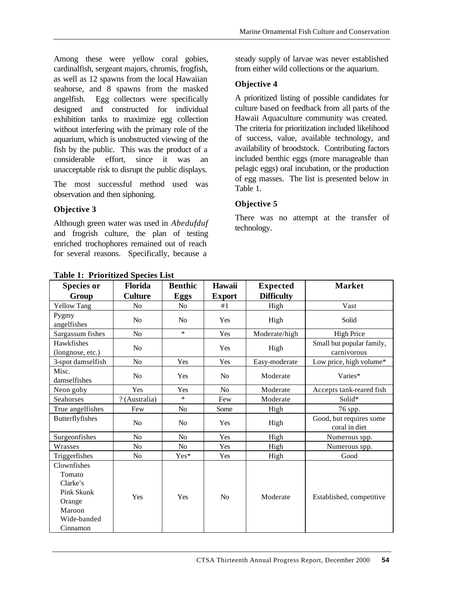Among these were yellow coral gobies, cardinalfish, sergeant majors, chromis, frogfish, as well as 12 spawns from the local Hawaiian seahorse, and 8 spawns from the masked angelfish. Egg collectors were specifically designed and constructed for individual exhibition tanks to maximize egg collection without interfering with the primary role of the aquarium, which is unobstructed viewing of the fish by the public. This was the product of a considerable effort, since it was an unacceptable risk to disrupt the public displays.

The most successful method used was observation and then siphoning.

### **Objective 3**

Although green water was used in *Abedufduf* and frogrish culture, the plan of testing enriched trochophores remained out of reach for several reasons. Specifically, because a

steady supply of larvae was never established from either wild collections or the aquarium.

### **Objective 4**

A prioritized listing of possible candidates for culture based on feedback from all parts of the Hawaii Aquaculture community was created. The criteria for prioritization included likelihood of success, value, available technology, and availability of broodstock. Contributing factors included benthic eggs (more manageable than pelagic eggs) oral incubation, or the production of egg masses. The list is presented below in Table 1.

## **Objective 5**

There was no attempt at the transfer of technology.

| <b>Species or</b>                                                                                     | Florida        | <b>Benthic</b> | Hawaii         | <b>Expected</b>   | <b>Market</b>                            |
|-------------------------------------------------------------------------------------------------------|----------------|----------------|----------------|-------------------|------------------------------------------|
| Group                                                                                                 | <b>Culture</b> | Eggs           | <b>Export</b>  | <b>Difficulty</b> |                                          |
| <b>Yellow Tang</b>                                                                                    | N <sub>0</sub> | N <sub>o</sub> | #1             | High              | Vast                                     |
| Pygmy<br>angelfishes                                                                                  | N <sub>0</sub> | N <sub>o</sub> | Yes            | High              | Solid                                    |
| Sargassum fishes                                                                                      | N <sub>o</sub> | $\ast$         | Yes            | Moderate/high     | <b>High Price</b>                        |
| Hawkfishes<br>(longnose, etc.)                                                                        | N <sub>o</sub> |                | Yes            | High              | Small but popular family,<br>carnivorous |
| 3-spot damselfish                                                                                     | N <sub>o</sub> | Yes            | Yes            | Easy-moderate     | Low price, high volume*                  |
| Misc.<br>damselfishes                                                                                 | N <sub>o</sub> | Yes            | N <sub>o</sub> | Moderate          | Varies*                                  |
| Neon goby                                                                                             | Yes            | Yes            | N <sub>o</sub> | Moderate          | Accepts tank-reared fish                 |
| Seahorses                                                                                             | ? (Australia)  | $\ast$         | Few            | Moderate          | Solid*                                   |
| True angelfishes                                                                                      | Few            | N <sub>o</sub> | Some           | High              | 76 spp.                                  |
| Butterflyfishes                                                                                       | N <sub>0</sub> | N <sub>0</sub> | Yes            | High              | Good, but requires some<br>coral in diet |
| Surgeonfishes                                                                                         | N <sub>o</sub> | N <sub>o</sub> | Yes            | High              | Numerous spp.                            |
| Wrasses                                                                                               | No             | N <sub>o</sub> | Yes            | High              | Numerous spp.                            |
| Triggerfishes                                                                                         | N <sub>o</sub> | Yes*           | Yes            | High              | Good                                     |
| Clownfishes<br>Tomato<br>Clarke's<br><b>Pink Skunk</b><br>Orange<br>Maroon<br>Wide-banded<br>Cinnamon | Yes            | Yes            | N <sub>o</sub> | Moderate          | Established, competitive                 |

**Table 1: Prioritized Species List**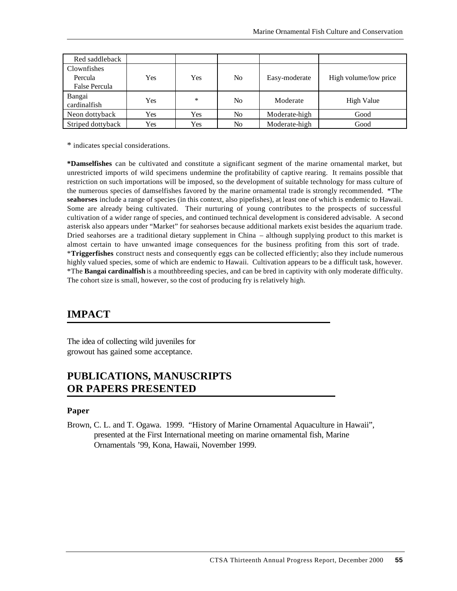| Red saddleback         |     |        |    |               |                       |
|------------------------|-----|--------|----|---------------|-----------------------|
| Clownfishes<br>Percula | Yes | Yes    | No | Easy-moderate | High volume/low price |
| <b>False Percula</b>   |     |        |    |               |                       |
| Bangai<br>cardinalfish | Yes | $\ast$ | No | Moderate      | <b>High Value</b>     |
| Neon dottyback         | Yes | Yes    | No | Moderate-high | Good                  |
| Striped dottyback      | Yes | Yes    | No | Moderate-high | Good                  |

\* indicates special considerations.

**\*Damselfishes** can be cultivated and constitute a significant segment of the marine ornamental market, but unrestricted imports of wild specimens undermine the profitability of captive rearing. It remains possible that restriction on such importations will be imposed, so the development of suitable technology for mass culture of the numerous species of damselfishes favored by the marine ornamental trade is strongly recommended. \*The **seahorses** include a range of species (in this context, also pipefishes), at least one of which is endemic to Hawaii. Some are already being cultivated. Their nurturing of young contributes to the prospects of successful cultivation of a wider range of species, and continued technical development is considered advisable. A second asterisk also appears under "Market" for seahorses because additional markets exist besides the aquarium trade. Dried seahorses are a traditional dietary supplement in China – although supplying product to this market is almost certain to have unwanted image consequences for the business profiting from this sort of trade. \***Triggerfishes** construct nests and consequently eggs can be collected efficiently; also they include numerous highly valued species, some of which are endemic to Hawaii. Cultivation appears to be a difficult task, however. \*The **Bangai cardinalfish** is a mouthbreeding species, and can be bred in captivity with only moderate difficulty. The cohort size is small, however, so the cost of producing fry is relatively high.

## **IMPACT**

The idea of collecting wild juveniles for growout has gained some acceptance.

## **PUBLICATIONS, MANUSCRIPTS OR PAPERS PRESENTED**

#### **Paper**

Brown, C. L. and T. Ogawa. 1999. "History of Marine Ornamental Aquaculture in Hawaii", presented at the First International meeting on marine ornamental fish, Marine Ornamentals '99, Kona, Hawaii, November 1999.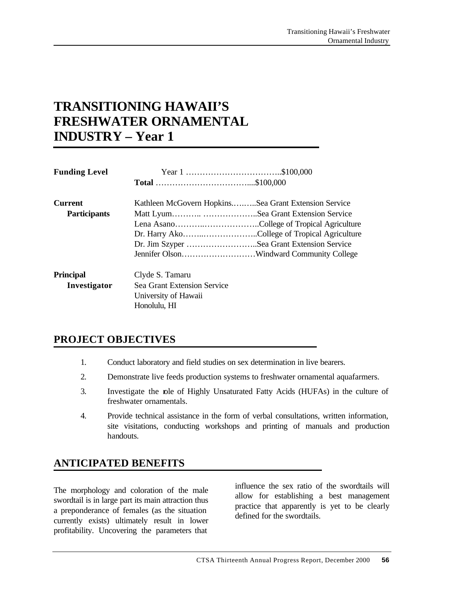# **TRANSITIONING HAWAII'S FRESHWATER ORNAMENTAL INDUSTRY – Year 1**

| <b>Funding Level</b> |                                                      |                                              |  |
|----------------------|------------------------------------------------------|----------------------------------------------|--|
|                      |                                                      |                                              |  |
| <b>Current</b>       | Kathleen McGovern HopkinsSea Grant Extension Service |                                              |  |
| <b>Participants</b>  |                                                      | Matt LyumSea Grant Extension Service         |  |
|                      |                                                      |                                              |  |
|                      |                                                      | Dr. Harry AkoCollege of Tropical Agriculture |  |
|                      |                                                      | Dr. Jim Szyper Sea Grant Extension Service   |  |
|                      |                                                      |                                              |  |
| <b>Principal</b>     | Clyde S. Tamaru                                      |                                              |  |
| Investigator         | Sea Grant Extension Service                          |                                              |  |
|                      | University of Hawaii                                 |                                              |  |
|                      | Honolulu, HI                                         |                                              |  |

## **PROJECT OBJECTIVES**

- 1. Conduct laboratory and field studies on sex determination in live bearers.
- 2. Demonstrate live feeds production systems to freshwater ornamental aquafarmers.
- 3. Investigate the role of Highly Unsaturated Fatty Acids (HUFAs) in the culture of freshwater ornamentals.
- 4. Provide technical assistance in the form of verbal consultations, written information, site visitations, conducting workshops and printing of manuals and production handouts.

## **ANTICIPATED BENEFITS**

The morphology and coloration of the male swordtail is in large part its main attraction thus a preponderance of females (as the situation currently exists) ultimately result in lower profitability. Uncovering the parameters that

influence the sex ratio of the swordtails will allow for establishing a best management practice that apparently is yet to be clearly defined for the swordtails.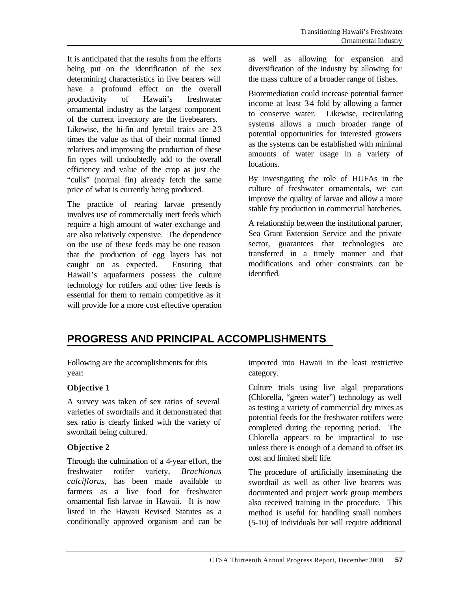It is anticipated that the results from the efforts being put on the identification of the sex determining characteristics in live bearers will have a profound effect on the overall productivity of Hawaii's freshwater ornamental industry as the largest component of the current inventory are the livebearers. Likewise, the hi-fin and lyretail traits are 2-3 times the value as that of their normal finned relatives and improving the production of these fin types will undoubtedly add to the overall efficiency and value of the crop as just the "culls" (normal fin) already fetch the same price of what is currently being produced.

The practice of rearing larvae presently involves use of commercially inert feeds which require a high amount of water exchange and are also relatively expensive. The dependence on the use of these feeds may be one reason that the production of egg layers has not caught on as expected. Ensuring that Hawaii's aquafarmers possess the culture technology for rotifers and other live feeds is essential for them to remain competitive as it will provide for a more cost effective operation

as well as allowing for expansion and diversification of the industry by allowing for the mass culture of a broader range of fishes.

Bioremediation could increase potential farmer income at least 3-4 fold by allowing a farmer to conserve water. Likewise, recirculating systems allows a much broader range of potential opportunities for interested growers as the systems can be established with minimal amounts of water usage in a variety of locations.

By investigating the role of HUFAs in the culture of freshwater ornamentals, we can improve the quality of larvae and allow a more stable fry production in commercial hatcheries.

A relationship between the institutional partner, Sea Grant Extension Service and the private sector, guarantees that technologies are transferred in a timely manner and that modifications and other constraints can be identified.

## **PROGRESS AND PRINCIPAL ACCOMPLISHMENTS**

Following are the accomplishments for this year:

### **Objective 1**

A survey was taken of sex ratios of several varieties of swordtails and it demonstrated that sex ratio is clearly linked with the variety of swordtail being cultured.

### **Objective 2**

Through the culmination of a 4-year effort, the freshwater rotifer variety, *Brachionus calciflorus*, has been made available to farmers as a live food for freshwater ornamental fish larvae in Hawaii. It is now listed in the Hawaii Revised Statutes as a conditionally approved organism and can be imported into Hawaii in the least restrictive category.

Culture trials using live algal preparations (Chlorella, "green water") technology as well as testing a variety of commercial dry mixes as potential feeds for the freshwater rotifers were completed during the reporting period. The Chlorella appears to be impractical to use unless there is enough of a demand to offset its cost and limited shelf life.

The procedure of artificially inseminating the swordtail as well as other live bearers was documented and project work group members also received training in the procedure. This method is useful for handling small numbers (5-10) of individuals but will require additional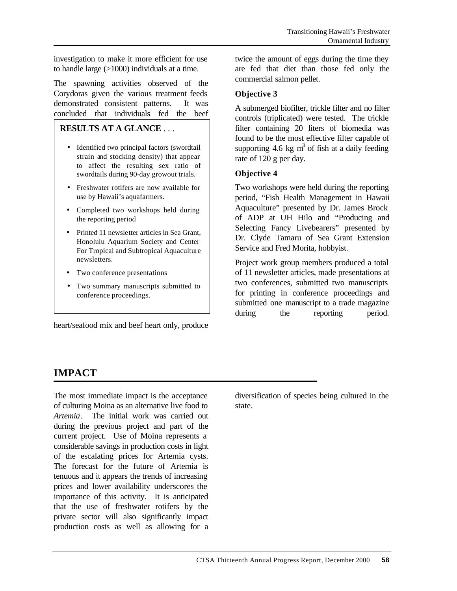investigation to make it more efficient for use to handle large (>1000) individuals at a time.

The spawning activities observed of the Corydoras given the various treatment feeds demonstrated consistent patterns. It was concluded that individuals fed the beef

### **RESULTS AT A GLANCE** . . .

- Identified two principal factors (swordtail strain and stocking density) that appear to affect the resulting sex ratio of swordtails during 90-day growout trials.
- Freshwater rotifers are now available for use by Hawaii's aquafarmers.
- Completed two workshops held during the reporting period
- Printed 11 newsletter articles in Sea Grant, Honolulu Aquarium Society and Center For Tropical and Subtropical Aquaculture newsletters.
- Two conference presentations
- Two summary manuscripts submitted to conference proceedings.

heart/seafood mix and beef heart only, produce

twice the amount of eggs during the time they are fed that diet than those fed only the commercial salmon pellet.

### **Objective 3**

A submerged biofilter, trickle filter and no filter controls (triplicated) were tested. The trickle filter containing 20 liters of biomedia was found to be the most effective filter capable of supporting 4.6 kg  $m<sup>3</sup>$  of fish at a daily feeding rate of 120 g per day.

#### **Objective 4**

Two workshops were held during the reporting period, "Fish Health Management in Hawaii Aquaculture" presented by Dr. James Brock of ADP at UH Hilo and "Producing and Selecting Fancy Livebearers" presented by Dr. Clyde Tamaru of Sea Grant Extension Service and Fred Morita, hobbyist.

Project work group members produced a total of 11 newsletter articles, made presentations at two conferences, submitted two manuscripts for printing in conference proceedings and submitted one manuscript to a trade magazine during the reporting period.

## **IMPACT**

The most immediate impact is the acceptance of culturing Moina as an alternative live food to *Artemia*. The initial work was carried out during the previous project and part of the current project. Use of Moina represents a considerable savings in production costs in light of the escalating prices for Artemia cysts. The forecast for the future of Artemia is tenuous and it appears the trends of increasing prices and lower availability underscores the importance of this activity. It is anticipated that the use of freshwater rotifers by the private sector will also significantly impact production costs as well as allowing for a

diversification of species being cultured in the state.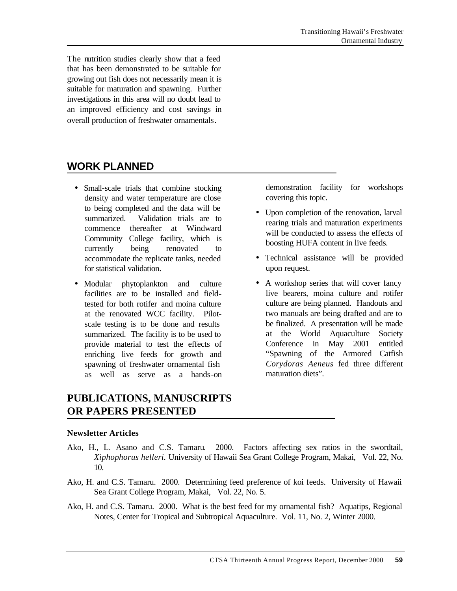The nutrition studies clearly show that a feed that has been demonstrated to be suitable for growing out fish does not necessarily mean it is suitable for maturation and spawning. Further investigations in this area will no doubt lead to an improved efficiency and cost savings in overall production of freshwater ornamentals.

## **WORK PLANNED**

- Small-scale trials that combine stocking density and water temperature are close to being completed and the data will be summarized. Validation trials are to commence thereafter at Windward Community College facility, which is currently being renovated to accommodate the replicate tanks, needed for statistical validation.
- Modular phytoplankton and culture facilities are to be installed and fieldtested for both rotifer and moina culture at the renovated WCC facility. Pilotscale testing is to be done and results summarized. The facility is to be used to provide material to test the effects of enriching live feeds for growth and spawning of freshwater ornamental fish as well as serve as a hands-on

## **PUBLICATIONS, MANUSCRIPTS OR PAPERS PRESENTED**

#### **Newsletter Articles**

- Ako, H., L. Asano and C.S. Tamaru. 2000. Factors affecting sex ratios in the swordtail, *Xiphophorus helleri.* University of Hawaii Sea Grant College Program, Makai, Vol. 22, No. 10.
- Ako, H. and C.S. Tamaru. 2000. Determining feed preference of koi feeds. University of Hawaii Sea Grant College Program, Makai, Vol. 22, No. 5.
- Ako, H. and C.S. Tamaru. 2000. What is the best feed for my ornamental fish? Aquatips, Regional Notes, Center for Tropical and Subtropical Aquaculture. Vol. 11, No. 2, Winter 2000.

demonstration facility for workshops covering this topic.

- Upon completion of the renovation, larval rearing trials and maturation experiments will be conducted to assess the effects of boosting HUFA content in live feeds.
- Technical assistance will be provided upon request.
- A workshop series that will cover fancy live bearers, moina culture and rotifer culture are being planned. Handouts and two manuals are being drafted and are to be finalized. A presentation will be made at the World Aquaculture Society Conference in May 2001 entitled "Spawning of the Armored Catfish *Corydoras Aeneus* fed three different maturation diets".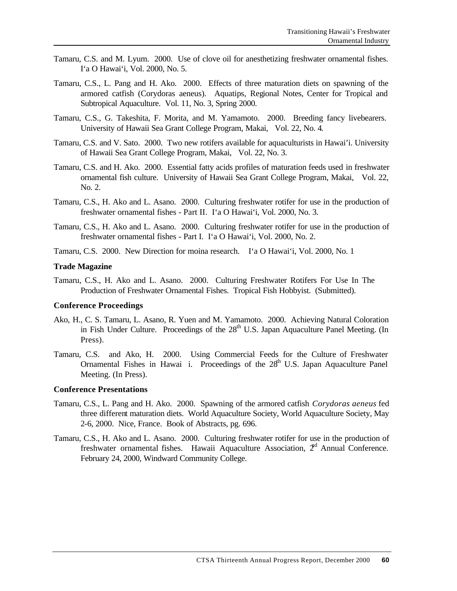- Tamaru, C.S. and M. Lyum. 2000. Use of clove oil for anesthetizing freshwater ornamental fishes. I'a O Hawai'i, Vol. 2000, No. 5.
- Tamaru, C.S., L. Pang and H. Ako. 2000. Effects of three maturation diets on spawning of the armored catfish (Corydoras aeneus). Aquatips, Regional Notes, Center for Tropical and Subtropical Aquaculture. Vol. 11, No. 3, Spring 2000.
- Tamaru, C.S., G. Takeshita, F. Morita, and M. Yamamoto. 2000. Breeding fancy livebearers. University of Hawaii Sea Grant College Program, Makai, Vol. 22, No. 4.
- Tamaru, C.S. and V. Sato. 2000. Two new rotifers available for aquaculturists in Hawai'i. University of Hawaii Sea Grant College Program, Makai, Vol. 22, No. 3.
- Tamaru, C.S. and H. Ako. 2000. Essential fatty acids profiles of maturation feeds used in freshwater ornamental fish culture. University of Hawaii Sea Grant College Program, Makai, Vol. 22, No. 2.
- Tamaru, C.S., H. Ako and L. Asano. 2000. Culturing freshwater rotifer for use in the production of freshwater ornamental fishes - Part II. I'a O Hawai'i, Vol. 2000, No. 3.
- Tamaru, C.S., H. Ako and L. Asano. 2000. Culturing freshwater rotifer for use in the production of freshwater ornamental fishes - Part I. I'a O Hawai'i, Vol. 2000, No. 2.
- Tamaru, C.S. 2000. New Direction for moina research. I'a O Hawai'i, Vol. 2000, No. 1

#### **Trade Magazine**

Tamaru, C.S., H. Ako and L. Asano. 2000. Culturing Freshwater Rotifers For Use In The Production of Freshwater Ornamental Fishes. Tropical Fish Hobbyist. (Submitted).

#### **Conference Proceedings**

- Ako, H., C. S. Tamaru, L. Asano, R. Yuen and M. Yamamoto. 2000. Achieving Natural Coloration in Fish Under Culture. Proceedings of the  $28<sup>th</sup>$  U.S. Japan Aquaculture Panel Meeting. (In Press).
- Tamaru, C.S. and Ako, H. 2000. Using Commercial Feeds for the Culture of Freshwater Ornamental Fishes in Hawai i. Proceedings of the  $28<sup>th</sup>$  U.S. Japan Aquaculture Panel Meeting. (In Press).

#### **Conference Presentations**

- Tamaru, C.S., L. Pang and H. Ako. 2000. Spawning of the armored catfish *Corydoras aeneus* fed three different maturation diets. World Aquaculture Society, World Aquaculture Society, May 2-6, 2000. Nice, France. Book of Abstracts, pg. 696.
- Tamaru, C.S., H. Ako and L. Asano. 2000. Culturing freshwater rotifer for use in the production of freshwater ornamental fishes. Hawaii Aquaculture Association,  $2<sup>rd</sup>$  Annual Conference. February 24, 2000, Windward Community College.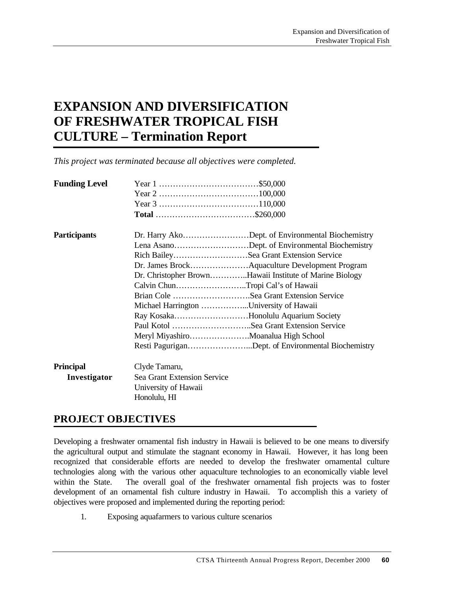# **EXPANSION AND DIVERSIFICATION OF FRESHWATER TROPICAL FISH CULTURE – Termination Report**

*This project was terminated because all objectives were completed.*

| <b>Funding Level</b> |                                         |                                                         |
|----------------------|-----------------------------------------|---------------------------------------------------------|
|                      |                                         |                                                         |
|                      |                                         |                                                         |
|                      |                                         |                                                         |
| <b>Participants</b>  |                                         | Dr. Harry AkoDept. of Environmental Biochemistry        |
|                      |                                         | Lena AsanoDept. of Environmental Biochemistry           |
|                      |                                         | Rich BaileySea Grant Extension Service                  |
|                      |                                         |                                                         |
|                      |                                         | Dr. Christopher BrownHawaii Institute of Marine Biology |
|                      | Calvin ChunTropi Cal's of Hawaii        |                                                         |
|                      |                                         | Brian Cole Sea Grant Extension Service                  |
|                      | Michael Harrington University of Hawaii |                                                         |
|                      |                                         | Ray KosakaHonolulu Aquarium Society                     |
|                      |                                         | Paul Kotol Sea Grant Extension Service                  |
|                      |                                         | Meryl MiyashiroMoanalua High School                     |
|                      |                                         | Resti PaguriganDept. of Environmental Biochemistry      |
| <b>Principal</b>     | Clyde Tamaru,                           |                                                         |
| Investigator         | Sea Grant Extension Service             |                                                         |
|                      | University of Hawaii                    |                                                         |
|                      | Honolulu, HI                            |                                                         |

### **PROJECT OBJECTIVES**

Developing a freshwater ornamental fish industry in Hawaii is believed to be one means to diversify the agricultural output and stimulate the stagnant economy in Hawaii. However, it has long been recognized that considerable efforts are needed to develop the freshwater ornamental culture technologies along with the various other aquaculture technologies to an economically viable level within the State. The overall goal of the freshwater ornamental fish projects was to foster development of an ornamental fish culture industry in Hawaii. To accomplish this a variety of objectives were proposed and implemented during the reporting period:

1. Exposing aquafarmers to various culture scenarios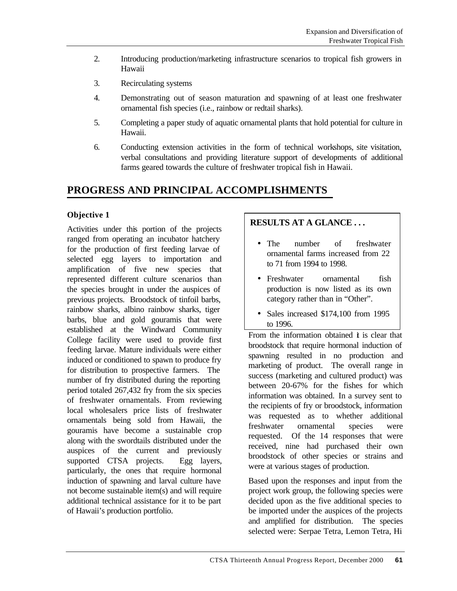- 2. Introducing production/marketing infrastructure scenarios to tropical fish growers in Hawaii
- 3. Recirculating systems
- 4. Demonstrating out of season maturation and spawning of at least one freshwater ornamental fish species (i.e., rainbow or redtail sharks).
- 5. Completing a paper study of aquatic ornamental plants that hold potential for culture in Hawaii.
- 6. Conducting extension activities in the form of technical workshops, site visitation, verbal consultations and providing literature support of developments of additional farms geared towards the culture of freshwater tropical fish in Hawaii.

## **PROGRESS AND PRINCIPAL ACCOMPLISHMENTS**

### **Objective 1**

Activities under this portion of the projects ranged from operating an incubator hatchery for the production of first feeding larvae of selected egg layers to importation and amplification of five new species that represented different culture scenarios than the species brought in under the auspices of previous projects. Broodstock of tinfoil barbs, rainbow sharks, albino rainbow sharks, tiger barbs, blue and gold gouramis that were established at the Windward Community College facility were used to provide first feeding larvae. Mature individuals were either induced or conditioned to spawn to produce fry for distribution to prospective farmers. The number of fry distributed during the reporting period totaled 267,432 fry from the six species of freshwater ornamentals. From reviewing local wholesalers price lists of freshwater ornamentals being sold from Hawaii, the gouramis have become a sustainable crop along with the swordtails distributed under the auspices of the current and previously supported CTSA projects. Egg layers, particularly, the ones that require hormonal induction of spawning and larval culture have not become sustainable item(s) and will require additional technical assistance for it to be part of Hawaii's production portfolio.

## **RESULTS AT A GLANCE . . .**

- The number of freshwater ornamental farms increased from 22 to 71 from 1994 to 1998.
- Freshwater ornamental fish production is now listed as its own category rather than in "Other".
- Sales increased \$174,100 from 1995 to 1996.

From the information obtained  $\dot{\mathbf{t}}$  is clear that broodstock that require hormonal induction of spawning resulted in no production and marketing of product. The overall range in success (marketing and cultured product) was between 20-67% for the fishes for which information was obtained. In a survey sent to the recipients of fry or broodstock, information was requested as to whether additional freshwater ornamental species were requested. Of the 14 responses that were received, nine had purchased their own broodstock of other species or strains and were at various stages of production.

Based upon the responses and input from the project work group, the following species were decided upon as the five additional species to be imported under the auspices of the projects and amplified for distribution. The species selected were: Serpae Tetra, Lemon Tetra, Hi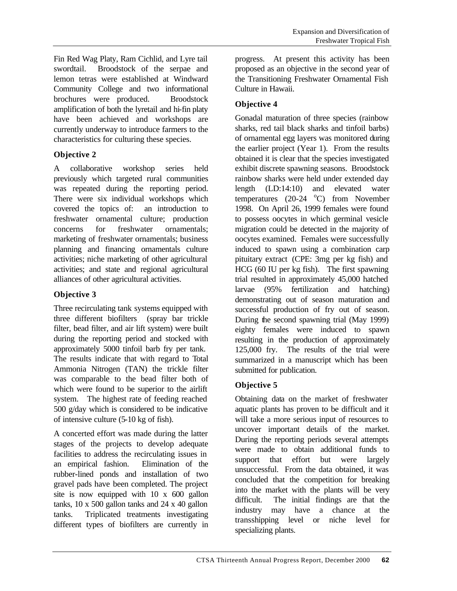Fin Red Wag Platy, Ram Cichlid, and Lyre tail swordtail. Broodstock of the serpae and lemon tetras were established at Windward Community College and two informational brochures were produced. Broodstock amplification of both the lyretail and hi-fin platy have been achieved and workshops are currently underway to introduce farmers to the characteristics for culturing these species.

### **Objective 2**

A collaborative workshop series held previously which targeted rural communities was repeated during the reporting period. There were six individual workshops which covered the topics of: an introduction to freshwater ornamental culture; production concerns for freshwater ornamentals; marketing of freshwater ornamentals; business planning and financing ornamentals culture activities; niche marketing of other agricultural activities; and state and regional agricultural alliances of other agricultural activities.

## **Objective 3**

Three recirculating tank systems equipped with three different biofilters (spray bar trickle filter, bead filter, and air lift system) were built during the reporting period and stocked with approximately 5000 tinfoil barb fry per tank. The results indicate that with regard to Total Ammonia Nitrogen (TAN) the trickle filter was comparable to the bead filter both of which were found to be superior to the airlift system. The highest rate of feeding reached 500 g/day which is considered to be indicative of intensive culture (5-10 kg of fish).

A concerted effort was made during the latter stages of the projects to develop adequate facilities to address the recirculating issues in an empirical fashion. Elimination of the rubber-lined ponds and installation of two gravel pads have been completed. The project site is now equipped with 10 x 600 gallon tanks, 10 x 500 gallon tanks and 24 x 40 gallon tanks. Triplicated treatments investigating different types of biofilters are currently in progress. At present this activity has been proposed as an objective in the second year of the Transitioning Freshwater Ornamental Fish Culture in Hawaii.

## **Objective 4**

Gonadal maturation of three species (rainbow sharks, red tail black sharks and tinfoil barbs) of ornamental egg layers was monitored during the earlier project (Year 1). From the results obtained it is clear that the species investigated exhibit discrete spawning seasons. Broodstock rainbow sharks were held under extended day length (LD:14:10) and elevated water temperatures  $(20-24 \degree C)$  from November 1998. On April 26, 1999 females were found to possess oocytes in which germinal vesicle migration could be detected in the majority of oocytes examined. Females were successfully induced to spawn using a combination carp pituitary extract (CPE: 3mg per kg fish) and HCG (60 IU per kg fish). The first spawning trial resulted in approximately 45,000 hatched larvae (95% fertilization and hatching) demonstrating out of season maturation and successful production of fry out of season. During the second spawning trial (May 1999) eighty females were induced to spawn resulting in the production of approximately 125,000 fry. The results of the trial were summarized in a manuscript which has been submitted for publication.

## **Objective 5**

Obtaining data on the market of freshwater aquatic plants has proven to be difficult and it will take a more serious input of resources to uncover important details of the market. During the reporting periods several attempts were made to obtain additional funds to support that effort but were largely unsuccessful. From the data obtained, it was concluded that the competition for breaking into the market with the plants will be very difficult. The initial findings are that the industry may have a chance at the transshipping level or niche level for specializing plants.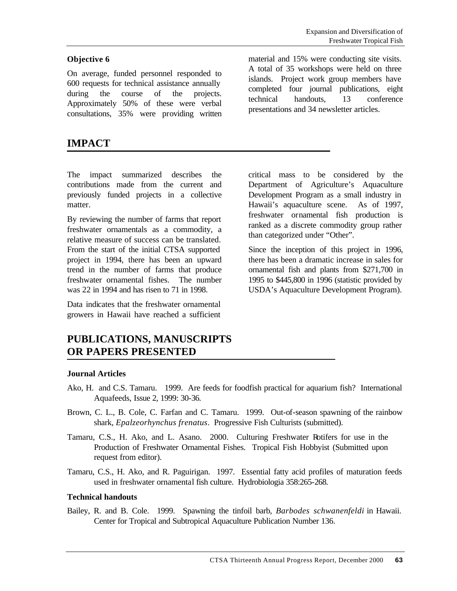#### **Objective 6**

On average, funded personnel responded to 600 requests for technical assistance annually during the course of the projects. Approximately 50% of these were verbal consultations, 35% were providing written

**IMPACT**

material and 15% were conducting site visits. A total of 35 workshops were held on three islands. Project work group members have completed four journal publications, eight technical handouts, 13 conference presentations and 34 newsletter articles.

The impact summarized describes the contributions made from the current and previously funded projects in a collective matter.

By reviewing the number of farms that report freshwater ornamentals as a commodity, a relative measure of success can be translated. From the start of the initial CTSA supported project in 1994, there has been an upward trend in the number of farms that produce freshwater ornamental fishes. The number was 22 in 1994 and has risen to 71 in 1998.

Data indicates that the freshwater ornamental growers in Hawaii have reached a sufficient

**PUBLICATIONS, MANUSCRIPTS OR PAPERS PRESENTED**

#### **Journal Articles**

- Ako, H. and C.S. Tamaru. 1999. Are feeds for foodfish practical for aquarium fish? International Aquafeeds, Issue 2, 1999: 30-36.
- Brown, C. L., B. Cole, C. Farfan and C. Tamaru. 1999. Out-of-season spawning of the rainbow shark, *Epalzeorhynchus frenatus*. Progressive Fish Culturists (submitted).
- Tamaru, C.S., H. Ako, and L. Asano. 2000. Culturing Freshwater Rotifers for use in the Production of Freshwater Ornamental Fishes. Tropical Fish Hobbyist (Submitted upon request from editor).
- Tamaru, C.S., H. Ako, and R. Paguirigan. 1997. Essential fatty acid profiles of maturation feeds used in freshwater ornamental fish culture. Hydrobiologia 358:265-268.

#### **Technical handouts**

Bailey, R. and B. Cole. 1999. Spawning the tinfoil barb, *Barbodes schwanenfeldi* in Hawaii. Center for Tropical and Subtropical Aquaculture Publication Number 136.

Department of Agriculture's Aquaculture Development Program as a small industry in Hawaii's aquaculture scene. As of 1997, freshwater ornamental fish production is ranked as a discrete commodity group rather than categorized under "Other".

critical mass to be considered by the

Since the inception of this project in 1996, there has been a dramatic increase in sales for ornamental fish and plants from \$271,700 in 1995 to \$445,800 in 1996 (statistic provided by USDA's Aquaculture Development Program).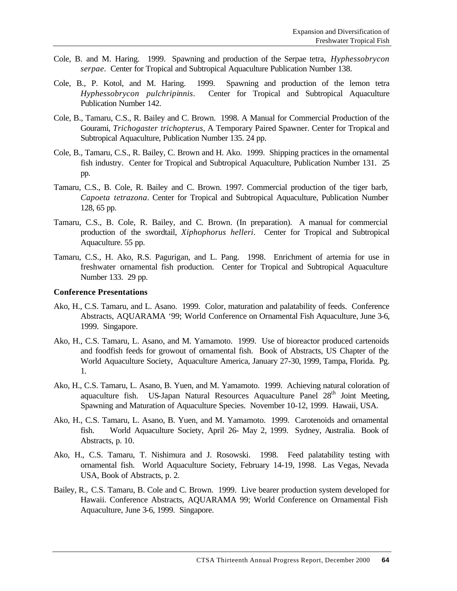- Cole, B. and M. Haring. 1999. Spawning and production of the Serpae tetra, *Hyphessobrycon serpae*. Center for Tropical and Subtropical Aquaculture Publication Number 138.
- Cole, B., P. Kotol, and M. Haring. 1999. Spawning and production of the lemon tetra *Hyphessobrycon pulchripinnis*. Center for Tropical and Subtropical Aquaculture Publication Number 142.
- Cole, B., Tamaru, C.S., R. Bailey and C. Brown. 1998. A Manual for Commercial Production of the Gourami, *Trichogaster trichopterus*, A Temporary Paired Spawner. Center for Tropical and Subtropical Aquaculture, Publication Number 135. 24 pp.
- Cole, B., Tamaru, C.S., R. Bailey, C. Brown and H. Ako. 1999. Shipping practices in the ornamental fish industry. Center for Tropical and Subtropical Aquaculture, Publication Number 131. 25 pp.
- Tamaru, C.S., B. Cole, R. Bailey and C. Brown. 1997. Commercial production of the tiger barb, *Capoeta tetrazona*. Center for Tropical and Subtropical Aquaculture, Publication Number 128, 65 pp.
- Tamaru, C.S., B. Cole, R. Bailey, and C. Brown. (In preparation). A manual for commercial production of the swordtail, *Xiphophorus helleri*. Center for Tropical and Subtropical Aquaculture. 55 pp.
- Tamaru, C.S., H. Ako, R.S. Pagurigan, and L. Pang. 1998. Enrichment of artemia for use in freshwater ornamental fish production. Center for Tropical and Subtropical Aquaculture Number 133. 29 pp.

#### **Conference Presentations**

- Ako, H., C.S. Tamaru, and L. Asano. 1999. Color, maturation and palatability of feeds. Conference Abstracts, AQUARAMA '99; World Conference on Ornamental Fish Aquaculture, June 3-6, 1999. Singapore.
- Ako, H., C.S. Tamaru, L. Asano, and M. Yamamoto. 1999. Use of bioreactor produced cartenoids and foodfish feeds for growout of ornamental fish. Book of Abstracts, US Chapter of the World Aquaculture Society, Aquaculture America, January 27-30, 1999, Tampa, Florida. Pg. 1.
- Ako, H., C.S. Tamaru, L. Asano, B. Yuen, and M. Yamamoto. 1999. Achieving natural coloration of aquaculture fish. US-Japan Natural Resources Aquaculture Panel  $28<sup>th</sup>$  Joint Meeting, Spawning and Maturation of Aquaculture Species. November 10-12, 1999. Hawaii, USA.
- Ako, H., C.S. Tamaru, L. Asano, B. Yuen, and M. Yamamoto. 1999. Carotenoids and ornamental fish. World Aquaculture Society, April 26- May 2, 1999. Sydney, Australia. Book of Abstracts, p. 10.
- Ako, H., C.S. Tamaru, T. Nishimura and J. Rosowski. 1998. Feed palatability testing with ornamental fish. World Aquaculture Society, February 14-19, 1998. Las Vegas, Nevada USA, Book of Abstracts, p. 2.
- Bailey, R., C.S. Tamaru, B. Cole and C. Brown. 1999. Live bearer production system developed for Hawaii. Conference Abstracts, AQUARAMA 99; World Conference on Ornamental Fish Aquaculture, June 3-6, 1999. Singapore.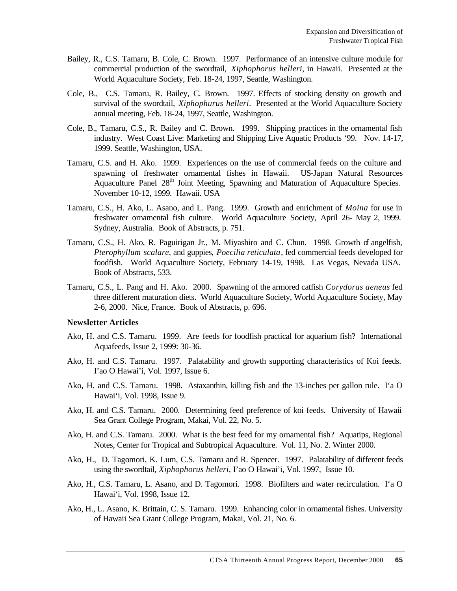- Bailey, R., C.S. Tamaru, B. Cole, C. Brown. 1997. Performance of an intensive culture module for commercial production of the swordtail, *Xiphophorus helleri*, in Hawaii. Presented at the World Aquaculture Society, Feb. 18-24, 1997, Seattle, Washington.
- Cole, B., C.S. Tamaru, R. Bailey, C. Brown. 1997. Effects of stocking density on growth and survival of the swordtail, *Xiphophurus helleri*. Presented at the World Aquaculture Society annual meeting, Feb. 18-24, 1997, Seattle, Washington.
- Cole, B., Tamaru, C.S., R. Bailey and C. Brown. 1999. Shipping practices in the ornamental fish industry. West Coast Live: Marketing and Shipping Live Aquatic Products '99. Nov. 14-17, 1999. Seattle, Washington, USA.
- Tamaru, C.S. and H. Ako. 1999. Experiences on the use of commercial feeds on the culture and spawning of freshwater ornamental fishes in Hawaii. US-Japan Natural Resources Aquaculture Panel 28<sup>th</sup> Joint Meeting, Spawning and Maturation of Aquaculture Species. November 10-12, 1999. Hawaii. USA
- Tamaru, C.S., H. Ako, L. Asano, and L. Pang. 1999. Growth and enrichment of *Moina* for use in freshwater ornamental fish culture. World Aquaculture Society, April 26- May 2, 1999. Sydney, Australia. Book of Abstracts, p. 751.
- Tamaru, C.S., H. Ako, R. Paguirigan Jr., M. Miyashiro and C. Chun. 1998. Growth of angelfish, *Pterophyllum scalare*, and guppies, *Poecilia reticulata*, fed commercial feeds developed for foodfish. World Aquaculture Society, February 14-19, 1998. Las Vegas, Nevada USA. Book of Abstracts, 533.
- Tamaru, C.S., L. Pang and H. Ako. 2000. Spawning of the armored catfish *Corydoras aeneus* fed three different maturation diets. World Aquaculture Society, World Aquaculture Society, May 2-6, 2000. Nice, France. Book of Abstracts, p. 696.

#### **Newsletter Articles**

- Ako, H. and C.S. Tamaru. 1999. Are feeds for foodfish practical for aquarium fish? International Aquafeeds, Issue 2, 1999: 30-36.
- Ako, H. and C.S. Tamaru. 1997. Palatability and growth supporting characteristics of Koi feeds. I'ao O Hawai'i, Vol. 1997, Issue 6.
- Ako, H. and C.S. Tamaru. 1998. Astaxanthin, killing fish and the 13-inches per gallon rule. I'a O Hawai'i, Vol. 1998, Issue 9.
- Ako, H. and C.S. Tamaru. 2000. Determining feed preference of koi feeds. University of Hawaii Sea Grant College Program, Makai, Vol. 22, No. 5.
- Ako, H. and C.S. Tamaru. 2000. What is the best feed for my ornamental fish? Aquatips, Regional Notes, Center for Tropical and Subtropical Aquaculture. Vol. 11, No. 2. Winter 2000.
- Ako, H., D. Tagomori, K. Lum, C.S. Tamaru and R. Spencer. 1997. Palatability of different feeds using the swordtail, *Xiphophorus helleri*, I'ao O Hawai'i, Vol. 1997, Issue 10.
- Ako, H., C.S. Tamaru, L. Asano, and D. Tagomori. 1998. Biofilters and water recirculation. I'a O Hawai'i, Vol. 1998, Issue 12.
- Ako, H., L. Asano, K. Brittain, C. S. Tamaru. 1999. Enhancing color in ornamental fishes. University of Hawaii Sea Grant College Program, Makai, Vol. 21, No. 6.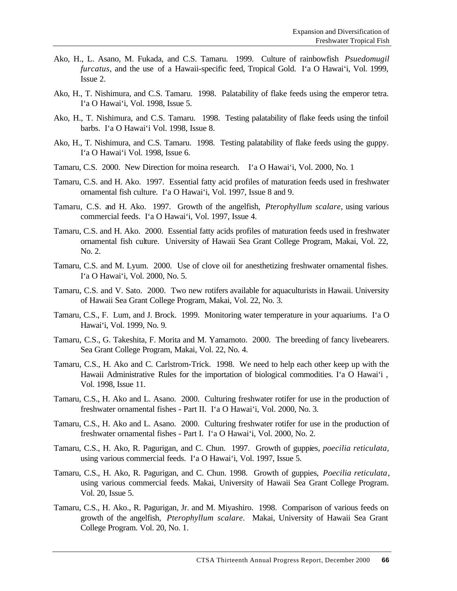- Ako, H., L. Asano, M. Fukada, and C.S. Tamaru. 1999. Culture of rainbowfish *Psuedomugil furcatus*, and the use of a Hawaii-specific feed, Tropical Gold. I'a O Hawai'i, Vol. 1999, Issue 2.
- Ako, H., T. Nishimura, and C.S. Tamaru. 1998. Palatability of flake feeds using the emperor tetra. I'a O Hawai'i, Vol. 1998, Issue 5.
- Ako, H., T. Nishimura, and C.S. Tamaru. 1998. Testing palatability of flake feeds using the tinfoil barbs. I'a O Hawai'i Vol. 1998, Issue 8.
- Ako, H., T. Nishimura, and C.S. Tamaru. 1998. Testing palatability of flake feeds using the guppy. I'a O Hawai'i Vol. 1998, Issue 6.
- Tamaru, C.S. 2000. New Direction for moina research. I'a O Hawai'i, Vol. 2000, No. 1
- Tamaru, C.S. and H. Ako. 1997. Essential fatty acid profiles of maturation feeds used in freshwater ornamental fish culture. I'a O Hawai'i, Vol. 1997, Issue 8 and 9.
- Tamaru, C.S. and H. Ako. 1997. Growth of the angelfish, *Pterophyllum scalare*, using various commercial feeds. I'a O Hawai'i, Vol. 1997, Issue 4.
- Tamaru, C.S. and H. Ako. 2000. Essential fatty acids profiles of maturation feeds used in freshwater ornamental fish culture. University of Hawaii Sea Grant College Program, Makai, Vol. 22, No. 2.
- Tamaru, C.S. and M. Lyum. 2000. Use of clove oil for anesthetizing freshwater ornamental fishes. I'a O Hawai'i, Vol. 2000, No. 5.
- Tamaru, C.S. and V. Sato. 2000. Two new rotifers available for aquaculturists in Hawaii. University of Hawaii Sea Grant College Program, Makai, Vol. 22, No. 3.
- Tamaru, C.S., F. Lum, and J. Brock. 1999. Monitoring water temperature in your aquariums. I'a O Hawai'i, Vol. 1999, No. 9.
- Tamaru, C.S., G. Takeshita, F. Morita and M. Yamamoto. 2000. The breeding of fancy livebearers. Sea Grant College Program, Makai, Vol. 22, No. 4.
- Tamaru, C.S., H. Ako and C. Carlstrom-Trick. 1998. We need to help each other keep up with the Hawaii Administrative Rules for the importation of biological commodities. I'a O Hawai'i , Vol. 1998, Issue 11.
- Tamaru, C.S., H. Ako and L. Asano. 2000. Culturing freshwater rotifer for use in the production of freshwater ornamental fishes - Part II. I'a O Hawai'i, Vol. 2000, No. 3.
- Tamaru, C.S., H. Ako and L. Asano. 2000. Culturing freshwater rotifer for use in the production of freshwater ornamental fishes - Part I. I'a O Hawai'i, Vol. 2000, No. 2.
- Tamaru, C.S., H. Ako, R. Pagurigan, and C. Chun. 1997. Growth of guppies, *poecilia reticulata,*  using various commercial feeds. I'a O Hawai'i, Vol. 1997, Issue 5.
- Tamaru, C.S., H. Ako, R. Pagurigan, and C. Chun. 1998. Growth of guppies, *Poecilia reticulata*, using various commercial feeds. Makai, University of Hawaii Sea Grant College Program. Vol. 20, Issue 5.
- Tamaru, C.S., H. Ako., R. Pagurigan, Jr. and M. Miyashiro. 1998. Comparison of various feeds on growth of the angelfish, *Pterophyllum scalare*. Makai, University of Hawaii Sea Grant College Program. Vol. 20, No. 1.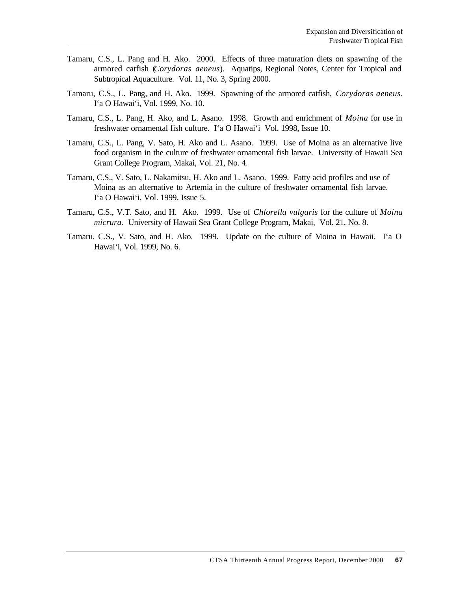- Tamaru, C.S., L. Pang and H. Ako. 2000. Effects of three maturation diets on spawning of the armored catfish (*Corydoras aeneus*). Aquatips, Regional Notes, Center for Tropical and Subtropical Aquaculture. Vol. 11, No. 3, Spring 2000.
- Tamaru, C.S., L. Pang, and H. Ako. 1999. Spawning of the armored catfish, *Corydoras aeneus*. I'a O Hawai'i, Vol. 1999, No. 10.
- Tamaru, C.S., L. Pang, H. Ako, and L. Asano. 1998. Growth and enrichment of *Moina* for use in freshwater ornamental fish culture. I'a O Hawai'i Vol. 1998, Issue 10.
- Tamaru, C.S., L. Pang, V. Sato, H. Ako and L. Asano. 1999. Use of Moina as an alternative live food organism in the culture of freshwater ornamental fish larvae. University of Hawaii Sea Grant College Program, Makai, Vol. 21, No. 4.
- Tamaru, C.S., V. Sato, L. Nakamitsu, H. Ako and L. Asano. 1999. Fatty acid profiles and use of Moina as an alternative to Artemia in the culture of freshwater ornamental fish larvae. I'a O Hawai'i, Vol. 1999. Issue 5.
- Tamaru, C.S., V.T. Sato, and H. Ako. 1999. Use of *Chlorella vulgaris* for the culture of *Moina micrura.* University of Hawaii Sea Grant College Program, Makai, Vol. 21, No. 8.
- Tamaru. C.S., V. Sato, and H. Ako. 1999. Update on the culture of Moina in Hawaii. I'a O Hawai'i, Vol. 1999, No. 6.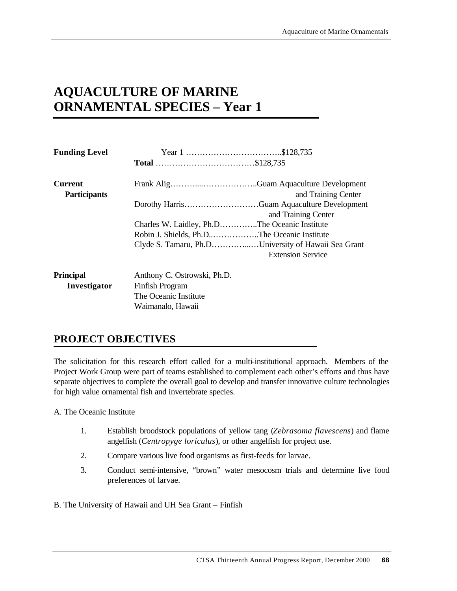# **AQUACULTURE OF MARINE ORNAMENTAL SPECIES – Year 1**

The Oceanic Institute Waimanalo, Hawaii

| <b>Funding Level</b>                  |                                               |                                                     |
|---------------------------------------|-----------------------------------------------|-----------------------------------------------------|
|                                       |                                               |                                                     |
| <b>Current</b><br><b>Participants</b> |                                               | and Training Center                                 |
|                                       |                                               | and Training Center                                 |
|                                       | Charles W. Laidley, Ph.DThe Oceanic Institute |                                                     |
|                                       | Robin J. Shields, Ph.DThe Oceanic Institute   |                                                     |
|                                       |                                               | Clyde S. Tamaru, Ph.DUniversity of Hawaii Sea Grant |
|                                       |                                               | <b>Extension Service</b>                            |
| <b>Principal</b>                      | Anthony C. Ostrowski, Ph.D.                   |                                                     |
| Investigator                          | Finfish Program                               |                                                     |

## **PROJECT OBJECTIVES**

The solicitation for this research effort called for a multi-institutional approach. Members of the Project Work Group were part of teams established to complement each other's efforts and thus have separate objectives to complete the overall goal to develop and transfer innovative culture technologies for high value ornamental fish and invertebrate species.

A. The Oceanic Institute

- 1. Establish broodstock populations of yellow tang (*Zebrasoma flavescens*) and flame angelfish (*Centropyge loriculus*), or other angelfish for project use.
- 2. Compare various live food organisms as first-feeds for larvae.
- 3. Conduct semi-intensive, "brown" water mesocosm trials and determine live food preferences of larvae.
- B. The University of Hawaii and UH Sea Grant Finfish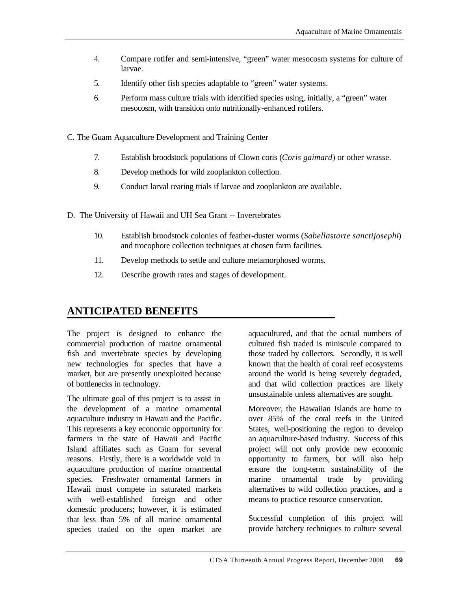- 4. Compare rotifer and semi-intensive, "green" water mesocosm systems for culture of larvae.
- 5. Identify other fish species adaptable to "green" water systems.
- 6. Perform mass culture trials with identified species using, initially, a "green" water mesocosm, with transition onto nutritionally-enhanced rotifers.
- C. The Guam Aquaculture Development and Training Center
	- 7. Establish broodstock populations of Clown coris (*Coris gaimard*) or other wrasse.
	- 8. Develop methods for wild zooplankton collection.
	- 9. Conduct larval rearing trials if larvae and zooplankton are available.
- D. The University of Hawaii and UH Sea Grant -- Invertebrates
	- 10. Establish broodstock colonies of feather-duster worms (*Sabellastarte sanctijosephi*) and trocophore collection techniques at chosen farm facilities.
	- 11. Develop methods to settle and culture metamorphosed worms.
	- 12. Describe growth rates and stages of development.

## **ANTICIPATED BENEFITS**

The project is designed to enhance the commercial production of marine ornamental fish and invertebrate species by developing new technologies for species that have a market, but are presently unexploited because of bottlenecks in technology.

The ultimate goal of this project is to assist in the development of a marine ornamental aquaculture industry in Hawaii and the Pacific. This represents a key economic opportunity for farmers in the state of Hawaii and Pacific Island affiliates such as Guam for several reasons. Firstly, there is a worldwide void in aquaculture production of marine ornamental species. Freshwater ornamental farmers in Hawaii must compete in saturated markets with well-established foreign and other domestic producers; however, it is estimated that less than 5% of all marine ornamental species traded on the open market are

aquacultured, and that the actual numbers of cultured fish traded is miniscule compared to those traded by collectors. Secondly, it is well known that the health of coral reef ecosystems around the world is being severely degraded, and that wild collection practices are likely unsustainable unless alternatives are sought.

Moreover, the Hawaiian Islands are home to over 85% of the coral reefs in the United States, well-positioning the region to develop an aquaculture-based industry. Success of this project will not only provide new economic opportunity to farmers, but will also help ensure the long-term sustainability of the marine ornamental trade by providing alternatives to wild collection practices, and a means to practice resource conservation.

Successful completion of this project will provide hatchery techniques to culture several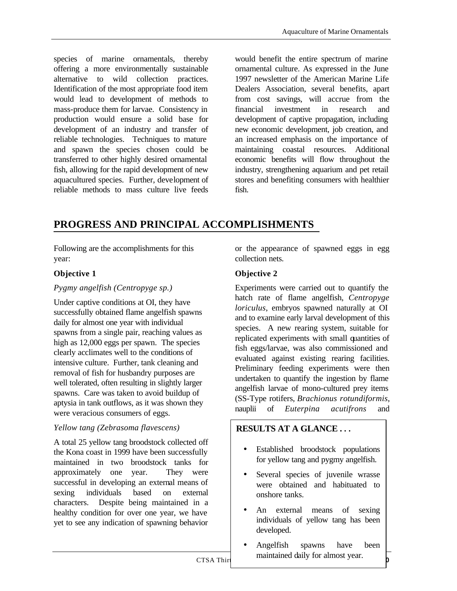species of marine ornamentals, thereby offering a more environmentally sustainable alternative to wild collection practices. Identification of the most appropriate food item would lead to development of methods to mass-produce them for larvae. Consistency in production would ensure a solid base for development of an industry and transfer of reliable technologies. Techniques to mature and spawn the species chosen could be transferred to other highly desired ornamental fish, allowing for the rapid development of new aquacultured species. Further, development of reliable methods to mass culture live feeds

would benefit the entire spectrum of marine ornamental culture. As expressed in the June 1997 newsletter of the American Marine Life Dealers Association, several benefits, apart from cost savings, will accrue from the financial investment in research and development of captive propagation, including new economic development, job creation, and an increased emphasis on the importance of maintaining coastal resources. Additional economic benefits will flow throughout the industry, strengthening aquarium and pet retail stores and benefiting consumers with healthier fish.

## **PROGRESS AND PRINCIPAL ACCOMPLISHMENTS**

Following are the accomplishments for this year:

### **Objective 1**

#### *Pygmy angelfish (Centropyge sp.)*

Under captive conditions at OI, they have successfully obtained flame angelfish spawns daily for almost one year with individual spawns from a single pair, reaching values as high as 12,000 eggs per spawn. The species clearly acclimates well to the conditions of intensive culture. Further, tank cleaning and removal of fish for husbandry purposes are well tolerated, often resulting in slightly larger spawns. Care was taken to avoid buildup of aptysia in tank outflows, as it was shown they were veracious consumers of eggs.

#### *Yellow tang (Zebrasoma flavescens)*

A total 25 yellow tang broodstock collected off the Kona coast in 1999 have been successfully maintained in two broodstock tanks for approximately one year. They were successful in developing an external means of sexing individuals based on external characters. Despite being maintained in a healthy condition for over one year, we have yet to see any indication of spawning behavior

or the appearance of spawned eggs in egg collection nets.

### **Objective 2**

Experiments were carried out to quantify the hatch rate of flame angelfish, *Centropyge loriculus*, embryos spawned naturally at OI and to examine early larval development of this species. A new rearing system, suitable for replicated experiments with small quantities of fish eggs/larvae, was also commissioned and evaluated against existing rearing facilities. Preliminary feeding experiments were then undertaken to quantify the ingestion by flame angelfish larvae of mono-cultured prey items (SS-Type rotifers, *Brachionus rotundiformis*, nauplii of *Euterpina acutifrons* and

### **RESULTS AT A GLANCE . . .**

- Established broodstock populations for yellow tang and pygmy angelfish.
- Several species of juvenile wrasse were obtained and habituated to onshore tanks.
- An external means of sexing individuals of yellow tang has been developed.
- Angelfish spawns have been maintained daily for almost year.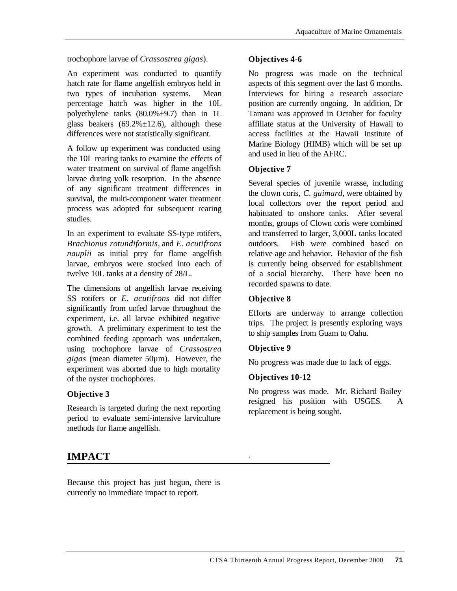trochophore larvae of *Crassostrea gigas*).

An experiment was conducted to quantify hatch rate for flame angelfish embryos held in two types of incubation systems. Mean percentage hatch was higher in the 10L polyethylene tanks (80.0%±9.7) than in 1L glass beakers  $(69.2\% \pm 12.6)$ , although these differences were not statistically significant.

A follow up experiment was conducted using the 10L rearing tanks to examine the effects of water treatment on survival of flame angelfish larvae during yolk resorption. In the absence of any significant treatment differences in survival, the multi-component water treatment process was adopted for subsequent rearing studies.

In an experiment to evaluate SS-type rotifers, *Brachionus rotundiformis*, and *E. acutifrons nauplii* as initial prey for flame angelfish larvae, embryos were stocked into each of twelve 10L tanks at a density of 28/L.

The dimensions of angelfish larvae receiving SS rotifers or *E. acutifrons* did not differ significantly from unfed larvae throughout the experiment, i.e. all larvae exhibited negative growth. A preliminary experiment to test the combined feeding approach was undertaken, using trochophore larvae of *Crassostrea gigas* (mean diameter 50µm). However, the experiment was aborted due to high mortality of the oyster trochophores.

### **Objective 3**

Research is targeted during the next reporting period to evaluate semi-intensive larviculture methods for flame angelfish.

# **IMPACT**

Because this project has just begun, there is currently no immediate impact to report.

## **Objectives 4-6**

No progress was made on the technical aspects of this segment over the last 6 months. Interviews for hiring a research associate position are currently ongoing. In addition, Dr Tamaru was approved in October for faculty affiliate status at the University of Hawaii to access facilities at the Hawaii Institute of Marine Biology (HIMB) which will be set up and used in lieu of the AFRC.

# **Objective 7**

Several species of juvenile wrasse, including the clown coris, *C. gaimard*, were obtained by local collectors over the report period and habituated to onshore tanks. After several months, groups of Clown coris were combined and transferred to larger, 3,000L tanks located outdoors. Fish were combined based on relative age and behavior. Behavior of the fish is currently being observed for establishment of a social hierarchy. There have been no recorded spawns to date.

## **Objective 8**

Efforts are underway to arrange collection trips. The project is presently exploring ways to ship samples from Guam to Oahu.

### **Objective 9**

.

No progress was made due to lack of eggs.

### **Objectives 10-12**

No progress was made. Mr. Richard Bailey resigned his position with USGES. A replacement is being sought.